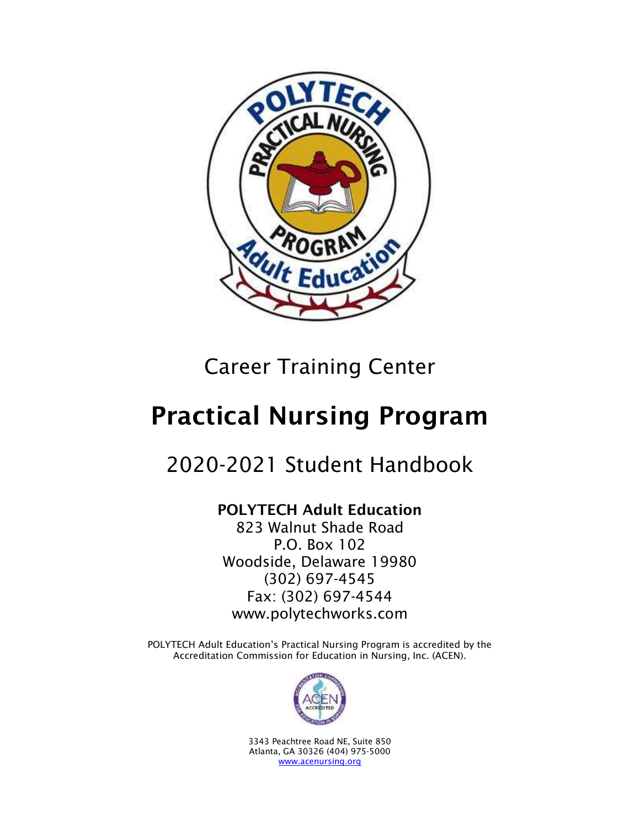

# Career Training Center

# Practical Nursing Program

## 2020-2021 Student Handbook

## POLYTECH Adult Education

823 Walnut Shade Road P.O. Box 102 Woodside, Delaware 19980 (302) 697-4545 Fax: (302) 697-4544 www.polytechworks.com

POLYTECH Adult Education's Practical Nursing Program is accredited by the Accreditation Commission for Education in Nursing, Inc. (ACEN).



3343 Peachtree Road NE, Suite 850 Atlanta, GA 30326 (404) 975-5000 [www.acenursing.org](http://www.acenursing.org/)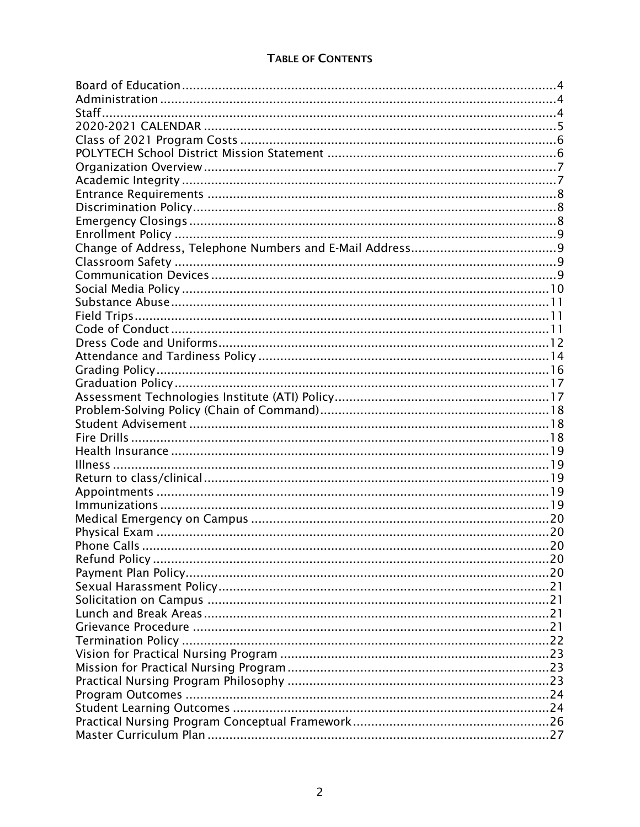#### **TABLE OF CONTENTS**

| <b>Phone Calls</b> |  |
|--------------------|--|
|                    |  |
|                    |  |
|                    |  |
|                    |  |
|                    |  |
|                    |  |
|                    |  |
|                    |  |
|                    |  |
|                    |  |
|                    |  |
|                    |  |
|                    |  |
|                    |  |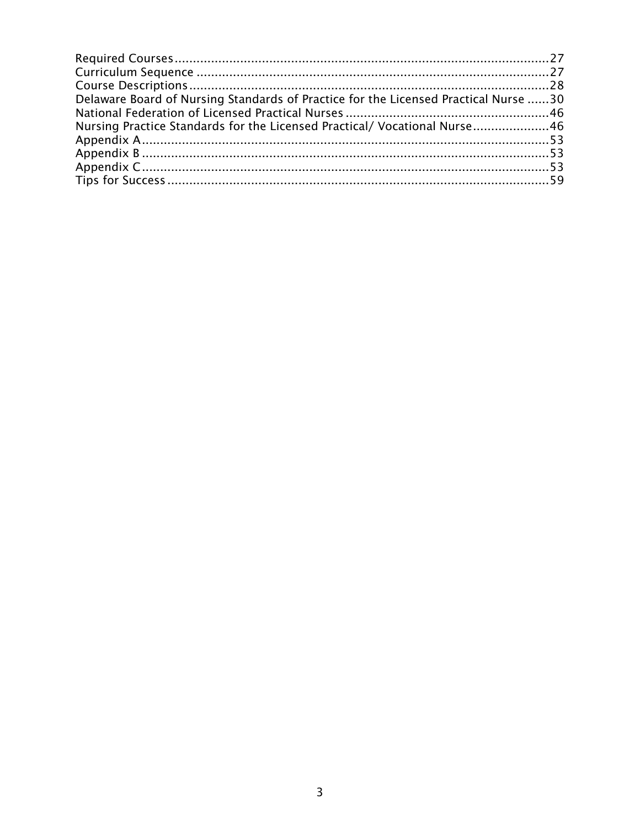| Delaware Board of Nursing Standards of Practice for the Licensed Practical Nurse 30 |  |
|-------------------------------------------------------------------------------------|--|
|                                                                                     |  |
| Nursing Practice Standards for the Licensed Practical/ Vocational Nurse46           |  |
|                                                                                     |  |
|                                                                                     |  |
|                                                                                     |  |
|                                                                                     |  |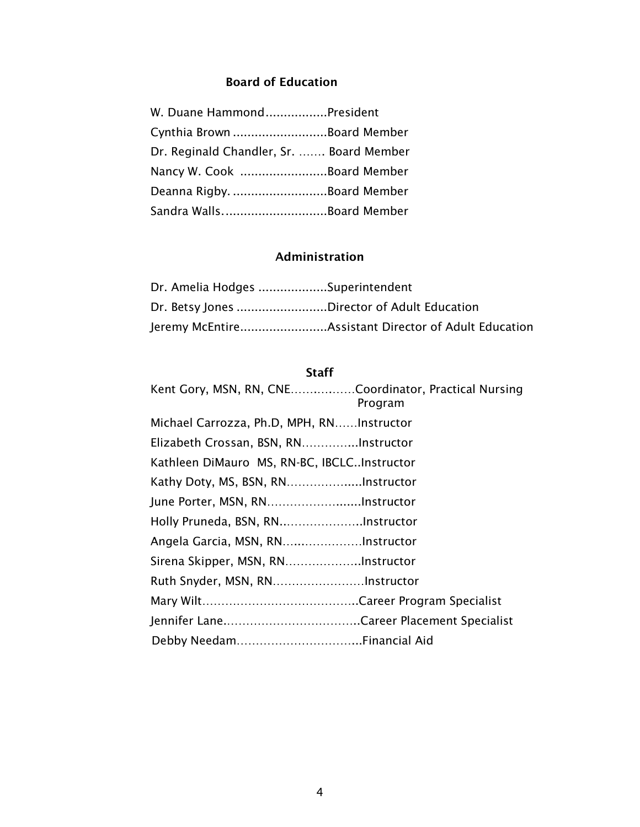#### Board of Education

<span id="page-3-0"></span>

| W. Duane HammondPresident                |  |
|------------------------------------------|--|
| Cynthia Brown Board Member               |  |
| Dr. Reginald Chandler, Sr.  Board Member |  |
| Nancy W. Cook Board Member               |  |
| Deanna Rigby. Board Member               |  |
| Sandra WallsBoard Member                 |  |

## Administration

<span id="page-3-1"></span>

| Dr. Amelia Hodges Superintendent            |                                                      |
|---------------------------------------------|------------------------------------------------------|
| Dr. Betsy Jones Director of Adult Education |                                                      |
|                                             | Jeremy McEntireAssistant Director of Adult Education |

#### **Staff**

<span id="page-3-2"></span>

| Kent Gory, MSN, RN, CNECoordinator, Practical Nursing | Program |
|-------------------------------------------------------|---------|
| Michael Carrozza, Ph.D, MPH, RNInstructor             |         |
| Elizabeth Crossan, BSN, RNInstructor                  |         |
| Kathleen DiMauro MS, RN-BC, IBCLCInstructor           |         |
| Kathy Doty, MS, BSN, RNInstructor                     |         |
| June Porter, MSN, RNInstructor                        |         |
|                                                       |         |
|                                                       |         |
|                                                       |         |
| Ruth Snyder, MSN, RNInstructor                        |         |
|                                                       |         |
|                                                       |         |
|                                                       |         |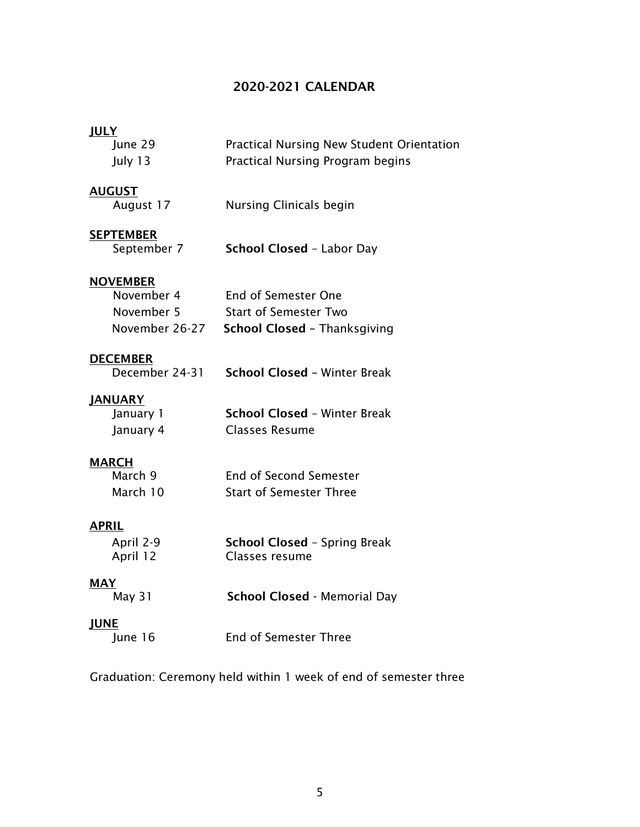#### <span id="page-4-0"></span>2020-2021 CALENDAR

#### **JULY**

| June 29 | <b>Practical Nursing New Student Orientation</b> |
|---------|--------------------------------------------------|
| July 13 | Practical Nursing Program begins                 |

#### AUGUST

| August 17 | Nursing Clinicals begin |  |
|-----------|-------------------------|--|
|           |                         |  |

#### **SEPTEMBER**

#### **NOVEMBER**

| November 4     | End of Semester One                 |
|----------------|-------------------------------------|
| November 5     | <b>Start of Semester Two</b>        |
| November 26-27 | <b>School Closed - Thanksgiving</b> |

#### **DECEMBER**

#### JANUARY

| January 1 | <b>School Closed - Winter Break</b> |
|-----------|-------------------------------------|
| January 4 | Classes Resume                      |

#### **MARCH**

| March 9  | <b>End of Second Semester</b>  |
|----------|--------------------------------|
| March 10 | <b>Start of Semester Three</b> |

#### APRIL

| April 2-9 | <b>School Closed - Spring Break</b> |
|-----------|-------------------------------------|
| April 12  | Classes resume                      |

MAY<br>May 31

School Closed - Memorial Day

JUNE<br>June 16

End of Semester Three

Graduation: Ceremony held within 1 week of end of semester three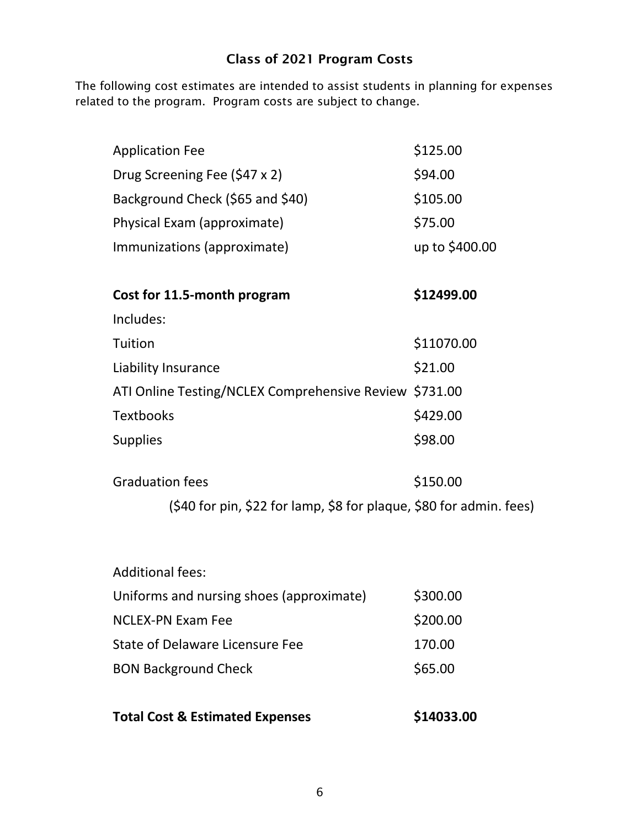## Class of 2021 Program Costs

<span id="page-5-1"></span><span id="page-5-0"></span>The following cost estimates are intended to assist students in planning for expenses related to the program. Program costs are subject to change.

| <b>Application Fee</b>                                              | \$125.00       |
|---------------------------------------------------------------------|----------------|
| Drug Screening Fee (\$47 x 2)                                       | \$94.00        |
| Background Check (\$65 and \$40)                                    | \$105.00       |
| Physical Exam (approximate)                                         | \$75.00        |
| Immunizations (approximate)                                         | up to \$400.00 |
|                                                                     |                |
| Cost for 11.5-month program                                         | \$12499.00     |
| Includes:                                                           |                |
| Tuition                                                             | \$11070.00     |
| Liability Insurance                                                 | \$21.00        |
| ATI Online Testing/NCLEX Comprehensive Review \$731.00              |                |
| <b>Textbooks</b>                                                    | \$429.00       |
| <b>Supplies</b>                                                     | \$98.00        |
|                                                                     |                |
| <b>Graduation fees</b>                                              | \$150.00       |
| (\$40 for pin, \$22 for lamp, \$8 for plaque, \$80 for admin. fees) |                |
|                                                                     |                |

| <b>Additional fees:</b>                  |          |
|------------------------------------------|----------|
| Uniforms and nursing shoes (approximate) | \$300.00 |
| <b>NCLEX-PN Exam Fee</b>                 | \$200.00 |
| State of Delaware Licensure Fee          | 170.00   |
| <b>BON Background Check</b>              | \$65.00  |
|                                          |          |

**Total Cost & Estimated Expenses** \$14033.00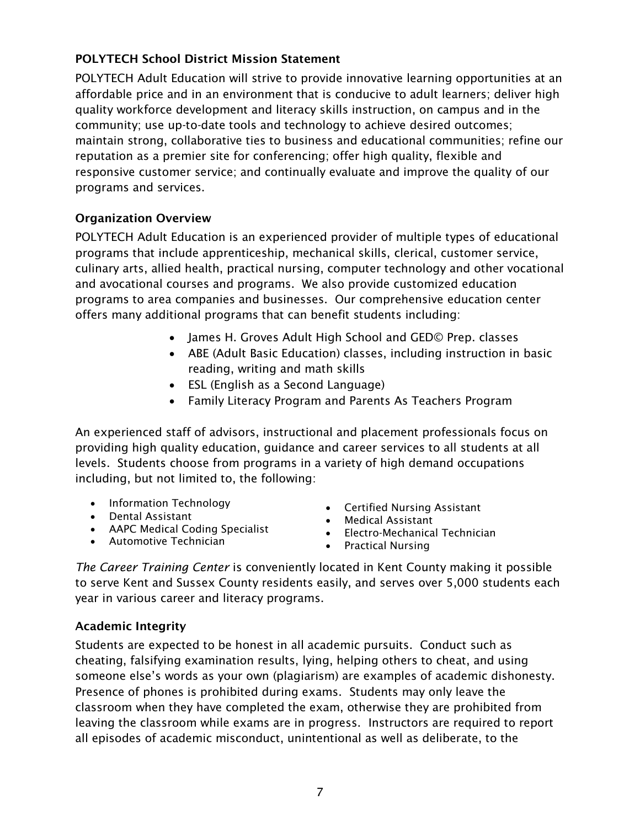## POLYTECH School District Mission Statement

POLYTECH Adult Education will strive to provide innovative learning opportunities at an affordable price and in an environment that is conducive to adult learners; deliver high quality workforce development and literacy skills instruction, on campus and in the community; use up-to-date tools and technology to achieve desired outcomes; maintain strong, collaborative ties to business and educational communities; refine our reputation as a premier site for conferencing; offer high quality, flexible and responsive customer service; and continually evaluate and improve the quality of our programs and services.

## <span id="page-6-0"></span>Organization Overview

POLYTECH Adult Education is an experienced provider of multiple types of educational programs that include apprenticeship, mechanical skills, clerical, customer service, culinary arts, allied health, practical nursing, computer technology and other vocational and avocational courses and programs. We also provide customized education programs to area companies and businesses. Our comprehensive education center offers many additional programs that can benefit students including:

- James H. Groves Adult High School and GED© Prep. classes
- ABE (Adult Basic Education) classes, including instruction in basic reading, writing and math skills
- ESL (English as a Second Language)
- Family Literacy Program and Parents As Teachers Program

An experienced staff of advisors, instructional and placement professionals focus on providing high quality education, guidance and career services to all students at all levels. Students choose from programs in a variety of high demand occupations including, but not limited to, the following:

- Information Technology
- Dental Assistant
- AAPC Medical Coding Specialist
- Automotive Technician
- Certified Nursing Assistant
- Medical Assistant
- Electro-Mechanical Technician
- Practical Nursing

*The Career Training Center* is conveniently located in Kent County making it possible to serve Kent and Sussex County residents easily, and serves over 5,000 students each year in various career and literacy programs.

## <span id="page-6-1"></span>Academic Integrity

Students are expected to be honest in all academic pursuits. Conduct such as cheating, falsifying examination results, lying, helping others to cheat, and using someone else's words as your own (plagiarism) are examples of academic dishonesty. Presence of phones is prohibited during exams. Students may only leave the classroom when they have completed the exam, otherwise they are prohibited from leaving the classroom while exams are in progress. Instructors are required to report all episodes of academic misconduct, unintentional as well as deliberate, to the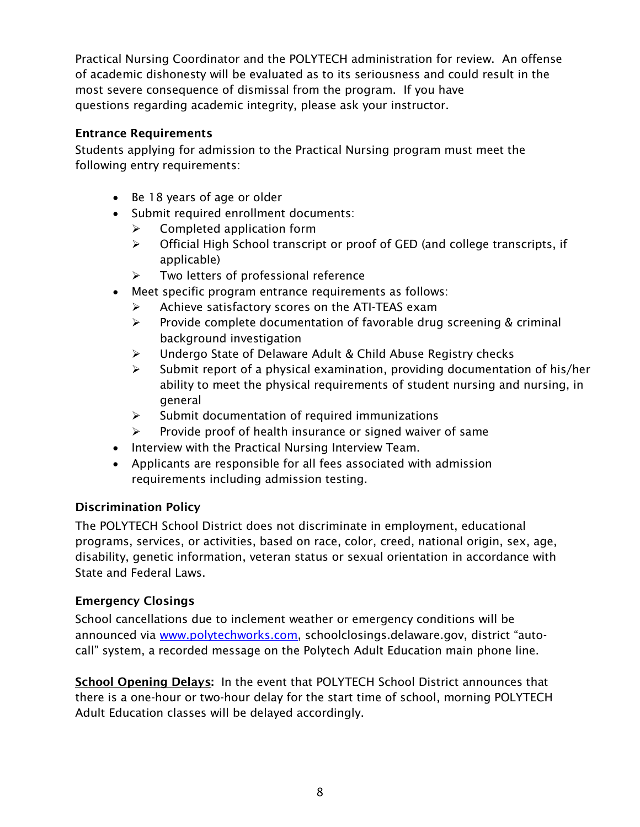Practical Nursing Coordinator and the POLYTECH administration for review. An offense of academic dishonesty will be evaluated as to its seriousness and could result in the most severe consequence of dismissal from the program. If you have questions regarding academic integrity, please ask your instructor.

## <span id="page-7-0"></span>Entrance Requirements

Students applying for admission to the Practical Nursing program must meet the following entry requirements:

- Be 18 years of age or older
- Submit required enrollment documents:
	- ➢ Completed application form
	- ➢ Official High School transcript or proof of GED (and college transcripts, if applicable)
	- ➢ Two letters of professional reference
- Meet specific program entrance requirements as follows:
	- ➢ Achieve satisfactory scores on the ATI-TEAS exam
	- $\triangleright$  Provide complete documentation of favorable drug screening & criminal background investigation
	- ➢ Undergo State of Delaware Adult & Child Abuse Registry checks
	- $\triangleright$  Submit report of a physical examination, providing documentation of his/her ability to meet the physical requirements of student nursing and nursing, in general
	- ➢ Submit documentation of required immunizations
	- $\triangleright$  Provide proof of health insurance or signed waiver of same
- Interview with the Practical Nursing Interview Team.
- Applicants are responsible for all fees associated with admission requirements including admission testing.

## <span id="page-7-1"></span>Discrimination Policy

The POLYTECH School District does not discriminate in employment, educational programs, services, or activities, based on race, color, creed, national origin, sex, age, disability, genetic information, veteran status or sexual orientation in accordance with State and Federal Laws.

## <span id="page-7-2"></span>Emergency Closings

School cancellations due to inclement weather or emergency conditions will be announced via [www.polytechworks.com,](http://www.polytechworks.com/) schoolclosings.delaware.gov, district "autocall" system, a recorded message on the Polytech Adult Education main phone line.

School Opening Delays: In the event that POLYTECH School District announces that there is a one-hour or two-hour delay for the start time of school, morning POLYTECH Adult Education classes will be delayed accordingly.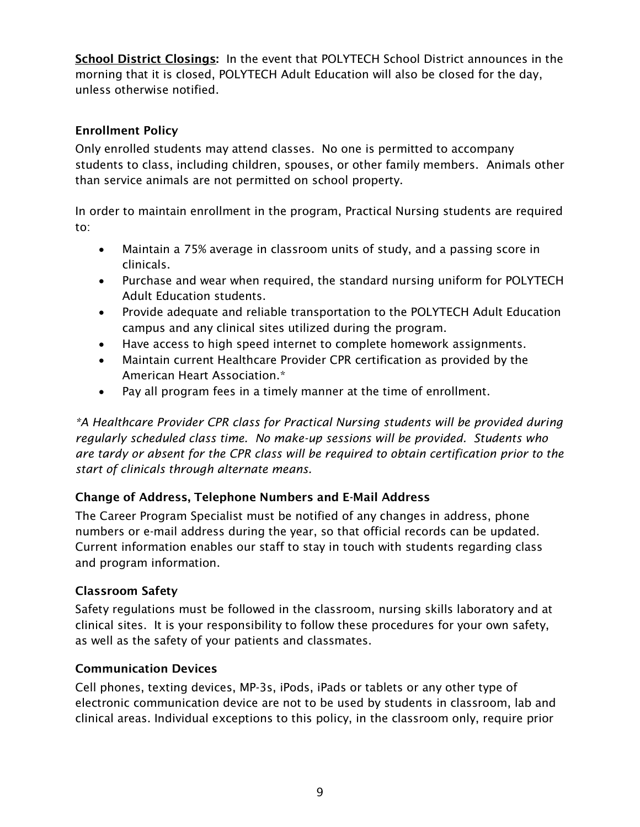School District Closings: In the event that POLYTECH School District announces in the morning that it is closed, POLYTECH Adult Education will also be closed for the day, unless otherwise notified.

## <span id="page-8-0"></span>Enrollment Policy

Only enrolled students may attend classes. No one is permitted to accompany students to class, including children, spouses, or other family members. Animals other than service animals are not permitted on school property.

In order to maintain enrollment in the program, Practical Nursing students are required to:

- Maintain a 75% average in classroom units of study, and a passing score in clinicals.
- Purchase and wear when required, the standard nursing uniform for POLYTECH Adult Education students.
- Provide adequate and reliable transportation to the POLYTECH Adult Education campus and any clinical sites utilized during the program.
- Have access to high speed internet to complete homework assignments.
- Maintain current Healthcare Provider CPR certification as provided by the American Heart Association.\*
- Pay all program fees in a timely manner at the time of enrollment.

*\*A Healthcare Provider CPR class for Practical Nursing students will be provided during regularly scheduled class time. No make-up sessions will be provided. Students who are tardy or absent for the CPR class will be required to obtain certification prior to the start of clinicals through alternate means.*

## <span id="page-8-1"></span>Change of Address, Telephone Numbers and E-Mail Address

The Career Program Specialist must be notified of any changes in address, phone numbers or e-mail address during the year, so that official records can be updated. Current information enables our staff to stay in touch with students regarding class and program information.

## <span id="page-8-2"></span>Classroom Safety

Safety regulations must be followed in the classroom, nursing skills laboratory and at clinical sites. It is your responsibility to follow these procedures for your own safety, as well as the safety of your patients and classmates.

#### <span id="page-8-3"></span>Communication Devices

Cell phones, texting devices, MP-3s, iPods, iPads or tablets or any other type of electronic communication device are not to be used by students in classroom, lab and clinical areas. Individual exceptions to this policy, in the classroom only, require prior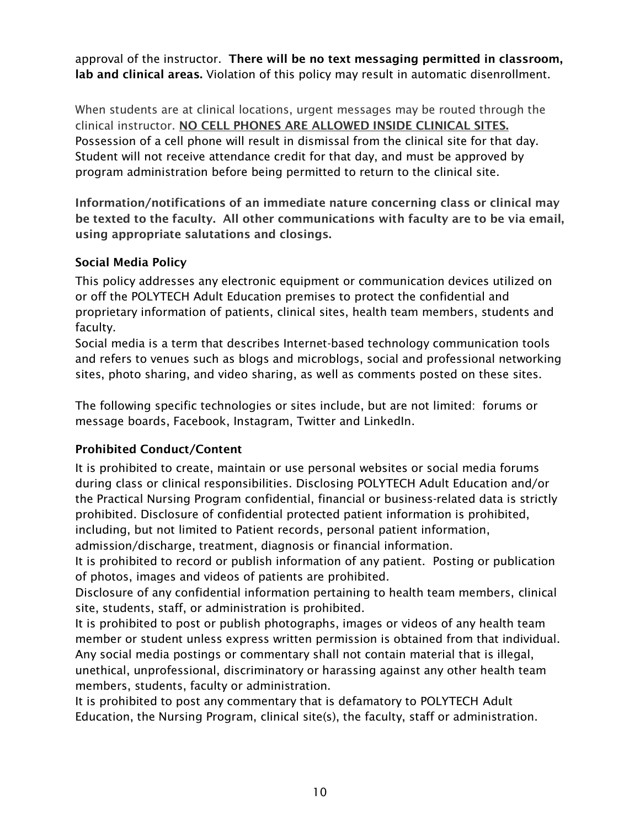approval of the instructor. There will be no text messaging permitted in classroom, lab and clinical areas. Violation of this policy may result in automatic disenrollment.

When students are at clinical locations, urgent messages may be routed through the clinical instructor. NO CELL PHONES ARE ALLOWED INSIDE CLINICAL SITES. Possession of a cell phone will result in dismissal from the clinical site for that day. Student will not receive attendance credit for that day, and must be approved by program administration before being permitted to return to the clinical site.

Information/notifications of an immediate nature concerning class or clinical may be texted to the faculty. All other communications with faculty are to be via email, using appropriate salutations and closings.

## <span id="page-9-0"></span>Social Media Policy

This policy addresses any electronic equipment or communication devices utilized on or off the POLYTECH Adult Education premises to protect the confidential and proprietary information of patients, clinical sites, health team members, students and faculty.

Social media is a term that describes Internet-based technology communication tools and refers to venues such as blogs and microblogs, social and professional networking sites, photo sharing, and video sharing, as well as comments posted on these sites.

The following specific technologies or sites include, but are not limited: forums or message boards, Facebook, Instagram, Twitter and LinkedIn.

## Prohibited Conduct/Content

It is prohibited to create, maintain or use personal websites or social media forums during class or clinical responsibilities. Disclosing POLYTECH Adult Education and/or the Practical Nursing Program confidential, financial or business-related data is strictly prohibited. Disclosure of confidential protected patient information is prohibited, including, but not limited to Patient records, personal patient information, admission/discharge, treatment, diagnosis or financial information.

It is prohibited to record or publish information of any patient. Posting or publication of photos, images and videos of patients are prohibited.

Disclosure of any confidential information pertaining to health team members, clinical site, students, staff, or administration is prohibited.

It is prohibited to post or publish photographs, images or videos of any health team member or student unless express written permission is obtained from that individual. Any social media postings or commentary shall not contain material that is illegal, unethical, unprofessional, discriminatory or harassing against any other health team members, students, faculty or administration.

It is prohibited to post any commentary that is defamatory to POLYTECH Adult Education, the Nursing Program, clinical site(s), the faculty, staff or administration.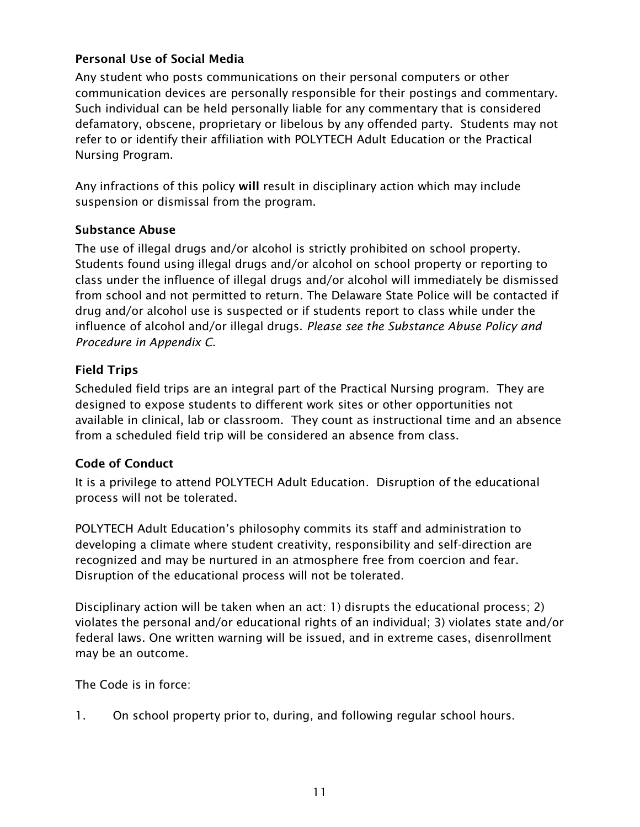## Personal Use of Social Media

Any student who posts communications on their personal computers or other communication devices are personally responsible for their postings and commentary. Such individual can be held personally liable for any commentary that is considered defamatory, obscene, proprietary or libelous by any offended party. Students may not refer to or identify their affiliation with POLYTECH Adult Education or the Practical Nursing Program.

Any infractions of this policy will result in disciplinary action which may include suspension or dismissal from the program.

## <span id="page-10-0"></span>Substance Abuse

The use of illegal drugs and/or alcohol is strictly prohibited on school property. Students found using illegal drugs and/or alcohol on school property or reporting to class under the influence of illegal drugs and/or alcohol will immediately be dismissed from school and not permitted to return. The Delaware State Police will be contacted if drug and/or alcohol use is suspected or if students report to class while under the influence of alcohol and/or illegal drugs. *Please see the Substance Abuse Policy and Procedure in Appendix C.*

#### <span id="page-10-1"></span>Field Trips

Scheduled field trips are an integral part of the Practical Nursing program. They are designed to expose students to different work sites or other opportunities not available in clinical, lab or classroom. They count as instructional time and an absence from a scheduled field trip will be considered an absence from class.

## <span id="page-10-2"></span>Code of Conduct

It is a privilege to attend POLYTECH Adult Education. Disruption of the educational process will not be tolerated.

POLYTECH Adult Education's philosophy commits its staff and administration to developing a climate where student creativity, responsibility and self-direction are recognized and may be nurtured in an atmosphere free from coercion and fear. Disruption of the educational process will not be tolerated.

Disciplinary action will be taken when an act: 1) disrupts the educational process; 2) violates the personal and/or educational rights of an individual; 3) violates state and/or federal laws. One written warning will be issued, and in extreme cases, disenrollment may be an outcome.

The Code is in force:

1. On school property prior to, during, and following regular school hours.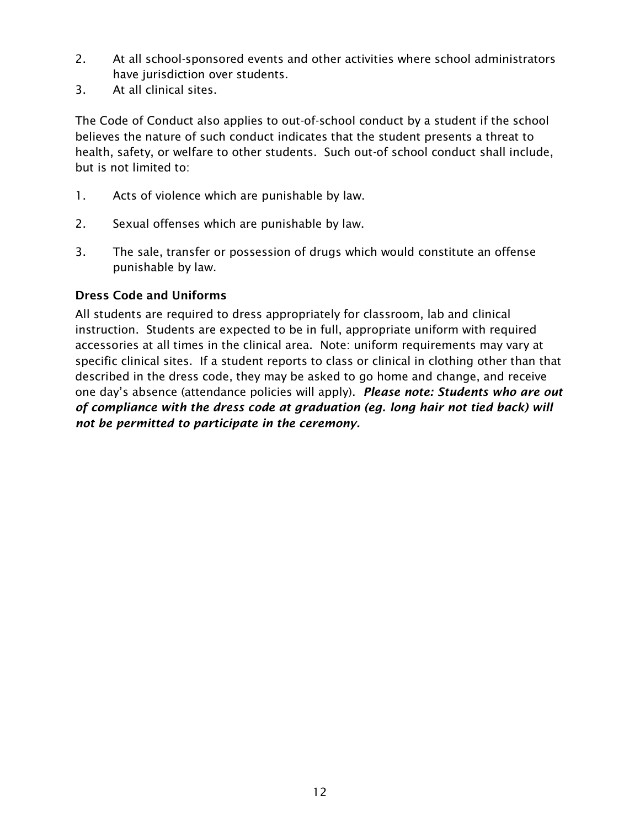- 2. At all school-sponsored events and other activities where school administrators have jurisdiction over students.
- 3. At all clinical sites.

The Code of Conduct also applies to out-of-school conduct by a student if the school believes the nature of such conduct indicates that the student presents a threat to health, safety, or welfare to other students. Such out-of school conduct shall include, but is not limited to:

- 1. Acts of violence which are punishable by law.
- 2. Sexual offenses which are punishable by law.
- 3. The sale, transfer or possession of drugs which would constitute an offense punishable by law.

#### <span id="page-11-0"></span>Dress Code and Uniforms

All students are required to dress appropriately for classroom, lab and clinical instruction. Students are expected to be in full, appropriate uniform with required accessories at all times in the clinical area. Note: uniform requirements may vary at specific clinical sites. If a student reports to class or clinical in clothing other than that described in the dress code, they may be asked to go home and change, and receive one day's absence (attendance policies will apply). *Please note: Students who are out of compliance with the dress code at graduation (eg. long hair not tied back) will not be permitted to participate in the ceremony.*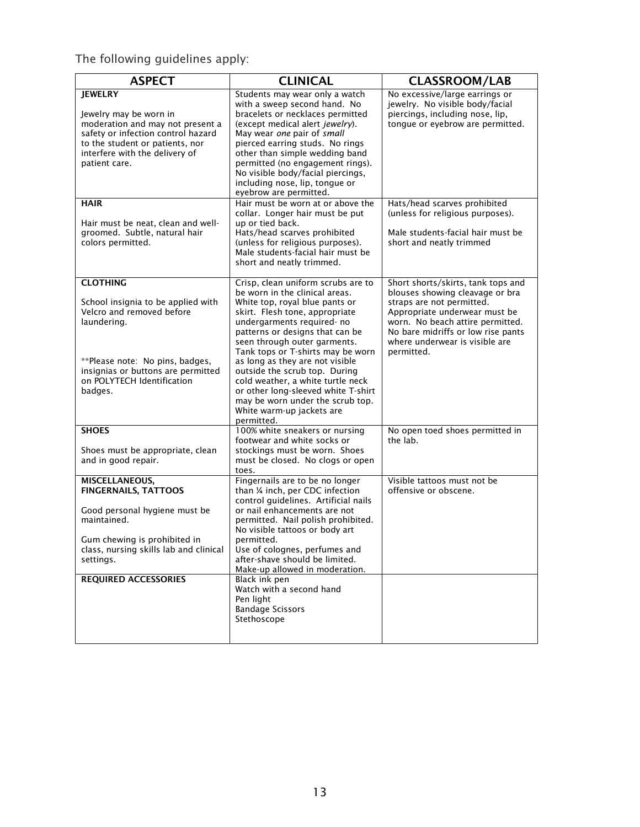The following guidelines apply:

<span id="page-12-0"></span>

| <b>ASPECT</b><br><b>CLINICAL</b>                                                                                                                                                                                           |                                                                                                                                                                                                                                                                                                                                                                                                                                                                                                               | <b>CLASSROOM/LAB</b>                                                                                                                                                                                                                                          |
|----------------------------------------------------------------------------------------------------------------------------------------------------------------------------------------------------------------------------|---------------------------------------------------------------------------------------------------------------------------------------------------------------------------------------------------------------------------------------------------------------------------------------------------------------------------------------------------------------------------------------------------------------------------------------------------------------------------------------------------------------|---------------------------------------------------------------------------------------------------------------------------------------------------------------------------------------------------------------------------------------------------------------|
| <b>JEWELRY</b><br>Jewelry may be worn in<br>moderation and may not present a<br>safety or infection control hazard<br>to the student or patients, nor<br>interfere with the delivery of<br>patient care.                   | Students may wear only a watch<br>with a sweep second hand. No<br>bracelets or necklaces permitted<br>(except medical alert jewelry).<br>May wear one pair of small<br>pierced earring studs. No rings<br>other than simple wedding band<br>permitted (no engagement rings).<br>No visible body/facial piercings,<br>including nose, lip, tongue or<br>eyebrow are permitted.                                                                                                                                 | No excessive/large earrings or<br>jewelry. No visible body/facial<br>piercings, including nose, lip,<br>tongue or eyebrow are permitted.                                                                                                                      |
| <b>HAIR</b><br>Hair must be neat, clean and well-<br>groomed. Subtle, natural hair<br>colors permitted.                                                                                                                    | Hair must be worn at or above the<br>collar. Longer hair must be put<br>up or tied back.<br>Hats/head scarves prohibited<br>(unless for religious purposes).<br>Male students-facial hair must be<br>short and neatly trimmed.                                                                                                                                                                                                                                                                                | Hats/head scarves prohibited<br>(unless for religious purposes).<br>Male students-facial hair must be<br>short and neatly trimmed                                                                                                                             |
| <b>CLOTHING</b><br>School insignia to be applied with<br>Velcro and removed before<br>laundering.<br>**Please note: No pins, badges,<br>insignias or buttons are permitted<br>on POLYTECH Identification<br>badges.        | Crisp, clean uniform scrubs are to<br>be worn in the clinical areas.<br>White top, royal blue pants or<br>skirt. Flesh tone, appropriate<br>undergarments required- no<br>patterns or designs that can be<br>seen through outer garments.<br>Tank tops or T-shirts may be worn<br>as long as they are not visible<br>outside the scrub top. During<br>cold weather, a white turtle neck<br>or other long-sleeved white T-shirt<br>may be worn under the scrub top.<br>White warm-up jackets are<br>permitted. | Short shorts/skirts, tank tops and<br>blouses showing cleavage or bra<br>straps are not permitted.<br>Appropriate underwear must be<br>worn. No beach attire permitted.<br>No bare midriffs or low rise pants<br>where underwear is visible are<br>permitted. |
| <b>SHOES</b><br>Shoes must be appropriate, clean<br>and in good repair.                                                                                                                                                    | 100% white sneakers or nursing<br>footwear and white socks or<br>stockings must be worn. Shoes<br>must be closed. No clogs or open<br>toes.                                                                                                                                                                                                                                                                                                                                                                   | No open toed shoes permitted in<br>the lab.                                                                                                                                                                                                                   |
| <b>MISCELLANEOUS,</b><br><b>FINGERNAILS, TATTOOS</b><br>Good personal hygiene must be<br>maintained.<br>Gum chewing is prohibited in<br>class, nursing skills lab and clinical<br>settings.<br><b>REQUIRED ACCESSORIES</b> | Fingernails are to be no longer<br>than 1/4 inch, per CDC infection<br>control quidelines. Artificial nails<br>or nail enhancements are not<br>permitted. Nail polish prohibited.<br>No visible tattoos or body art<br>permitted.<br>Use of colognes, perfumes and<br>after-shave should be limited.<br>Make-up allowed in moderation.<br>Black ink pen<br>Watch with a second hand<br>Pen light<br><b>Bandage Scissors</b><br>Stethoscope                                                                    | Visible tattoos must not be<br>offensive or obscene.                                                                                                                                                                                                          |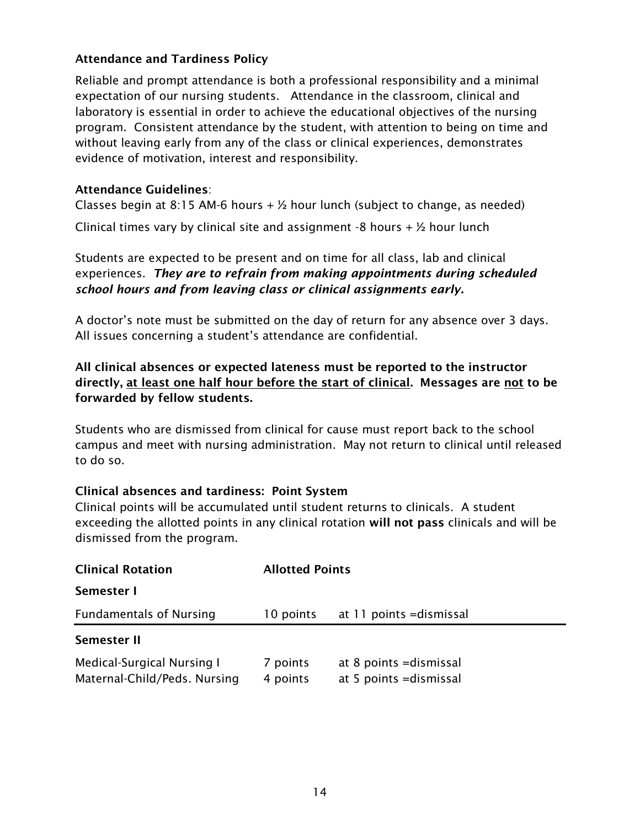#### Attendance and Tardiness Policy

Reliable and prompt attendance is both a professional responsibility and a minimal expectation of our nursing students. Attendance in the classroom, clinical and laboratory is essential in order to achieve the educational objectives of the nursing program. Consistent attendance by the student, with attention to being on time and without leaving early from any of the class or clinical experiences, demonstrates evidence of motivation, interest and responsibility.

#### Attendance Guidelines:

Classes begin at 8:15 AM-6 hours  $+$   $\frac{1}{2}$  hour lunch (subject to change, as needed)

Clinical times vary by clinical site and assignment -8 hours  $+$   $\frac{1}{2}$  hour lunch

Students are expected to be present and on time for all class, lab and clinical experiences. *They are to refrain from making appointments during scheduled school hours and from leaving class or clinical assignments early.*

A doctor's note must be submitted on the day of return for any absence over 3 days. All issues concerning a student's attendance are confidential.

## All clinical absences or expected lateness must be reported to the instructor directly, at least one half hour before the start of clinical. Messages are not to be forwarded by fellow students.

Students who are dismissed from clinical for cause must report back to the school campus and meet with nursing administration. May not return to clinical until released to do so.

#### Clinical absences and tardiness: Point System

Clinical points will be accumulated until student returns to clinicals. A student exceeding the allotted points in any clinical rotation will not pass clinicals and will be dismissed from the program.

| <b>Clinical Rotation</b>                                   | <b>Allotted Points</b> |                                                    |  |
|------------------------------------------------------------|------------------------|----------------------------------------------------|--|
| Semester I                                                 |                        |                                                    |  |
| <b>Fundamentals of Nursing</b>                             | 10 points              | at 11 points = dismissal                           |  |
| Semester II                                                |                        |                                                    |  |
| Medical-Surgical Nursing I<br>Maternal-Child/Peds. Nursing | 7 points<br>4 points   | at 8 points = dismissal<br>at 5 points = dismissal |  |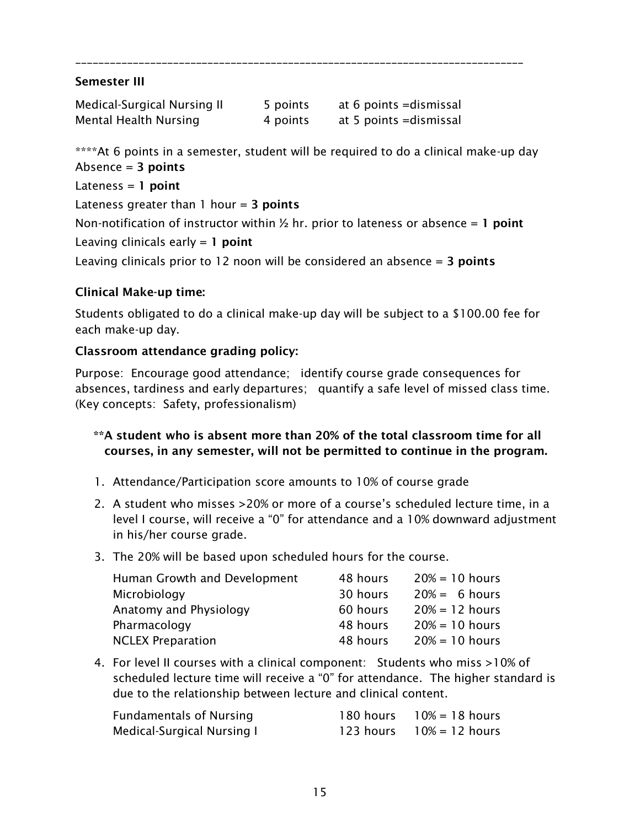#### Semester III

| Medical-Surgical Nursing II | 5 points | at 6 points = dismissal |
|-----------------------------|----------|-------------------------|
| Mental Health Nursing       | 4 points | at 5 points = dismissal |

\*\*\*\*At 6 points in a semester, student will be required to do a clinical make-up day Absence  $= 3$  points

\_\_\_\_\_\_\_\_\_\_\_\_\_\_\_\_\_\_\_\_\_\_\_\_\_\_\_\_\_\_\_\_\_\_\_\_\_\_\_\_\_\_\_\_\_\_\_\_\_\_\_\_\_\_\_\_\_\_\_\_\_\_\_\_\_\_\_\_\_\_\_\_\_\_\_\_\_\_

Lateness  $= 1$  point

Lateness greater than  $1$  hour = 3 points

Non-notification of instructor within  $\frac{1}{2}$  hr. prior to lateness or absence = 1 point Leaving clinicals early  $= 1$  point

Leaving clinicals prior to 12 noon will be considered an absence  $=$  3 points

#### Clinical Make-up time:

Students obligated to do a clinical make-up day will be subject to a \$100.00 fee for each make-up day.

#### Classroom attendance grading policy:

Purpose: Encourage good attendance; identify course grade consequences for absences, tardiness and early departures; quantify a safe level of missed class time. (Key concepts: Safety, professionalism)

#### \*\*A student who is absent more than 20% of the total classroom time for all courses, in any semester, will not be permitted to continue in the program.

- 1. Attendance/Participation score amounts to 10% of course grade
- 2. A student who misses >20% or more of a course's scheduled lecture time, in a level I course, will receive a "0" for attendance and a 10% downward adjustment in his/her course grade.
- 3. The 20% will be based upon scheduled hours for the course.

| Human Growth and Development | 48 hours | $20% = 10$ hours |
|------------------------------|----------|------------------|
| Microbiology                 | 30 hours | $20\% = 6$ hours |
| Anatomy and Physiology       | 60 hours | $20% = 12$ hours |
| Pharmacology                 | 48 hours | $20% = 10$ hours |
| <b>NCLEX Preparation</b>     | 48 hours | $20% = 10$ hours |

4. For level II courses with a clinical component: Students who miss >10% of scheduled lecture time will receive a "0" for attendance. The higher standard is due to the relationship between lecture and clinical content.

| <b>Fundamentals of Nursing</b> | 180 hours $10\% = 18$ hours |
|--------------------------------|-----------------------------|
| Medical-Surgical Nursing I     | 123 hours $10\% = 12$ hours |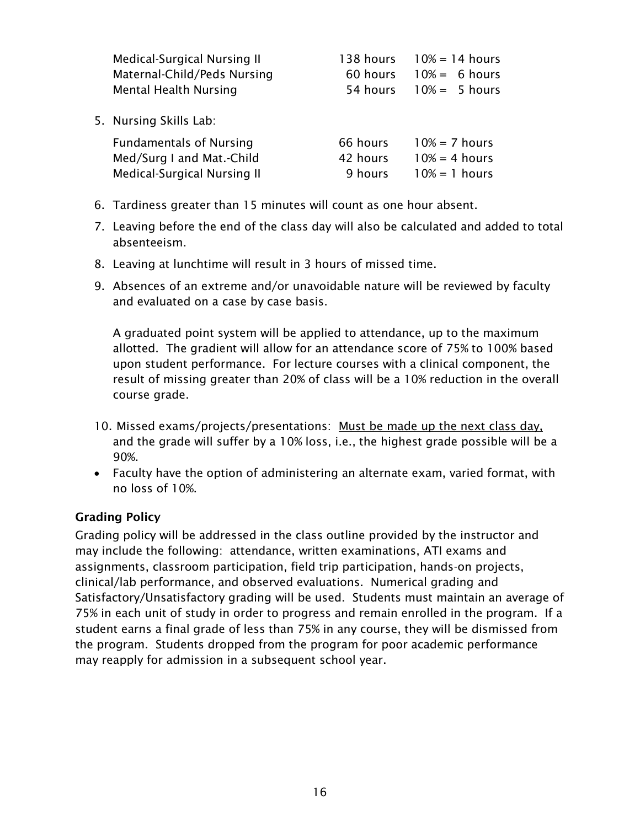| Medical-Surgical Nursing II    | 138 hours | $10% = 14$ hours |
|--------------------------------|-----------|------------------|
| Maternal-Child/Peds Nursing    | 60 hours  | $10% = 6 hours$  |
| <b>Mental Health Nursing</b>   | 54 hours  | $10% = 5 hours$  |
| 5. Nursing Skills Lab:         |           |                  |
| <b>Fundamentals of Nursing</b> | 66 hours  | $10% = 7$ hours  |
| Med/Surg I and Mat.-Child      | 42 hours  | $10% = 4 hours$  |
| Medical-Surgical Nursing II    | 9 hours   | $10% = 1$ hours  |

- 6. Tardiness greater than 15 minutes will count as one hour absent.
- 7. Leaving before the end of the class day will also be calculated and added to total absenteeism.
- 8. Leaving at lunchtime will result in 3 hours of missed time.
- 9. Absences of an extreme and/or unavoidable nature will be reviewed by faculty and evaluated on a case by case basis.

A graduated point system will be applied to attendance, up to the maximum allotted. The gradient will allow for an attendance score of 75% to 100% based upon student performance. For lecture courses with a clinical component, the result of missing greater than 20% of class will be a 10% reduction in the overall course grade.

- 10. Missed exams/projects/presentations: Must be made up the next class day, and the grade will suffer by a 10% loss, i.e., the highest grade possible will be a 90%.
- Faculty have the option of administering an alternate exam, varied format, with no loss of 10%.

## <span id="page-15-0"></span>Grading Policy

Grading policy will be addressed in the class outline provided by the instructor and may include the following: attendance, written examinations, ATI exams and assignments, classroom participation, field trip participation, hands-on projects, clinical/lab performance, and observed evaluations. Numerical grading and Satisfactory/Unsatisfactory grading will be used. Students must maintain an average of 75% in each unit of study in order to progress and remain enrolled in the program. If a student earns a final grade of less than 75% in any course, they will be dismissed from the program. Students dropped from the program for poor academic performance may reapply for admission in a subsequent school year.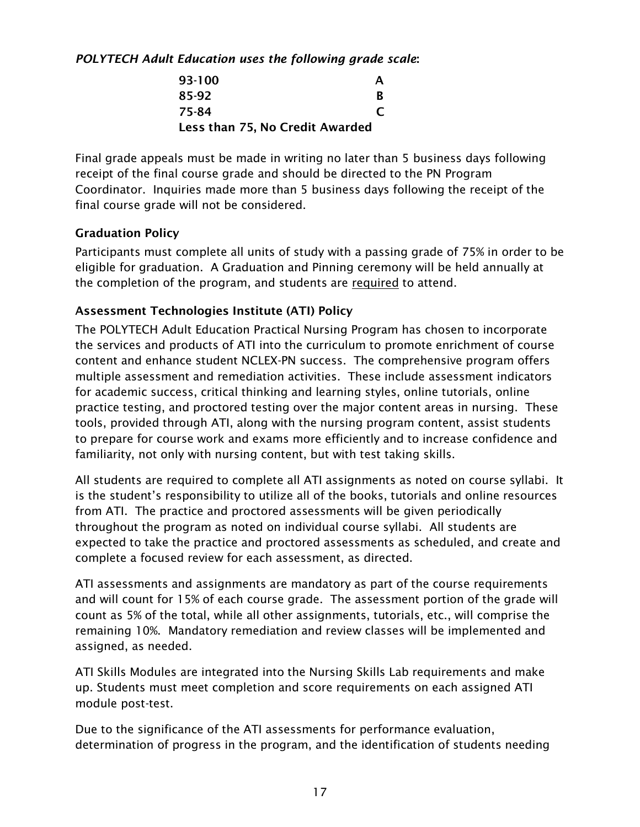*POLYTECH Adult Education uses the following grade scale*:

| 93-100                          | А |
|---------------------------------|---|
| 85-92                           | R |
| 75-84                           |   |
| Less than 75, No Credit Awarded |   |

Final grade appeals must be made in writing no later than 5 business days following receipt of the final course grade and should be directed to the PN Program Coordinator. Inquiries made more than 5 business days following the receipt of the final course grade will not be considered.

#### <span id="page-16-0"></span>Graduation Policy

Participants must complete all units of study with a passing grade of 75% in order to be eligible for graduation. A Graduation and Pinning ceremony will be held annually at the completion of the program, and students are required to attend.

## <span id="page-16-1"></span>Assessment Technologies Institute (ATI) Policy

The POLYTECH Adult Education Practical Nursing Program has chosen to incorporate the services and products of ATI into the curriculum to promote enrichment of course content and enhance student NCLEX-PN success. The comprehensive program offers multiple assessment and remediation activities. These include assessment indicators for academic success, critical thinking and learning styles, online tutorials, online practice testing, and proctored testing over the major content areas in nursing. These tools, provided through ATI, along with the nursing program content, assist students to prepare for course work and exams more efficiently and to increase confidence and familiarity, not only with nursing content, but with test taking skills.

All students are required to complete all ATI assignments as noted on course syllabi. It is the student's responsibility to utilize all of the books, tutorials and online resources from ATI. The practice and proctored assessments will be given periodically throughout the program as noted on individual course syllabi. All students are expected to take the practice and proctored assessments as scheduled, and create and complete a focused review for each assessment, as directed.

ATI assessments and assignments are mandatory as part of the course requirements and will count for 15% of each course grade. The assessment portion of the grade will count as 5% of the total, while all other assignments, tutorials, etc., will comprise the remaining 10%. Mandatory remediation and review classes will be implemented and assigned, as needed.

ATI Skills Modules are integrated into the Nursing Skills Lab requirements and make up. Students must meet completion and score requirements on each assigned ATI module post-test.

Due to the significance of the ATI assessments for performance evaluation, determination of progress in the program, and the identification of students needing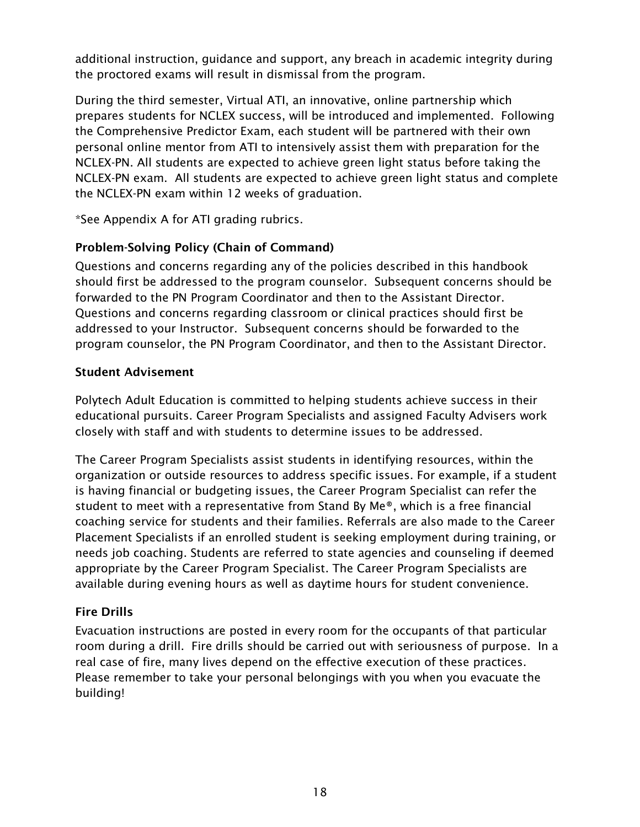additional instruction, guidance and support, any breach in academic integrity during the proctored exams will result in dismissal from the program.

During the third semester, Virtual ATI, an innovative, online partnership which prepares students for NCLEX success, will be introduced and implemented. Following the Comprehensive Predictor Exam, each student will be partnered with their own personal online mentor from ATI to intensively assist them with preparation for the NCLEX-PN. All students are expected to achieve green light status before taking the NCLEX-PN exam. All students are expected to achieve green light status and complete the NCLEX-PN exam within 12 weeks of graduation.

\*See Appendix A for ATI grading rubrics.

## <span id="page-17-0"></span>Problem-Solving Policy (Chain of Command)

Questions and concerns regarding any of the policies described in this handbook should first be addressed to the program counselor. Subsequent concerns should be forwarded to the PN Program Coordinator and then to the Assistant Director. Questions and concerns regarding classroom or clinical practices should first be addressed to your Instructor. Subsequent concerns should be forwarded to the program counselor, the PN Program Coordinator, and then to the Assistant Director.

#### <span id="page-17-1"></span>Student Advisement

<span id="page-17-2"></span>Polytech Adult Education is committed to helping students achieve success in their educational pursuits. Career Program Specialists and assigned Faculty Advisers work closely with staff and with students to determine issues to be addressed.

The Career Program Specialists assist students in identifying resources, within the organization or outside resources to address specific issues. For example, if a student is having financial or budgeting issues, the Career Program Specialist can refer the student to meet with a representative from Stand By Me®, which is a free financial coaching service for students and their families. Referrals are also made to the Career Placement Specialists if an enrolled student is seeking employment during training, or needs job coaching. Students are referred to state agencies and counseling if deemed appropriate by the Career Program Specialist. The Career Program Specialists are available during evening hours as well as daytime hours for student convenience.

## Fire Drills

Evacuation instructions are posted in every room for the occupants of that particular room during a drill. Fire drills should be carried out with seriousness of purpose. In a real case of fire, many lives depend on the effective execution of these practices. Please remember to take your personal belongings with you when you evacuate the building!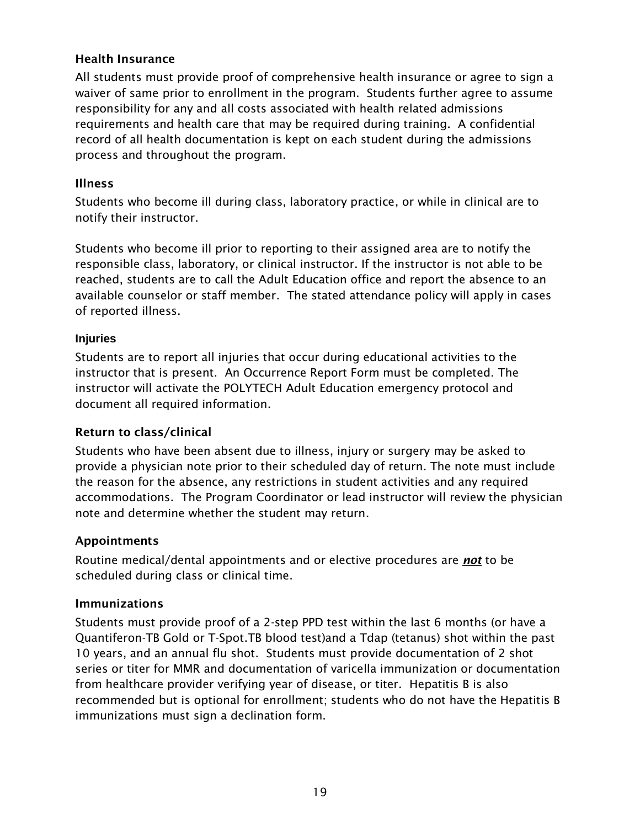#### <span id="page-18-0"></span>Health Insurance

All students must provide proof of comprehensive health insurance or agree to sign a waiver of same prior to enrollment in the program. Students further agree to assume responsibility for any and all costs associated with health related admissions requirements and health care that may be required during training. A confidential record of all health documentation is kept on each student during the admissions process and throughout the program.

#### <span id="page-18-1"></span>Illness

Students who become ill during class, laboratory practice, or while in clinical are to notify their instructor.

Students who become ill prior to reporting to their assigned area are to notify the responsible class, laboratory, or clinical instructor. If the instructor is not able to be reached, students are to call the Adult Education office and report the absence to an available counselor or staff member. The stated attendance policy will apply in cases of reported illness.

#### **Injuries**

Students are to report all injuries that occur during educational activities to the instructor that is present. An Occurrence Report Form must be completed. The instructor will activate the POLYTECH Adult Education emergency protocol and document all required information.

## <span id="page-18-2"></span>Return to class/clinical

Students who have been absent due to illness, injury or surgery may be asked to provide a physician note prior to their scheduled day of return. The note must include the reason for the absence, any restrictions in student activities and any required accommodations. The Program Coordinator or lead instructor will review the physician note and determine whether the student may return.

## <span id="page-18-3"></span>Appointments

Routine medical/dental appointments and or elective procedures are *not* to be scheduled during class or clinical time.

#### <span id="page-18-4"></span>Immunizations

Students must provide proof of a 2-step PPD test within the last 6 months (or have a Quantiferon-TB Gold or T-Spot.TB blood test)and a Tdap (tetanus) shot within the past 10 years, and an annual flu shot. Students must provide documentation of 2 shot series or titer for MMR and documentation of varicella immunization or documentation from healthcare provider verifying year of disease, or titer. Hepatitis B is also recommended but is optional for enrollment; students who do not have the Hepatitis B immunizations must sign a declination form.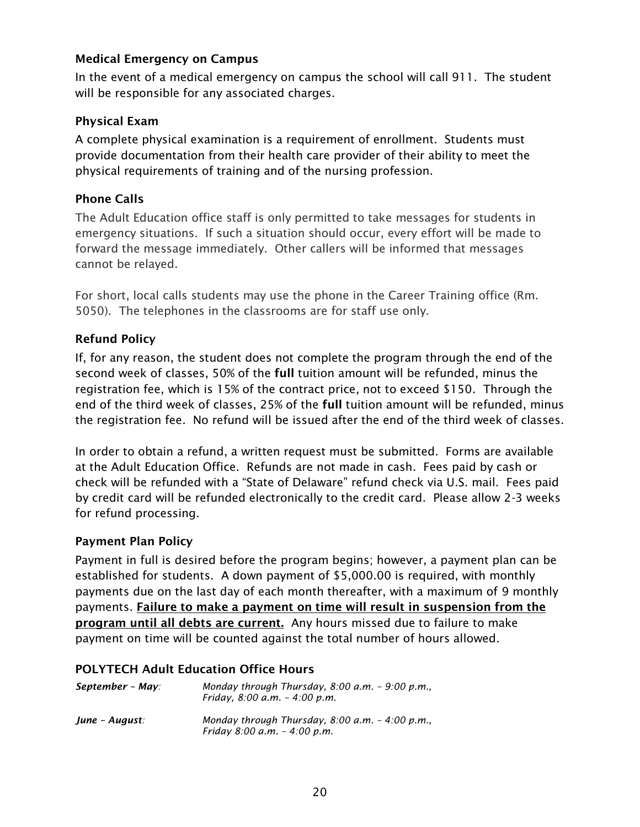#### <span id="page-19-0"></span>Medical Emergency on Campus

In the event of a medical emergency on campus the school will call 911. The student will be responsible for any associated charges.

#### <span id="page-19-1"></span>Physical Exam

A complete physical examination is a requirement of enrollment. Students must provide documentation from their health care provider of their ability to meet the physical requirements of training and of the nursing profession.

#### <span id="page-19-2"></span>Phone Calls

The Adult Education office staff is only permitted to take messages for students in emergency situations. If such a situation should occur, every effort will be made to forward the message immediately. Other callers will be informed that messages cannot be relayed.

For short, local calls students may use the phone in the Career Training office (Rm. 5050). The telephones in the classrooms are for staff use only.

## <span id="page-19-3"></span>Refund Policy

If, for any reason, the student does not complete the program through the end of the second week of classes, 50% of the full tuition amount will be refunded, minus the registration fee, which is 15% of the contract price, not to exceed \$150. Through the end of the third week of classes, 25% of the full tuition amount will be refunded, minus the registration fee. No refund will be issued after the end of the third week of classes.

In order to obtain a refund, a written request must be submitted. Forms are available at the Adult Education Office. Refunds are not made in cash. Fees paid by cash or check will be refunded with a "State of Delaware" refund check via U.S. mail. Fees paid by credit card will be refunded electronically to the credit card. Please allow 2-3 weeks for refund processing.

#### <span id="page-19-4"></span>Payment Plan Policy

Payment in full is desired before the program begins; however, a payment plan can be established for students. A down payment of \$5,000.00 is required, with monthly payments due on the last day of each month thereafter, with a maximum of 9 monthly payments. Failure to make a payment on time will result in suspension from the program until all debts are current. Any hours missed due to failure to make payment on time will be counted against the total number of hours allowed.

#### POLYTECH Adult Education Office Hours

| September - May: | Monday through Thursday, $8:00$ a.m. - $9:00$ p.m.,<br>Friday, $8.00$ a.m. $-$ 4.00 p.m. |
|------------------|------------------------------------------------------------------------------------------|
| June - August:   | Monday through Thursday, $8:00$ a.m. $-4:00$ p.m.,<br>Friday 8:00 a.m. $-$ 4:00 p.m.     |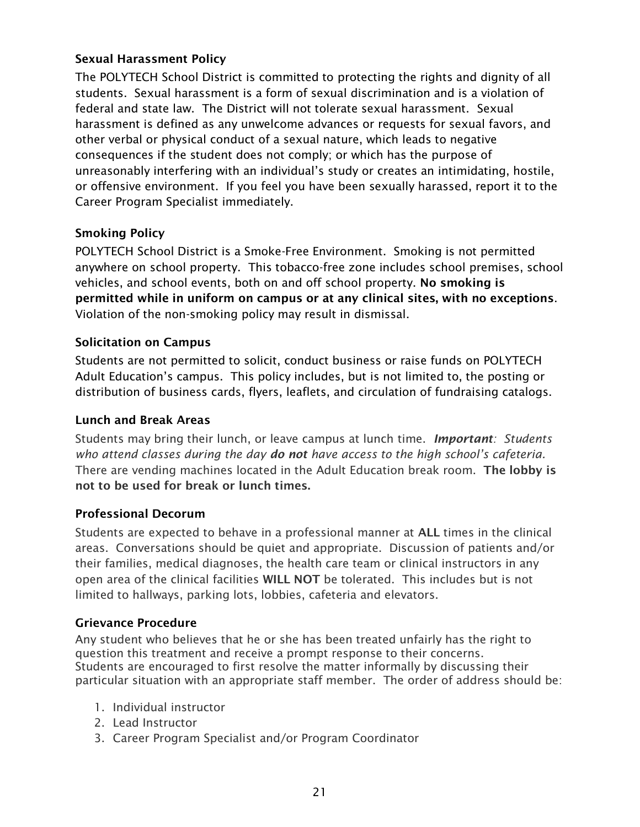## <span id="page-20-0"></span>Sexual Harassment Policy

The POLYTECH School District is committed to protecting the rights and dignity of all students. Sexual harassment is a form of sexual discrimination and is a violation of federal and state law. The District will not tolerate sexual harassment. Sexual harassment is defined as any unwelcome advances or requests for sexual favors, and other verbal or physical conduct of a sexual nature, which leads to negative consequences if the student does not comply; or which has the purpose of unreasonably interfering with an individual's study or creates an intimidating, hostile, or offensive environment. If you feel you have been sexually harassed, report it to the Career Program Specialist immediately.

## Smoking Policy

POLYTECH School District is a Smoke-Free Environment. Smoking is not permitted anywhere on school property. This tobacco-free zone includes school premises, school vehicles, and school events, both on and off school property. No smoking is permitted while in uniform on campus or at any clinical sites, with no exceptions. Violation of the non-smoking policy may result in dismissal.

#### <span id="page-20-1"></span>Solicitation on Campus

Students are not permitted to solicit, conduct business or raise funds on POLYTECH Adult Education's campus. This policy includes, but is not limited to, the posting or distribution of business cards, flyers, leaflets, and circulation of fundraising catalogs.

#### <span id="page-20-2"></span>Lunch and Break Areas

Students may bring their lunch, or leave campus at lunch time. *Important: Students who attend classes during the day do not have access to the high school's cafeteria.*  There are vending machines located in the Adult Education break room. The lobby is not to be used for break or lunch times.

#### Professional Decorum

Students are expected to behave in a professional manner at ALL times in the clinical areas. Conversations should be quiet and appropriate. Discussion of patients and/or their families, medical diagnoses, the health care team or clinical instructors in any open area of the clinical facilities WILL NOT be tolerated. This includes but is not limited to hallways, parking lots, lobbies, cafeteria and elevators.

#### <span id="page-20-3"></span>Grievance Procedure

Any student who believes that he or she has been treated unfairly has the right to question this treatment and receive a prompt response to their concerns. Students are encouraged to first resolve the matter informally by discussing their particular situation with an appropriate staff member. The order of address should be:

- 1. Individual instructor
- 2. Lead Instructor
- 3. Career Program Specialist and/or Program Coordinator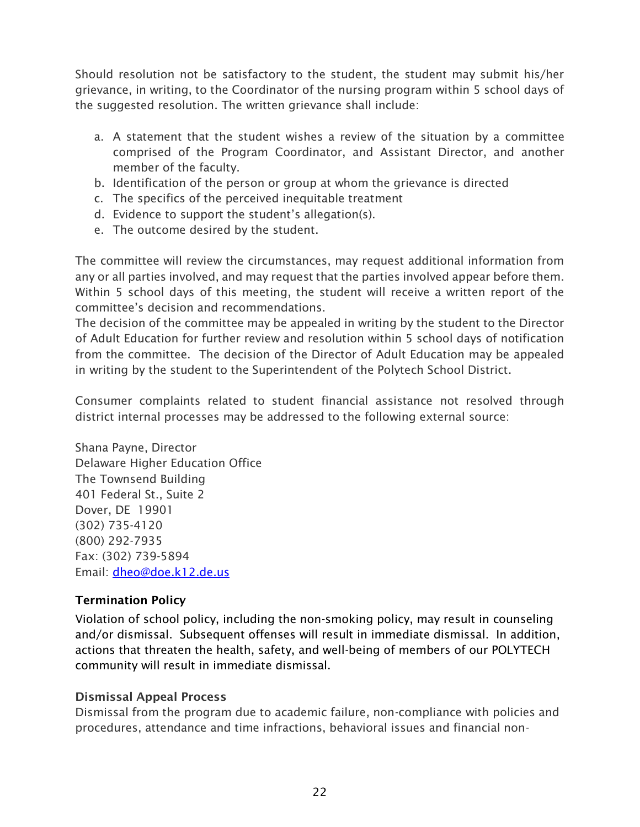Should resolution not be satisfactory to the student, the student may submit his/her grievance, in writing, to the Coordinator of the nursing program within 5 school days of the suggested resolution. The written grievance shall include:

- a. A statement that the student wishes a review of the situation by a committee comprised of the Program Coordinator, and Assistant Director, and another member of the faculty.
- b. Identification of the person or group at whom the grievance is directed
- c. The specifics of the perceived inequitable treatment
- d. Evidence to support the student's allegation(s).
- e. The outcome desired by the student.

The committee will review the circumstances, may request additional information from any or all parties involved, and may request that the parties involved appear before them. Within 5 school days of this meeting, the student will receive a written report of the committee's decision and recommendations.

The decision of the committee may be appealed in writing by the student to the Director of Adult Education for further review and resolution within 5 school days of notification from the committee. The decision of the Director of Adult Education may be appealed in writing by the student to the Superintendent of the Polytech School District.

Consumer complaints related to student financial assistance not resolved through district internal processes may be addressed to the following external source:

Shana Payne, Director Delaware Higher Education Office The Townsend Building 401 Federal St., Suite 2 Dover, DE 19901 (302) 735-4120 (800) 292-7935 Fax: (302) 739-5894 Email: [dheo@doe.k12.de.us](mailto:dheo@doe.k12.de.us)

## <span id="page-21-0"></span>Termination Policy

Violation of school policy, including the non-smoking policy, may result in counseling and/or dismissal. Subsequent offenses will result in immediate dismissal. In addition, actions that threaten the health, safety, and well-being of members of our POLYTECH community will result in immediate dismissal.

## Dismissal Appeal Process

Dismissal from the program due to academic failure, non-compliance with policies and procedures, attendance and time infractions, behavioral issues and financial non-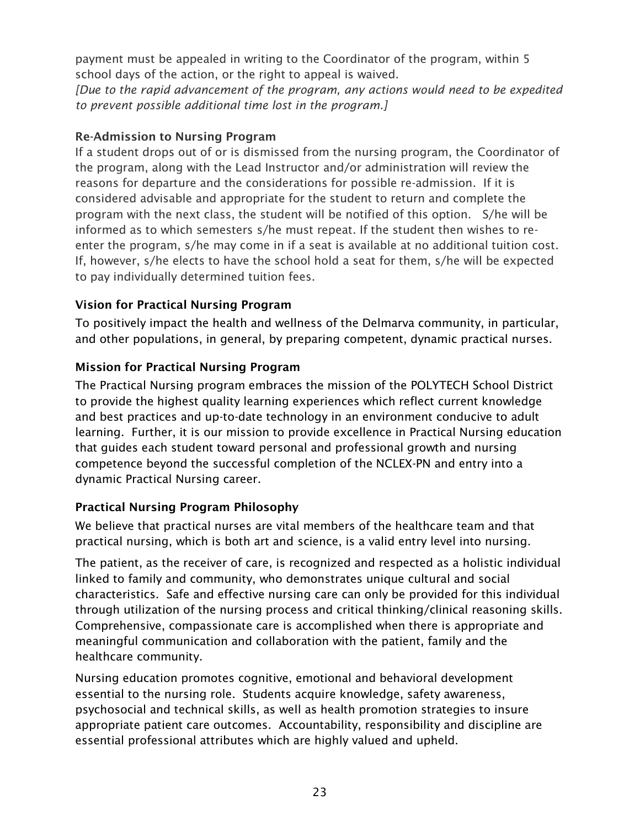payment must be appealed in writing to the Coordinator of the program, within 5 school days of the action, or the right to appeal is waived.

*[Due to the rapid advancement of the program, any actions would need to be expedited to prevent possible additional time lost in the program.]* 

## Re-Admission to Nursing Program

If a student drops out of or is dismissed from the nursing program, the Coordinator of the program, along with the Lead Instructor and/or administration will review the reasons for departure and the considerations for possible re-admission. If it is considered advisable and appropriate for the student to return and complete the program with the next class, the student will be notified of this option. S/he will be informed as to which semesters s/he must repeat. If the student then wishes to reenter the program, s/he may come in if a seat is available at no additional tuition cost. If, however, s/he elects to have the school hold a seat for them, s/he will be expected to pay individually determined tuition fees.

## <span id="page-22-0"></span>Vision for Practical Nursing Program

To positively impact the health and wellness of the Delmarva community, in particular, and other populations, in general, by preparing competent, dynamic practical nurses.

## <span id="page-22-1"></span>Mission for Practical Nursing Program

The Practical Nursing program embraces the mission of the POLYTECH School District to provide the highest quality learning experiences which reflect current knowledge and best practices and up-to-date technology in an environment conducive to adult learning. Further, it is our mission to provide excellence in Practical Nursing education that guides each student toward personal and professional growth and nursing competence beyond the successful completion of the NCLEX-PN and entry into a dynamic Practical Nursing career.

## <span id="page-22-2"></span>Practical Nursing Program Philosophy

We believe that practical nurses are vital members of the healthcare team and that practical nursing, which is both art and science, is a valid entry level into nursing.

The patient, as the receiver of care, is recognized and respected as a holistic individual linked to family and community, who demonstrates unique cultural and social characteristics. Safe and effective nursing care can only be provided for this individual through utilization of the nursing process and critical thinking/clinical reasoning skills. Comprehensive, compassionate care is accomplished when there is appropriate and meaningful communication and collaboration with the patient, family and the healthcare community.

Nursing education promotes cognitive, emotional and behavioral development essential to the nursing role. Students acquire knowledge, safety awareness, psychosocial and technical skills, as well as health promotion strategies to insure appropriate patient care outcomes. Accountability, responsibility and discipline are essential professional attributes which are highly valued and upheld.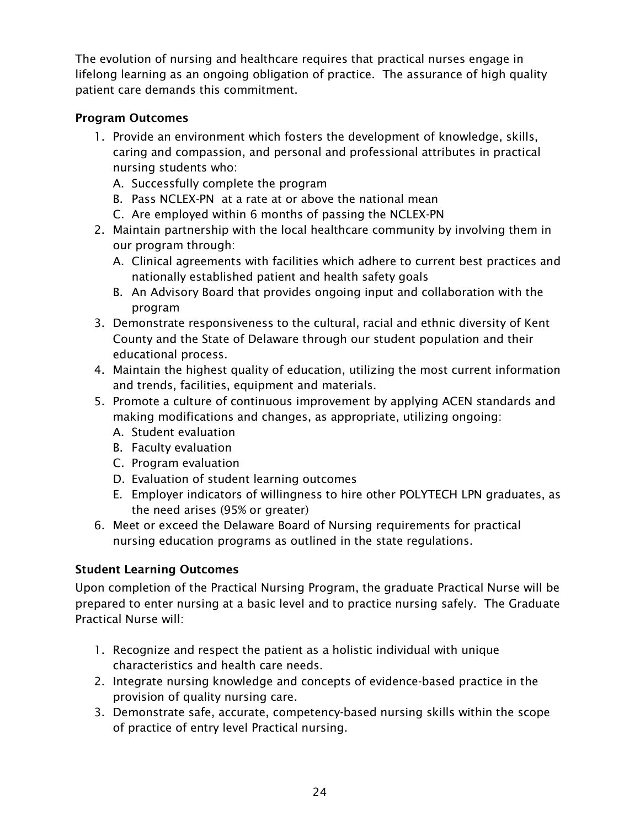The evolution of nursing and healthcare requires that practical nurses engage in lifelong learning as an ongoing obligation of practice. The assurance of high quality patient care demands this commitment.

## <span id="page-23-0"></span>Program Outcomes

- 1. Provide an environment which fosters the development of knowledge, skills, caring and compassion, and personal and professional attributes in practical nursing students who:
	- A. Successfully complete the program
	- B. Pass NCLEX-PN at a rate at or above the national mean
	- C. Are employed within 6 months of passing the NCLEX-PN
- 2. Maintain partnership with the local healthcare community by involving them in our program through:
	- A. Clinical agreements with facilities which adhere to current best practices and nationally established patient and health safety goals
	- B. An Advisory Board that provides ongoing input and collaboration with the program
- 3. Demonstrate responsiveness to the cultural, racial and ethnic diversity of Kent County and the State of Delaware through our student population and their educational process.
- 4. Maintain the highest quality of education, utilizing the most current information and trends, facilities, equipment and materials.
- 5. Promote a culture of continuous improvement by applying ACEN standards and making modifications and changes, as appropriate, utilizing ongoing:
	- A. Student evaluation
	- B. Faculty evaluation
	- C. Program evaluation
	- D. Evaluation of student learning outcomes
	- E. Employer indicators of willingness to hire other POLYTECH LPN graduates, as the need arises (95% or greater)
- 6. Meet or exceed the Delaware Board of Nursing requirements for practical nursing education programs as outlined in the state regulations.

## <span id="page-23-1"></span>Student Learning Outcomes

Upon completion of the Practical Nursing Program, the graduate Practical Nurse will be prepared to enter nursing at a basic level and to practice nursing safely. The Graduate Practical Nurse will:

- 1. Recognize and respect the patient as a holistic individual with unique characteristics and health care needs.
- 2. Integrate nursing knowledge and concepts of evidence-based practice in the provision of quality nursing care.
- 3. Demonstrate safe, accurate, competency-based nursing skills within the scope of practice of entry level Practical nursing.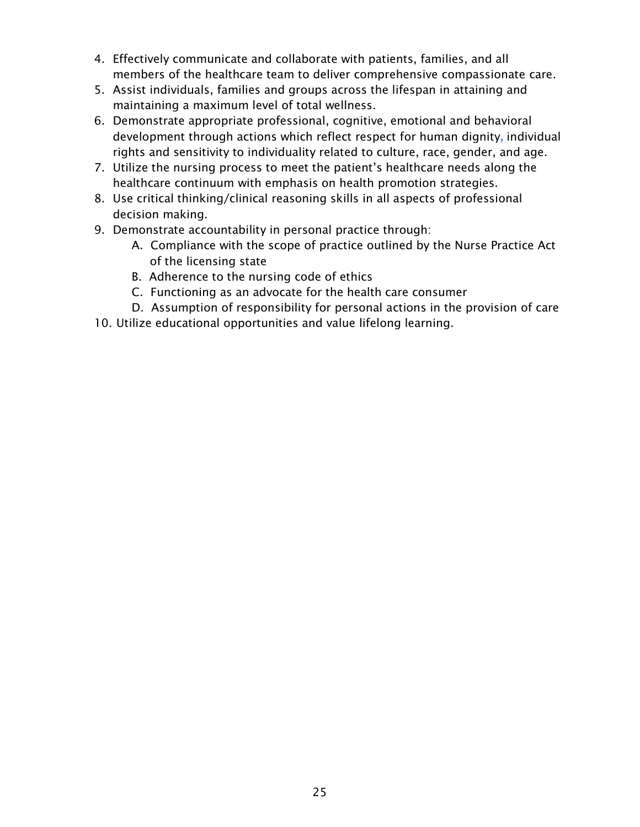- 4. Effectively communicate and collaborate with patients, families, and all members of the healthcare team to deliver comprehensive compassionate care.
- 5. Assist individuals, families and groups across the lifespan in attaining and maintaining a maximum level of total wellness.
- 6. Demonstrate appropriate professional, cognitive, emotional and behavioral development through actions which reflect respect for human dignity, individual rights and sensitivity to individuality related to culture, race, gender, and age.
- 7. Utilize the nursing process to meet the patient's healthcare needs along the healthcare continuum with emphasis on health promotion strategies.
- 8. Use critical thinking/clinical reasoning skills in all aspects of professional decision making.
- 9. Demonstrate accountability in personal practice through:
	- A. Compliance with the scope of practice outlined by the Nurse Practice Act of the licensing state
	- B. Adherence to the nursing code of ethics
	- C. Functioning as an advocate for the health care consumer
	- D. Assumption of responsibility for personal actions in the provision of care
- 10. Utilize educational opportunities and value lifelong learning.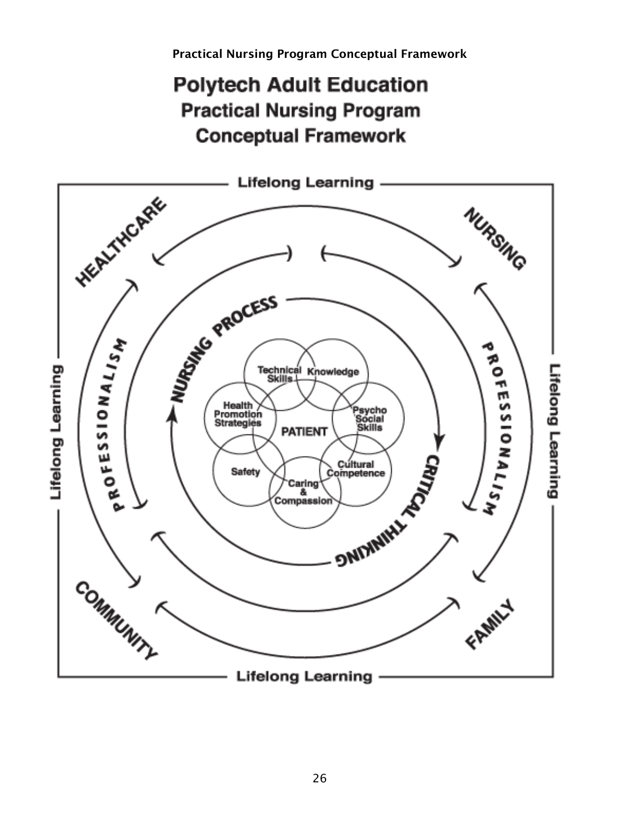<span id="page-25-0"></span>Practical Nursing Program Conceptual Framework

## **Polytech Adult Education Practical Nursing Program Conceptual Framework**

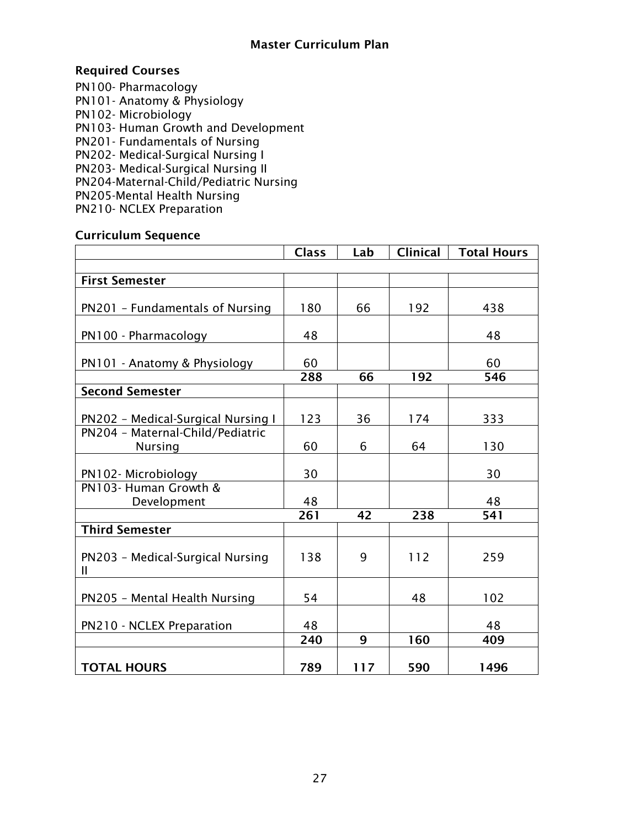#### Master Curriculum Plan

## <span id="page-26-1"></span><span id="page-26-0"></span>Required Courses

PN100- Pharmacology PN101- Anatomy & Physiology PN102- Microbiology PN103- Human Growth and Development PN201- Fundamentals of Nursing PN202- Medical-Surgical Nursing I PN203- Medical-Surgical Nursing II PN204-Maternal-Child/Pediatric Nursing PN205-Mental Health Nursing PN210- NCLEX Preparation

#### <span id="page-26-2"></span>Curriculum Sequence

<span id="page-26-3"></span>

|                                                    | <b>Class</b> | Lab | <b>Clinical</b> | <b>Total Hours</b> |
|----------------------------------------------------|--------------|-----|-----------------|--------------------|
|                                                    |              |     |                 |                    |
| <b>First Semester</b>                              |              |     |                 |                    |
| PN201 - Fundamentals of Nursing                    | 180          | 66  | 192             | 438                |
| PN100 - Pharmacology                               | 48           |     |                 | 48                 |
| PN101 - Anatomy & Physiology                       | 60           |     |                 | 60                 |
|                                                    | 288          | 66  | 192             | 546                |
| <b>Second Semester</b>                             |              |     |                 |                    |
| PN202 - Medical-Surgical Nursing I                 | 123          | 36  | 174             | 333                |
| PN204 - Maternal-Child/Pediatric<br><b>Nursing</b> | 60           | 6   | 64              | 130                |
| PN102-Microbiology                                 | 30           |     |                 | 30                 |
| PN103- Human Growth &<br>Development               | 48           |     |                 | 48                 |
|                                                    | 261          | 42  | 238             | 541                |
| <b>Third Semester</b>                              |              |     |                 |                    |
| PN203 - Medical-Surgical Nursing<br>$\mathbf{I}$   | 138          | 9   | 112             | 259                |
| PN205 - Mental Health Nursing                      | 54           |     | 48              | 102                |
| PN210 - NCLEX Preparation                          | 48           |     |                 | 48                 |
|                                                    | 240          | 9   | 160             | 409                |
| <b>TOTAL HOURS</b>                                 | 789          | 117 | 590             | 1496               |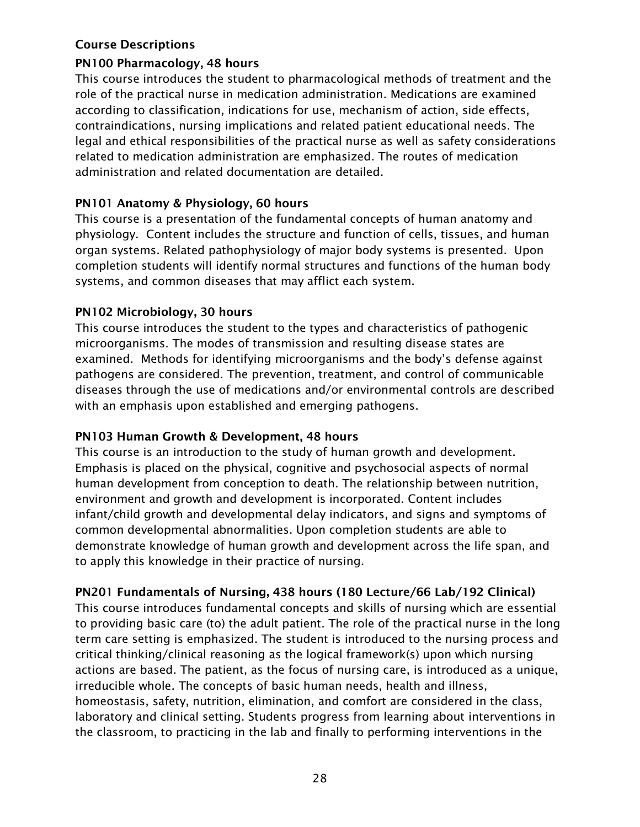#### Course Descriptions

#### PN100 Pharmacology, 48 hours

This course introduces the student to pharmacological methods of treatment and the role of the practical nurse in medication administration. Medications are examined according to classification, indications for use, mechanism of action, side effects, contraindications, nursing implications and related patient educational needs. The legal and ethical responsibilities of the practical nurse as well as safety considerations related to medication administration are emphasized. The routes of medication administration and related documentation are detailed.

#### PN101 Anatomy & Physiology, 60 hours

This course is a presentation of the fundamental concepts of human anatomy and physiology. Content includes the structure and function of cells, tissues, and human organ systems. Related pathophysiology of major body systems is presented. Upon completion students will identify normal structures and functions of the human body systems, and common diseases that may afflict each system.

#### PN102 Microbiology, 30 hours

This course introduces the student to the types and characteristics of pathogenic microorganisms. The modes of transmission and resulting disease states are examined. Methods for identifying microorganisms and the body's defense against pathogens are considered. The prevention, treatment, and control of communicable diseases through the use of medications and/or environmental controls are described with an emphasis upon established and emerging pathogens.

## PN103 Human Growth & Development, 48 hours

This course is an introduction to the study of human growth and development. Emphasis is placed on the physical, cognitive and psychosocial aspects of normal human development from conception to death. The relationship between nutrition, environment and growth and development is incorporated. Content includes infant/child growth and developmental delay indicators, and signs and symptoms of common developmental abnormalities. Upon completion students are able to demonstrate knowledge of human growth and development across the life span, and to apply this knowledge in their practice of nursing.

## PN201 Fundamentals of Nursing, 438 hours (180 Lecture/66 Lab/192 Clinical)

This course introduces fundamental concepts and skills of nursing which are essential to providing basic care (to) the adult patient. The role of the practical nurse in the long term care setting is emphasized. The student is introduced to the nursing process and critical thinking/clinical reasoning as the logical framework(s) upon which nursing actions are based. The patient, as the focus of nursing care, is introduced as a unique, irreducible whole. The concepts of basic human needs, health and illness, homeostasis, safety, nutrition, elimination, and comfort are considered in the class, laboratory and clinical setting. Students progress from learning about interventions in the classroom, to practicing in the lab and finally to performing interventions in the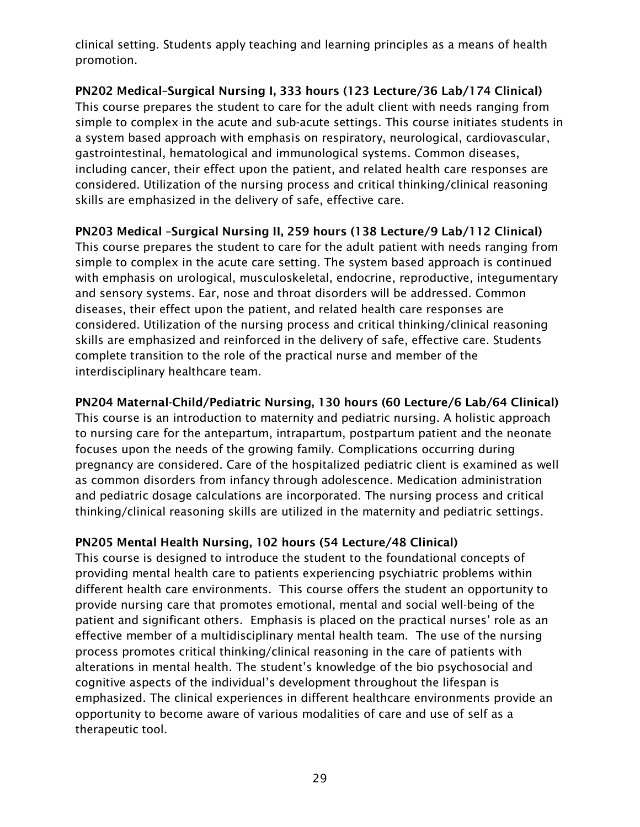clinical setting. Students apply teaching and learning principles as a means of health promotion.

PN202 Medical–Surgical Nursing I, 333 hours (123 Lecture/36 Lab/174 Clinical) This course prepares the student to care for the adult client with needs ranging from simple to complex in the acute and sub-acute settings. This course initiates students in a system based approach with emphasis on respiratory, neurological, cardiovascular, gastrointestinal, hematological and immunological systems. Common diseases, including cancer, their effect upon the patient, and related health care responses are considered. Utilization of the nursing process and critical thinking/clinical reasoning skills are emphasized in the delivery of safe, effective care.

PN203 Medical –Surgical Nursing II, 259 hours (138 Lecture/9 Lab/112 Clinical)

This course prepares the student to care for the adult patient with needs ranging from simple to complex in the acute care setting. The system based approach is continued with emphasis on urological, musculoskeletal, endocrine, reproductive, integumentary and sensory systems. Ear, nose and throat disorders will be addressed. Common diseases, their effect upon the patient, and related health care responses are considered. Utilization of the nursing process and critical thinking/clinical reasoning skills are emphasized and reinforced in the delivery of safe, effective care. Students complete transition to the role of the practical nurse and member of the interdisciplinary healthcare team.

## PN204 Maternal-Child/Pediatric Nursing, 130 hours (60 Lecture/6 Lab/64 Clinical)

This course is an introduction to maternity and pediatric nursing. A holistic approach to nursing care for the antepartum, intrapartum, postpartum patient and the neonate focuses upon the needs of the growing family. Complications occurring during pregnancy are considered. Care of the hospitalized pediatric client is examined as well as common disorders from infancy through adolescence. Medication administration and pediatric dosage calculations are incorporated. The nursing process and critical thinking/clinical reasoning skills are utilized in the maternity and pediatric settings.

## PN205 Mental Health Nursing, 102 hours (54 Lecture/48 Clinical)

This course is designed to introduce the student to the foundational concepts of providing mental health care to patients experiencing psychiatric problems within different health care environments. This course offers the student an opportunity to provide nursing care that promotes emotional, mental and social well-being of the patient and significant others. Emphasis is placed on the practical nurses' role as an effective member of a multidisciplinary mental health team. The use of the nursing process promotes critical thinking/clinical reasoning in the care of patients with alterations in mental health. The student's knowledge of the bio psychosocial and cognitive aspects of the individual's development throughout the lifespan is emphasized. The clinical experiences in different healthcare environments provide an opportunity to become aware of various modalities of care and use of self as a therapeutic tool.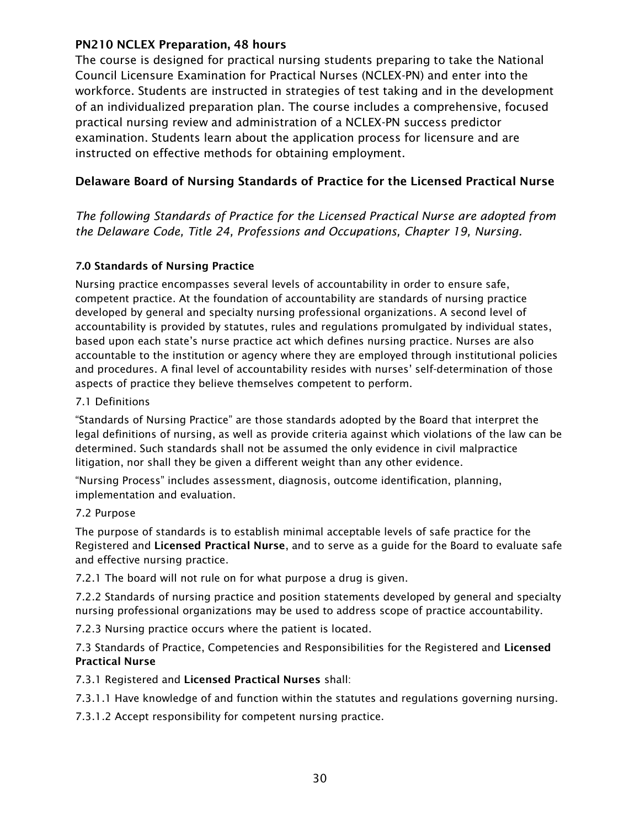#### PN210 NCLEX Preparation, 48 hours

The course is designed for practical nursing students preparing to take the National Council Licensure Examination for Practical Nurses (NCLEX-PN) and enter into the workforce. Students are instructed in strategies of test taking and in the development of an individualized preparation plan. The course includes a comprehensive, focused practical nursing review and administration of a NCLEX-PN success predictor examination. Students learn about the application process for licensure and are instructed on effective methods for obtaining employment.

## <span id="page-29-0"></span>Delaware Board of Nursing Standards of Practice for the Licensed Practical Nurse

*The following Standards of Practice for the Licensed Practical Nurse are adopted from the Delaware Code, Title 24, Professions and Occupations, Chapter 19, Nursing.*

#### 7.0 Standards of Nursing Practice

Nursing practice encompasses several levels of accountability in order to ensure safe, competent practice. At the foundation of accountability are standards of nursing practice developed by general and specialty nursing professional organizations. A second level of accountability is provided by statutes, rules and regulations promulgated by individual states, based upon each state's nurse practice act which defines nursing practice. Nurses are also accountable to the institution or agency where they are employed through institutional policies and procedures. A final level of accountability resides with nurses' self-determination of those aspects of practice they believe themselves competent to perform.

#### 7.1 Definitions

"Standards of Nursing Practice" are those standards adopted by the Board that interpret the legal definitions of nursing, as well as provide criteria against which violations of the law can be determined. Such standards shall not be assumed the only evidence in civil malpractice litigation, nor shall they be given a different weight than any other evidence.

"Nursing Process" includes assessment, diagnosis, outcome identification, planning, implementation and evaluation.

#### 7.2 Purpose

The purpose of standards is to establish minimal acceptable levels of safe practice for the Registered and Licensed Practical Nurse, and to serve as a guide for the Board to evaluate safe and effective nursing practice.

7.2.1 The board will not rule on for what purpose a drug is given.

7.2.2 Standards of nursing practice and position statements developed by general and specialty nursing professional organizations may be used to address scope of practice accountability.

7.2.3 Nursing practice occurs where the patient is located.

7.3 Standards of Practice, Competencies and Responsibilities for the Registered and Licensed Practical Nurse

7.3.1 Registered and Licensed Practical Nurses shall:

7.3.1.1 Have knowledge of and function within the statutes and regulations governing nursing.

7.3.1.2 Accept responsibility for competent nursing practice.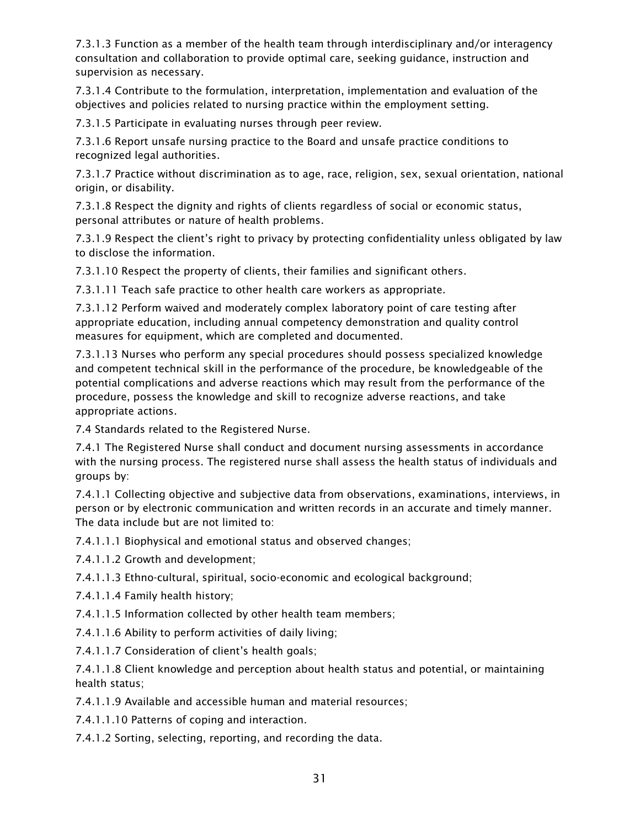7.3.1.3 Function as a member of the health team through interdisciplinary and/or interagency consultation and collaboration to provide optimal care, seeking guidance, instruction and supervision as necessary.

7.3.1.4 Contribute to the formulation, interpretation, implementation and evaluation of the objectives and policies related to nursing practice within the employment setting.

7.3.1.5 Participate in evaluating nurses through peer review.

7.3.1.6 Report unsafe nursing practice to the Board and unsafe practice conditions to recognized legal authorities.

7.3.1.7 Practice without discrimination as to age, race, religion, sex, sexual orientation, national origin, or disability.

7.3.1.8 Respect the dignity and rights of clients regardless of social or economic status, personal attributes or nature of health problems.

7.3.1.9 Respect the client's right to privacy by protecting confidentiality unless obligated by law to disclose the information.

7.3.1.10 Respect the property of clients, their families and significant others.

7.3.1.11 Teach safe practice to other health care workers as appropriate.

7.3.1.12 Perform waived and moderately complex laboratory point of care testing after appropriate education, including annual competency demonstration and quality control measures for equipment, which are completed and documented.

7.3.1.13 Nurses who perform any special procedures should possess specialized knowledge and competent technical skill in the performance of the procedure, be knowledgeable of the potential complications and adverse reactions which may result from the performance of the procedure, possess the knowledge and skill to recognize adverse reactions, and take appropriate actions.

7.4 Standards related to the Registered Nurse.

7.4.1 The Registered Nurse shall conduct and document nursing assessments in accordance with the nursing process. The registered nurse shall assess the health status of individuals and groups by:

7.4.1.1 Collecting objective and subjective data from observations, examinations, interviews, in person or by electronic communication and written records in an accurate and timely manner. The data include but are not limited to:

7.4.1.1.1 Biophysical and emotional status and observed changes;

7.4.1.1.2 Growth and development;

7.4.1.1.3 Ethno-cultural, spiritual, socio-economic and ecological background;

7.4.1.1.4 Family health history;

7.4.1.1.5 Information collected by other health team members;

7.4.1.1.6 Ability to perform activities of daily living;

7.4.1.1.7 Consideration of client's health goals;

7.4.1.1.8 Client knowledge and perception about health status and potential, or maintaining health status;

7.4.1.1.9 Available and accessible human and material resources;

7.4.1.1.10 Patterns of coping and interaction.

7.4.1.2 Sorting, selecting, reporting, and recording the data.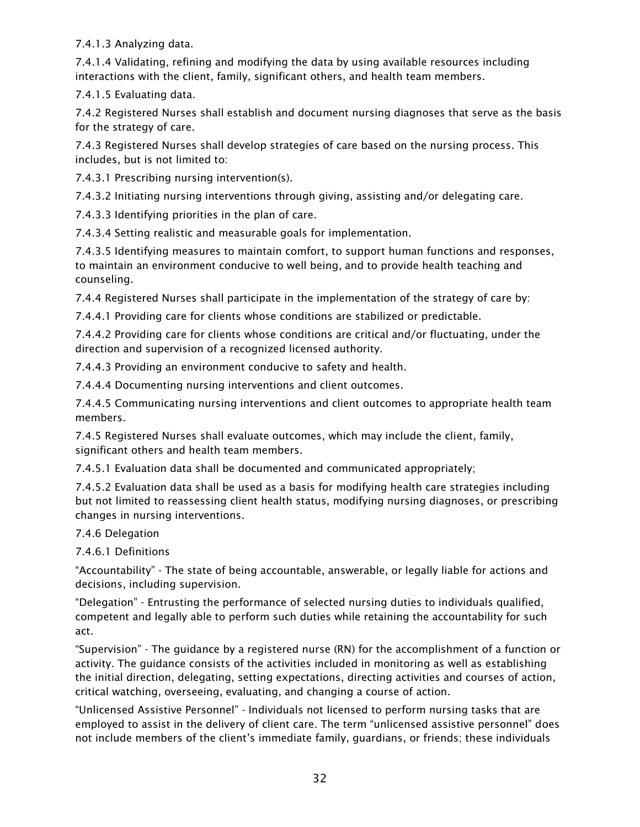7.4.1.3 Analyzing data.

7.4.1.4 Validating, refining and modifying the data by using available resources including interactions with the client, family, significant others, and health team members.

7.4.1.5 Evaluating data.

7.4.2 Registered Nurses shall establish and document nursing diagnoses that serve as the basis for the strategy of care.

7.4.3 Registered Nurses shall develop strategies of care based on the nursing process. This includes, but is not limited to:

7.4.3.1 Prescribing nursing intervention(s).

7.4.3.2 Initiating nursing interventions through giving, assisting and/or delegating care.

7.4.3.3 Identifying priorities in the plan of care.

7.4.3.4 Setting realistic and measurable goals for implementation.

7.4.3.5 Identifying measures to maintain comfort, to support human functions and responses, to maintain an environment conducive to well being, and to provide health teaching and counseling.

7.4.4 Registered Nurses shall participate in the implementation of the strategy of care by:

7.4.4.1 Providing care for clients whose conditions are stabilized or predictable.

7.4.4.2 Providing care for clients whose conditions are critical and/or fluctuating, under the direction and supervision of a recognized licensed authority.

7.4.4.3 Providing an environment conducive to safety and health.

7.4.4.4 Documenting nursing interventions and client outcomes.

7.4.4.5 Communicating nursing interventions and client outcomes to appropriate health team members.

7.4.5 Registered Nurses shall evaluate outcomes, which may include the client, family, significant others and health team members.

7.4.5.1 Evaluation data shall be documented and communicated appropriately;

7.4.5.2 Evaluation data shall be used as a basis for modifying health care strategies including but not limited to reassessing client health status, modifying nursing diagnoses, or prescribing changes in nursing interventions.

#### 7.4.6 Delegation

7.4.6.1 Definitions

"Accountability" - The state of being accountable, answerable, or legally liable for actions and decisions, including supervision.

"Delegation" - Entrusting the performance of selected nursing duties to individuals qualified, competent and legally able to perform such duties while retaining the accountability for such act.

"Supervision" - The guidance by a registered nurse (RN) for the accomplishment of a function or activity. The guidance consists of the activities included in monitoring as well as establishing the initial direction, delegating, setting expectations, directing activities and courses of action, critical watching, overseeing, evaluating, and changing a course of action.

"Unlicensed Assistive Personnel" - Individuals not licensed to perform nursing tasks that are employed to assist in the delivery of client care. The term "unlicensed assistive personnel" does not include members of the client's immediate family, guardians, or friends; these individuals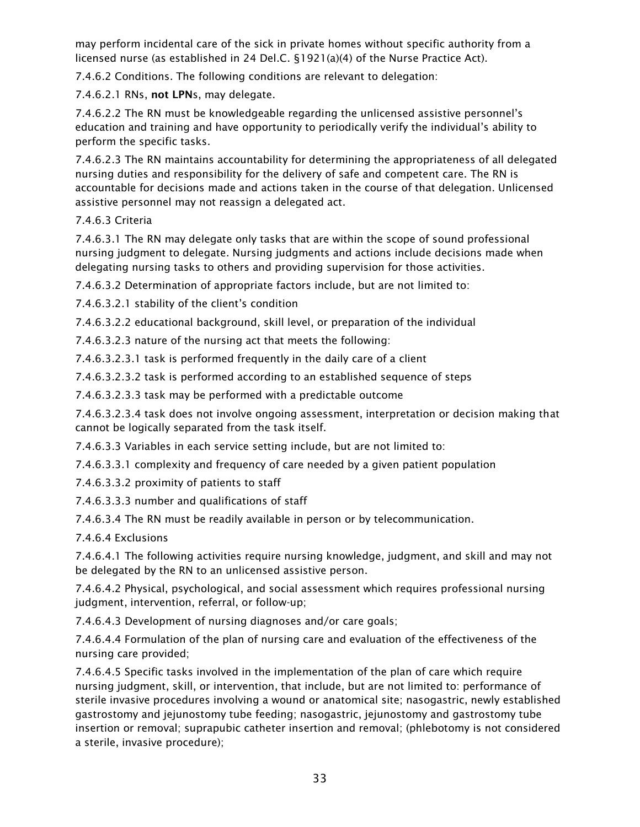may perform incidental care of the sick in private homes without specific authority from a licensed nurse (as established in 24 Del.C. §1921(a)(4) of the Nurse Practice Act).

7.4.6.2 Conditions. The following conditions are relevant to delegation:

7.4.6.2.1 RNs, not LPNs, may delegate.

7.4.6.2.2 The RN must be knowledgeable regarding the unlicensed assistive personnel's education and training and have opportunity to periodically verify the individual's ability to perform the specific tasks.

7.4.6.2.3 The RN maintains accountability for determining the appropriateness of all delegated nursing duties and responsibility for the delivery of safe and competent care. The RN is accountable for decisions made and actions taken in the course of that delegation. Unlicensed assistive personnel may not reassign a delegated act.

#### 7.4.6.3 Criteria

7.4.6.3.1 The RN may delegate only tasks that are within the scope of sound professional nursing judgment to delegate. Nursing judgments and actions include decisions made when delegating nursing tasks to others and providing supervision for those activities.

7.4.6.3.2 Determination of appropriate factors include, but are not limited to:

7.4.6.3.2.1 stability of the client's condition

7.4.6.3.2.2 educational background, skill level, or preparation of the individual

7.4.6.3.2.3 nature of the nursing act that meets the following:

7.4.6.3.2.3.1 task is performed frequently in the daily care of a client

7.4.6.3.2.3.2 task is performed according to an established sequence of steps

7.4.6.3.2.3.3 task may be performed with a predictable outcome

7.4.6.3.2.3.4 task does not involve ongoing assessment, interpretation or decision making that cannot be logically separated from the task itself.

7.4.6.3.3 Variables in each service setting include, but are not limited to:

7.4.6.3.3.1 complexity and frequency of care needed by a given patient population

7.4.6.3.3.2 proximity of patients to staff

7.4.6.3.3.3 number and qualifications of staff

7.4.6.3.4 The RN must be readily available in person or by telecommunication.

7.4.6.4 Exclusions

7.4.6.4.1 The following activities require nursing knowledge, judgment, and skill and may not be delegated by the RN to an unlicensed assistive person.

7.4.6.4.2 Physical, psychological, and social assessment which requires professional nursing judgment, intervention, referral, or follow-up;

7.4.6.4.3 Development of nursing diagnoses and/or care goals;

7.4.6.4.4 Formulation of the plan of nursing care and evaluation of the effectiveness of the nursing care provided;

7.4.6.4.5 Specific tasks involved in the implementation of the plan of care which require nursing judgment, skill, or intervention, that include, but are not limited to: performance of sterile invasive procedures involving a wound or anatomical site; nasogastric, newly established gastrostomy and jejunostomy tube feeding; nasogastric, jejunostomy and gastrostomy tube insertion or removal; suprapubic catheter insertion and removal; (phlebotomy is not considered a sterile, invasive procedure);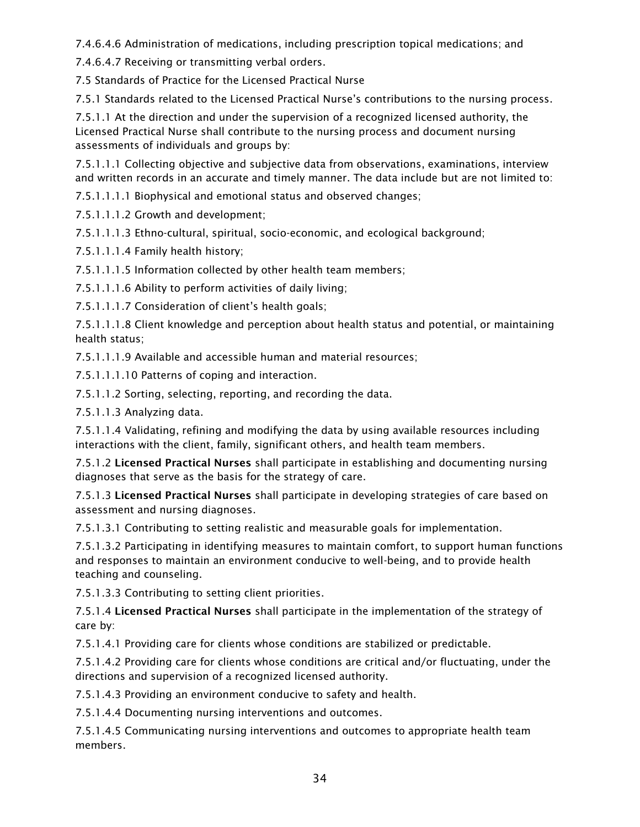7.4.6.4.6 Administration of medications, including prescription topical medications; and

7.4.6.4.7 Receiving or transmitting verbal orders.

7.5 Standards of Practice for the Licensed Practical Nurse

7.5.1 Standards related to the Licensed Practical Nurse's contributions to the nursing process.

7.5.1.1 At the direction and under the supervision of a recognized licensed authority, the Licensed Practical Nurse shall contribute to the nursing process and document nursing assessments of individuals and groups by:

7.5.1.1.1 Collecting objective and subjective data from observations, examinations, interview and written records in an accurate and timely manner. The data include but are not limited to:

7.5.1.1.1.1 Biophysical and emotional status and observed changes;

7.5.1.1.1.2 Growth and development;

7.5.1.1.1.3 Ethno-cultural, spiritual, socio-economic, and ecological background;

7.5.1.1.1.4 Family health history;

7.5.1.1.1.5 Information collected by other health team members;

7.5.1.1.1.6 Ability to perform activities of daily living;

7.5.1.1.1.7 Consideration of client's health goals;

7.5.1.1.1.8 Client knowledge and perception about health status and potential, or maintaining health status;

7.5.1.1.1.9 Available and accessible human and material resources;

7.5.1.1.1.10 Patterns of coping and interaction.

7.5.1.1.2 Sorting, selecting, reporting, and recording the data.

7.5.1.1.3 Analyzing data.

7.5.1.1.4 Validating, refining and modifying the data by using available resources including interactions with the client, family, significant others, and health team members.

7.5.1.2 Licensed Practical Nurses shall participate in establishing and documenting nursing diagnoses that serve as the basis for the strategy of care.

7.5.1.3 Licensed Practical Nurses shall participate in developing strategies of care based on assessment and nursing diagnoses.

7.5.1.3.1 Contributing to setting realistic and measurable goals for implementation.

7.5.1.3.2 Participating in identifying measures to maintain comfort, to support human functions and responses to maintain an environment conducive to well-being, and to provide health teaching and counseling.

7.5.1.3.3 Contributing to setting client priorities.

7.5.1.4 Licensed Practical Nurses shall participate in the implementation of the strategy of care by:

7.5.1.4.1 Providing care for clients whose conditions are stabilized or predictable.

7.5.1.4.2 Providing care for clients whose conditions are critical and/or fluctuating, under the directions and supervision of a recognized licensed authority.

7.5.1.4.3 Providing an environment conducive to safety and health.

7.5.1.4.4 Documenting nursing interventions and outcomes.

7.5.1.4.5 Communicating nursing interventions and outcomes to appropriate health team members.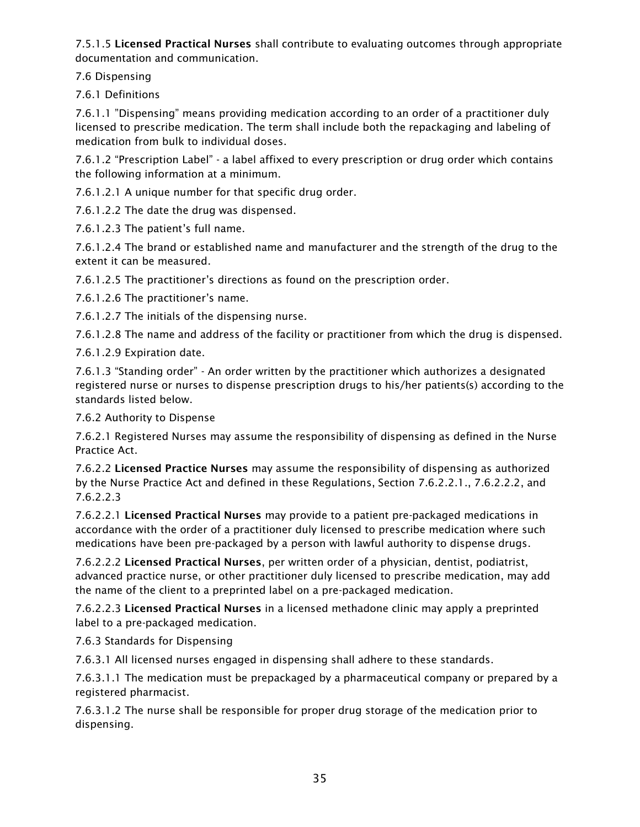7.5.1.5 Licensed Practical Nurses shall contribute to evaluating outcomes through appropriate documentation and communication.

7.6 Dispensing

7.6.1 Definitions

7.6.1.1 "Dispensing" means providing medication according to an order of a practitioner duly licensed to prescribe medication. The term shall include both the repackaging and labeling of medication from bulk to individual doses.

7.6.1.2 "Prescription Label" - a label affixed to every prescription or drug order which contains the following information at a minimum.

7.6.1.2.1 A unique number for that specific drug order.

7.6.1.2.2 The date the drug was dispensed.

7.6.1.2.3 The patient's full name.

7.6.1.2.4 The brand or established name and manufacturer and the strength of the drug to the extent it can be measured.

7.6.1.2.5 The practitioner's directions as found on the prescription order.

7.6.1.2.6 The practitioner's name.

7.6.1.2.7 The initials of the dispensing nurse.

7.6.1.2.8 The name and address of the facility or practitioner from which the drug is dispensed.

7.6.1.2.9 Expiration date.

7.6.1.3 "Standing order" - An order written by the practitioner which authorizes a designated registered nurse or nurses to dispense prescription drugs to his/her patients(s) according to the standards listed below.

7.6.2 Authority to Dispense

7.6.2.1 Registered Nurses may assume the responsibility of dispensing as defined in the Nurse Practice Act.

7.6.2.2 Licensed Practice Nurses may assume the responsibility of dispensing as authorized by the Nurse Practice Act and defined in these Regulations, Section 7.6.2.2.1., 7.6.2.2.2, and 7.6.2.2.3

7.6.2.2.1 Licensed Practical Nurses may provide to a patient pre-packaged medications in accordance with the order of a practitioner duly licensed to prescribe medication where such medications have been pre-packaged by a person with lawful authority to dispense drugs.

7.6.2.2.2 Licensed Practical Nurses, per written order of a physician, dentist, podiatrist, advanced practice nurse, or other practitioner duly licensed to prescribe medication, may add the name of the client to a preprinted label on a pre-packaged medication.

7.6.2.2.3 Licensed Practical Nurses in a licensed methadone clinic may apply a preprinted label to a pre-packaged medication.

7.6.3 Standards for Dispensing

7.6.3.1 All licensed nurses engaged in dispensing shall adhere to these standards.

7.6.3.1.1 The medication must be prepackaged by a pharmaceutical company or prepared by a registered pharmacist.

7.6.3.1.2 The nurse shall be responsible for proper drug storage of the medication prior to dispensing.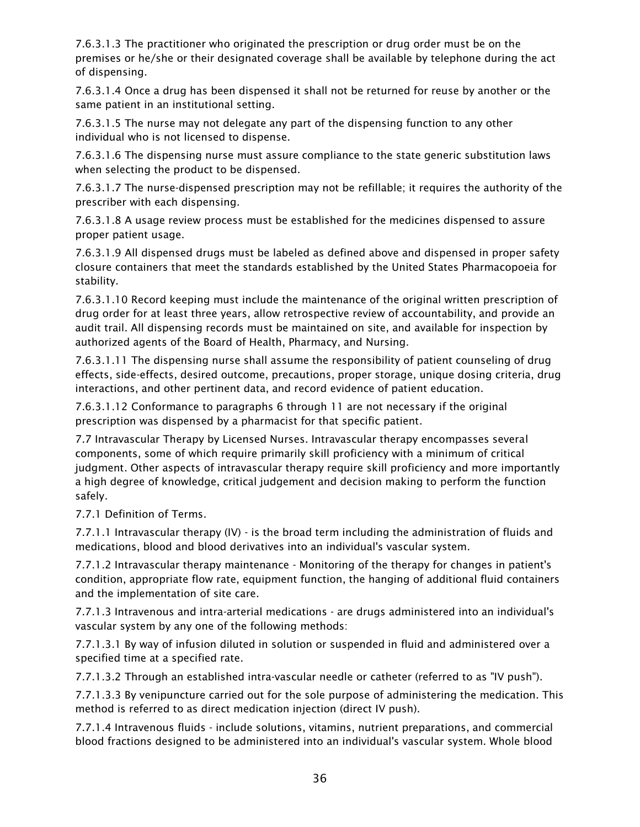7.6.3.1.3 The practitioner who originated the prescription or drug order must be on the premises or he/she or their designated coverage shall be available by telephone during the act of dispensing.

7.6.3.1.4 Once a drug has been dispensed it shall not be returned for reuse by another or the same patient in an institutional setting.

7.6.3.1.5 The nurse may not delegate any part of the dispensing function to any other individual who is not licensed to dispense.

7.6.3.1.6 The dispensing nurse must assure compliance to the state generic substitution laws when selecting the product to be dispensed.

7.6.3.1.7 The nurse-dispensed prescription may not be refillable; it requires the authority of the prescriber with each dispensing.

7.6.3.1.8 A usage review process must be established for the medicines dispensed to assure proper patient usage.

7.6.3.1.9 All dispensed drugs must be labeled as defined above and dispensed in proper safety closure containers that meet the standards established by the United States Pharmacopoeia for stability.

7.6.3.1.10 Record keeping must include the maintenance of the original written prescription of drug order for at least three years, allow retrospective review of accountability, and provide an audit trail. All dispensing records must be maintained on site, and available for inspection by authorized agents of the Board of Health, Pharmacy, and Nursing.

7.6.3.1.11 The dispensing nurse shall assume the responsibility of patient counseling of drug effects, side-effects, desired outcome, precautions, proper storage, unique dosing criteria, drug interactions, and other pertinent data, and record evidence of patient education.

7.6.3.1.12 Conformance to paragraphs 6 through 11 are not necessary if the original prescription was dispensed by a pharmacist for that specific patient.

7.7 Intravascular Therapy by Licensed Nurses. Intravascular therapy encompasses several components, some of which require primarily skill proficiency with a minimum of critical judgment. Other aspects of intravascular therapy require skill proficiency and more importantly a high degree of knowledge, critical judgement and decision making to perform the function safely.

7.7.1 Definition of Terms.

7.7.1.1 Intravascular therapy (IV) - is the broad term including the administration of fluids and medications, blood and blood derivatives into an individual's vascular system.

7.7.1.2 Intravascular therapy maintenance - Monitoring of the therapy for changes in patient's condition, appropriate flow rate, equipment function, the hanging of additional fluid containers and the implementation of site care.

7.7.1.3 Intravenous and intra-arterial medications - are drugs administered into an individual's vascular system by any one of the following methods:

7.7.1.3.1 By way of infusion diluted in solution or suspended in fluid and administered over a specified time at a specified rate.

7.7.1.3.2 Through an established intra-vascular needle or catheter (referred to as "IV push").

7.7.1.3.3 By venipuncture carried out for the sole purpose of administering the medication. This method is referred to as direct medication injection (direct IV push).

7.7.1.4 Intravenous fluids - include solutions, vitamins, nutrient preparations, and commercial blood fractions designed to be administered into an individual's vascular system. Whole blood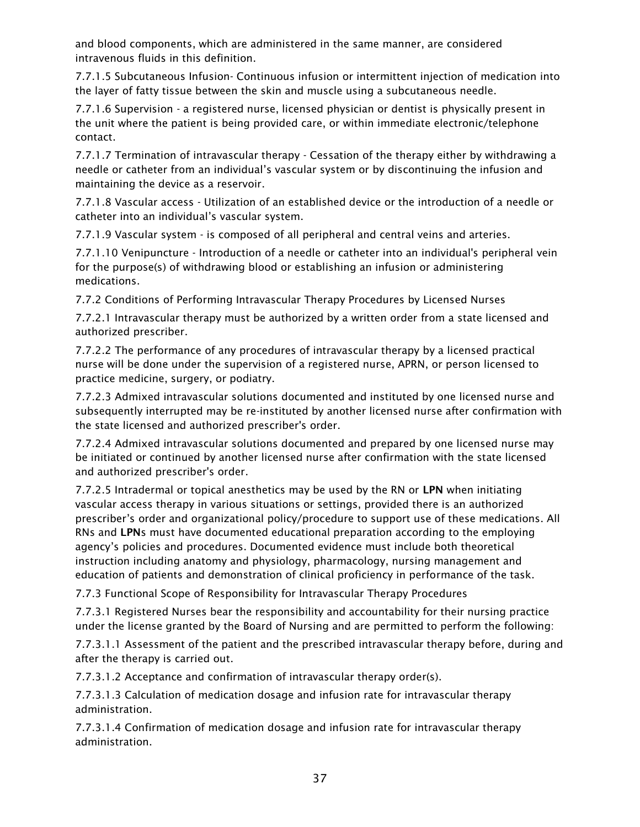and blood components, which are administered in the same manner, are considered intravenous fluids in this definition.

7.7.1.5 Subcutaneous Infusion- Continuous infusion or intermittent injection of medication into the layer of fatty tissue between the skin and muscle using a subcutaneous needle.

7.7.1.6 Supervision - a registered nurse, licensed physician or dentist is physically present in the unit where the patient is being provided care, or within immediate electronic/telephone contact.

7.7.1.7 Termination of intravascular therapy - Cessation of the therapy either by withdrawing a needle or catheter from an individual's vascular system or by discontinuing the infusion and maintaining the device as a reservoir.

7.7.1.8 Vascular access - Utilization of an established device or the introduction of a needle or catheter into an individual's vascular system.

7.7.1.9 Vascular system - is composed of all peripheral and central veins and arteries.

7.7.1.10 Venipuncture - Introduction of a needle or catheter into an individual's peripheral vein for the purpose(s) of withdrawing blood or establishing an infusion or administering medications.

7.7.2 Conditions of Performing Intravascular Therapy Procedures by Licensed Nurses

7.7.2.1 Intravascular therapy must be authorized by a written order from a state licensed and authorized prescriber.

7.7.2.2 The performance of any procedures of intravascular therapy by a licensed practical nurse will be done under the supervision of a registered nurse, APRN, or person licensed to practice medicine, surgery, or podiatry.

7.7.2.3 Admixed intravascular solutions documented and instituted by one licensed nurse and subsequently interrupted may be re-instituted by another licensed nurse after confirmation with the state licensed and authorized prescriber's order.

7.7.2.4 Admixed intravascular solutions documented and prepared by one licensed nurse may be initiated or continued by another licensed nurse after confirmation with the state licensed and authorized prescriber's order.

7.7.2.5 Intradermal or topical anesthetics may be used by the RN or LPN when initiating vascular access therapy in various situations or settings, provided there is an authorized prescriber's order and organizational policy/procedure to support use of these medications. All RNs and LPNs must have documented educational preparation according to the employing agency's policies and procedures. Documented evidence must include both theoretical instruction including anatomy and physiology, pharmacology, nursing management and education of patients and demonstration of clinical proficiency in performance of the task.

7.7.3 Functional Scope of Responsibility for Intravascular Therapy Procedures

7.7.3.1 Registered Nurses bear the responsibility and accountability for their nursing practice under the license granted by the Board of Nursing and are permitted to perform the following:

7.7.3.1.1 Assessment of the patient and the prescribed intravascular therapy before, during and after the therapy is carried out.

7.7.3.1.2 Acceptance and confirmation of intravascular therapy order(s).

7.7.3.1.3 Calculation of medication dosage and infusion rate for intravascular therapy administration.

7.7.3.1.4 Confirmation of medication dosage and infusion rate for intravascular therapy administration.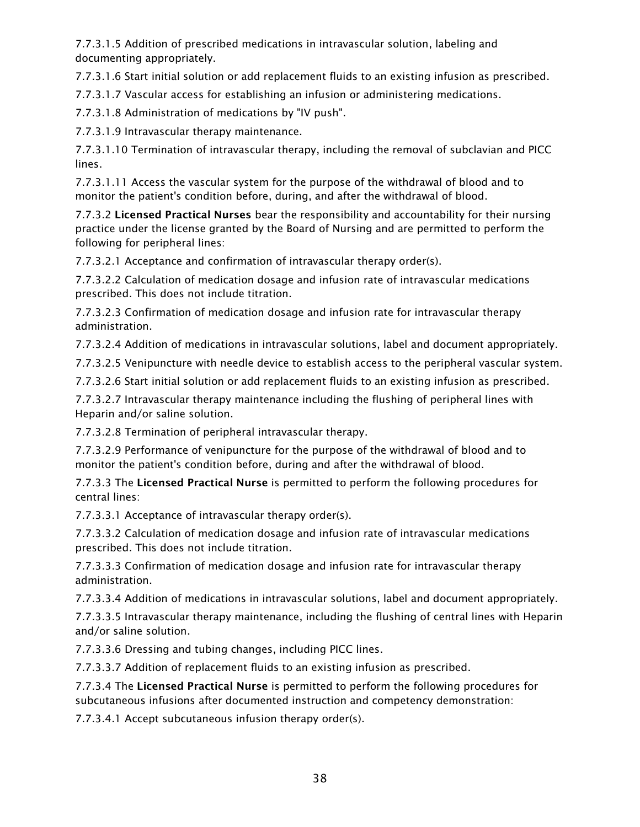7.7.3.1.5 Addition of prescribed medications in intravascular solution, labeling and documenting appropriately.

7.7.3.1.6 Start initial solution or add replacement fluids to an existing infusion as prescribed.

7.7.3.1.7 Vascular access for establishing an infusion or administering medications.

7.7.3.1.8 Administration of medications by "IV push".

7.7.3.1.9 Intravascular therapy maintenance.

7.7.3.1.10 Termination of intravascular therapy, including the removal of subclavian and PICC lines.

7.7.3.1.11 Access the vascular system for the purpose of the withdrawal of blood and to monitor the patient's condition before, during, and after the withdrawal of blood.

7.7.3.2 Licensed Practical Nurses bear the responsibility and accountability for their nursing practice under the license granted by the Board of Nursing and are permitted to perform the following for peripheral lines:

7.7.3.2.1 Acceptance and confirmation of intravascular therapy order(s).

7.7.3.2.2 Calculation of medication dosage and infusion rate of intravascular medications prescribed. This does not include titration.

7.7.3.2.3 Confirmation of medication dosage and infusion rate for intravascular therapy administration.

7.7.3.2.4 Addition of medications in intravascular solutions, label and document appropriately.

7.7.3.2.5 Venipuncture with needle device to establish access to the peripheral vascular system.

7.7.3.2.6 Start initial solution or add replacement fluids to an existing infusion as prescribed.

7.7.3.2.7 Intravascular therapy maintenance including the flushing of peripheral lines with Heparin and/or saline solution.

7.7.3.2.8 Termination of peripheral intravascular therapy.

7.7.3.2.9 Performance of venipuncture for the purpose of the withdrawal of blood and to monitor the patient's condition before, during and after the withdrawal of blood.

7.7.3.3 The Licensed Practical Nurse is permitted to perform the following procedures for central lines:

7.7.3.3.1 Acceptance of intravascular therapy order(s).

7.7.3.3.2 Calculation of medication dosage and infusion rate of intravascular medications prescribed. This does not include titration.

7.7.3.3.3 Confirmation of medication dosage and infusion rate for intravascular therapy administration.

7.7.3.3.4 Addition of medications in intravascular solutions, label and document appropriately.

7.7.3.3.5 Intravascular therapy maintenance, including the flushing of central lines with Heparin and/or saline solution.

7.7.3.3.6 Dressing and tubing changes, including PICC lines.

7.7.3.3.7 Addition of replacement fluids to an existing infusion as prescribed.

7.7.3.4 The Licensed Practical Nurse is permitted to perform the following procedures for subcutaneous infusions after documented instruction and competency demonstration:

7.7.3.4.1 Accept subcutaneous infusion therapy order(s).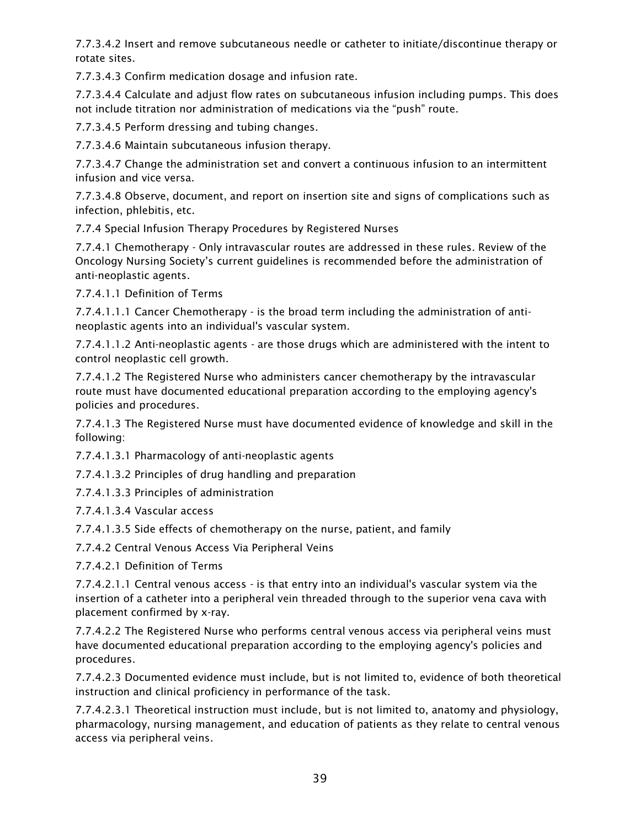7.7.3.4.2 Insert and remove subcutaneous needle or catheter to initiate/discontinue therapy or rotate sites.

7.7.3.4.3 Confirm medication dosage and infusion rate.

7.7.3.4.4 Calculate and adjust flow rates on subcutaneous infusion including pumps. This does not include titration nor administration of medications via the "push" route.

7.7.3.4.5 Perform dressing and tubing changes.

7.7.3.4.6 Maintain subcutaneous infusion therapy.

7.7.3.4.7 Change the administration set and convert a continuous infusion to an intermittent infusion and vice versa.

7.7.3.4.8 Observe, document, and report on insertion site and signs of complications such as infection, phlebitis, etc.

7.7.4 Special Infusion Therapy Procedures by Registered Nurses

7.7.4.1 Chemotherapy - Only intravascular routes are addressed in these rules. Review of the Oncology Nursing Society's current guidelines is recommended before the administration of anti-neoplastic agents.

7.7.4.1.1 Definition of Terms

7.7.4.1.1.1 Cancer Chemotherapy - is the broad term including the administration of antineoplastic agents into an individual's vascular system.

7.7.4.1.1.2 Anti-neoplastic agents - are those drugs which are administered with the intent to control neoplastic cell growth.

7.7.4.1.2 The Registered Nurse who administers cancer chemotherapy by the intravascular route must have documented educational preparation according to the employing agency's policies and procedures.

7.7.4.1.3 The Registered Nurse must have documented evidence of knowledge and skill in the following:

7.7.4.1.3.1 Pharmacology of anti-neoplastic agents

7.7.4.1.3.2 Principles of drug handling and preparation

7.7.4.1.3.3 Principles of administration

7.7.4.1.3.4 Vascular access

7.7.4.1.3.5 Side effects of chemotherapy on the nurse, patient, and family

7.7.4.2 Central Venous Access Via Peripheral Veins

7.7.4.2.1 Definition of Terms

7.7.4.2.1.1 Central venous access - is that entry into an individual's vascular system via the insertion of a catheter into a peripheral vein threaded through to the superior vena cava with placement confirmed by x-ray.

7.7.4.2.2 The Registered Nurse who performs central venous access via peripheral veins must have documented educational preparation according to the employing agency's policies and procedures.

7.7.4.2.3 Documented evidence must include, but is not limited to, evidence of both theoretical instruction and clinical proficiency in performance of the task.

7.7.4.2.3.1 Theoretical instruction must include, but is not limited to, anatomy and physiology, pharmacology, nursing management, and education of patients as they relate to central venous access via peripheral veins.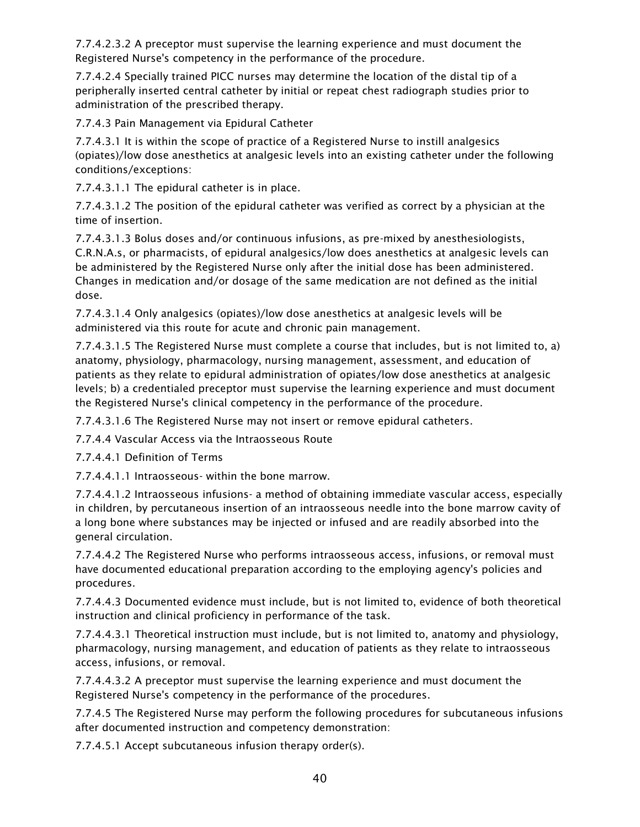7.7.4.2.3.2 A preceptor must supervise the learning experience and must document the Registered Nurse's competency in the performance of the procedure.

7.7.4.2.4 Specially trained PICC nurses may determine the location of the distal tip of a peripherally inserted central catheter by initial or repeat chest radiograph studies prior to administration of the prescribed therapy.

7.7.4.3 Pain Management via Epidural Catheter

7.7.4.3.1 It is within the scope of practice of a Registered Nurse to instill analgesics (opiates)/low dose anesthetics at analgesic levels into an existing catheter under the following conditions/exceptions:

7.7.4.3.1.1 The epidural catheter is in place.

7.7.4.3.1.2 The position of the epidural catheter was verified as correct by a physician at the time of insertion.

7.7.4.3.1.3 Bolus doses and/or continuous infusions, as pre-mixed by anesthesiologists, C.R.N.A.s, or pharmacists, of epidural analgesics/low does anesthetics at analgesic levels can be administered by the Registered Nurse only after the initial dose has been administered. Changes in medication and/or dosage of the same medication are not defined as the initial dose.

7.7.4.3.1.4 Only analgesics (opiates)/low dose anesthetics at analgesic levels will be administered via this route for acute and chronic pain management.

7.7.4.3.1.5 The Registered Nurse must complete a course that includes, but is not limited to, a) anatomy, physiology, pharmacology, nursing management, assessment, and education of patients as they relate to epidural administration of opiates/low dose anesthetics at analgesic levels; b) a credentialed preceptor must supervise the learning experience and must document the Registered Nurse's clinical competency in the performance of the procedure.

7.7.4.3.1.6 The Registered Nurse may not insert or remove epidural catheters.

7.7.4.4 Vascular Access via the Intraosseous Route

7.7.4.4.1 Definition of Terms

7.7.4.4.1.1 Intraosseous- within the bone marrow.

7.7.4.4.1.2 Intraosseous infusions- a method of obtaining immediate vascular access, especially in children, by percutaneous insertion of an intraosseous needle into the bone marrow cavity of a long bone where substances may be injected or infused and are readily absorbed into the general circulation.

7.7.4.4.2 The Registered Nurse who performs intraosseous access, infusions, or removal must have documented educational preparation according to the employing agency's policies and procedures.

7.7.4.4.3 Documented evidence must include, but is not limited to, evidence of both theoretical instruction and clinical proficiency in performance of the task.

7.7.4.4.3.1 Theoretical instruction must include, but is not limited to, anatomy and physiology, pharmacology, nursing management, and education of patients as they relate to intraosseous access, infusions, or removal.

7.7.4.4.3.2 A preceptor must supervise the learning experience and must document the Registered Nurse's competency in the performance of the procedures.

7.7.4.5 The Registered Nurse may perform the following procedures for subcutaneous infusions after documented instruction and competency demonstration:

7.7.4.5.1 Accept subcutaneous infusion therapy order(s).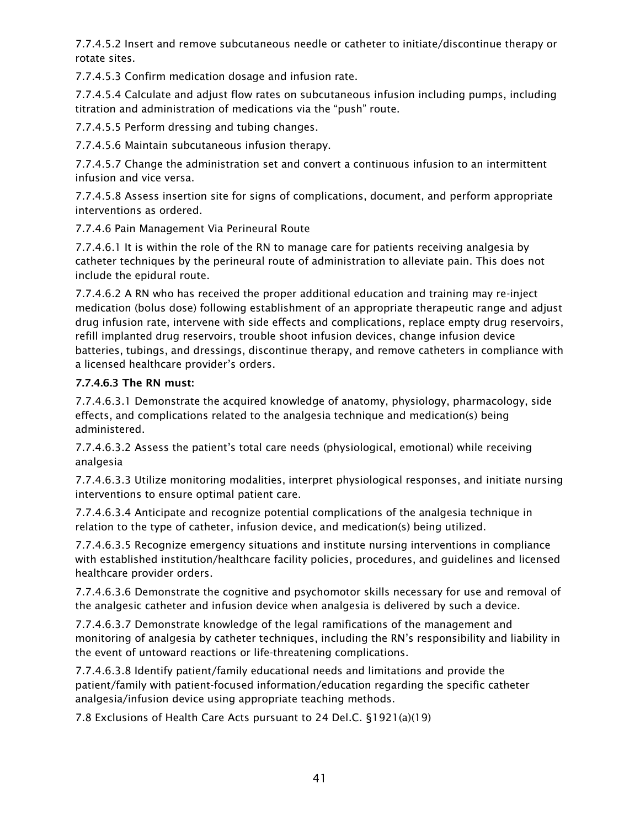7.7.4.5.2 Insert and remove subcutaneous needle or catheter to initiate/discontinue therapy or rotate sites.

7.7.4.5.3 Confirm medication dosage and infusion rate.

7.7.4.5.4 Calculate and adjust flow rates on subcutaneous infusion including pumps, including titration and administration of medications via the "push" route.

7.7.4.5.5 Perform dressing and tubing changes.

7.7.4.5.6 Maintain subcutaneous infusion therapy.

7.7.4.5.7 Change the administration set and convert a continuous infusion to an intermittent infusion and vice versa.

7.7.4.5.8 Assess insertion site for signs of complications, document, and perform appropriate interventions as ordered.

7.7.4.6 Pain Management Via Perineural Route

7.7.4.6.1 It is within the role of the RN to manage care for patients receiving analgesia by catheter techniques by the perineural route of administration to alleviate pain. This does not include the epidural route.

7.7.4.6.2 A RN who has received the proper additional education and training may re-inject medication (bolus dose) following establishment of an appropriate therapeutic range and adjust drug infusion rate, intervene with side effects and complications, replace empty drug reservoirs, refill implanted drug reservoirs, trouble shoot infusion devices, change infusion device batteries, tubings, and dressings, discontinue therapy, and remove catheters in compliance with a licensed healthcare provider's orders.

#### 7.7.4.6.3 The RN must:

7.7.4.6.3.1 Demonstrate the acquired knowledge of anatomy, physiology, pharmacology, side effects, and complications related to the analgesia technique and medication(s) being administered.

7.7.4.6.3.2 Assess the patient's total care needs (physiological, emotional) while receiving analgesia

7.7.4.6.3.3 Utilize monitoring modalities, interpret physiological responses, and initiate nursing interventions to ensure optimal patient care.

7.7.4.6.3.4 Anticipate and recognize potential complications of the analgesia technique in relation to the type of catheter, infusion device, and medication(s) being utilized.

7.7.4.6.3.5 Recognize emergency situations and institute nursing interventions in compliance with established institution/healthcare facility policies, procedures, and guidelines and licensed healthcare provider orders.

7.7.4.6.3.6 Demonstrate the cognitive and psychomotor skills necessary for use and removal of the analgesic catheter and infusion device when analgesia is delivered by such a device.

7.7.4.6.3.7 Demonstrate knowledge of the legal ramifications of the management and monitoring of analgesia by catheter techniques, including the RN's responsibility and liability in the event of untoward reactions or life-threatening complications.

7.7.4.6.3.8 Identify patient/family educational needs and limitations and provide the patient/family with patient-focused information/education regarding the specific catheter analgesia/infusion device using appropriate teaching methods.

7.8 Exclusions of Health Care Acts pursuant to 24 Del.C. §1921(a)(19)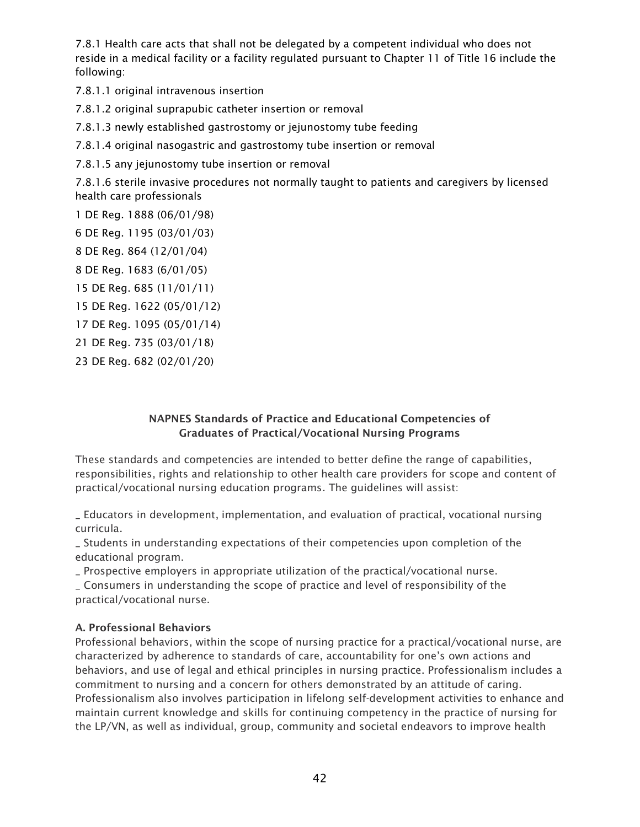7.8.1 Health care acts that shall not be delegated by a competent individual who does not reside in a medical facility or a facility regulated pursuant to Chapter 11 of Title 16 include the following:

7.8.1.1 original intravenous insertion

7.8.1.2 original suprapubic catheter insertion or removal

7.8.1.3 newly established gastrostomy or jejunostomy tube feeding

7.8.1.4 original nasogastric and gastrostomy tube insertion or removal

7.8.1.5 any jejunostomy tube insertion or removal

7.8.1.6 sterile invasive procedures not normally taught to patients and caregivers by licensed health care professionals

1 DE Reg. 1888 (06/01/98)

- 6 DE Reg. 1195 (03/01/03)
- 8 DE Reg. 864 (12/01/04)

8 DE Reg. 1683 (6/01/05)

15 DE Reg. 685 (11/01/11)

15 DE Reg. 1622 (05/01/12)

17 DE Reg. 1095 (05/01/14)

21 DE Reg. 735 (03/01/18)

23 DE Reg. 682 (02/01/20)

#### NAPNES Standards of Practice and Educational Competencies of Graduates of Practical/Vocational Nursing Programs

These standards and competencies are intended to better define the range of capabilities, responsibilities, rights and relationship to other health care providers for scope and content of practical/vocational nursing education programs. The guidelines will assist:

\_ Educators in development, implementation, and evaluation of practical, vocational nursing curricula.

\_ Students in understanding expectations of their competencies upon completion of the educational program.

\_ Prospective employers in appropriate utilization of the practical/vocational nurse.

\_ Consumers in understanding the scope of practice and level of responsibility of the practical/vocational nurse.

#### A. Professional Behaviors

Professional behaviors, within the scope of nursing practice for a practical/vocational nurse, are characterized by adherence to standards of care, accountability for one's own actions and behaviors, and use of legal and ethical principles in nursing practice. Professionalism includes a commitment to nursing and a concern for others demonstrated by an attitude of caring. Professionalism also involves participation in lifelong self-development activities to enhance and maintain current knowledge and skills for continuing competency in the practice of nursing for the LP/VN, as well as individual, group, community and societal endeavors to improve health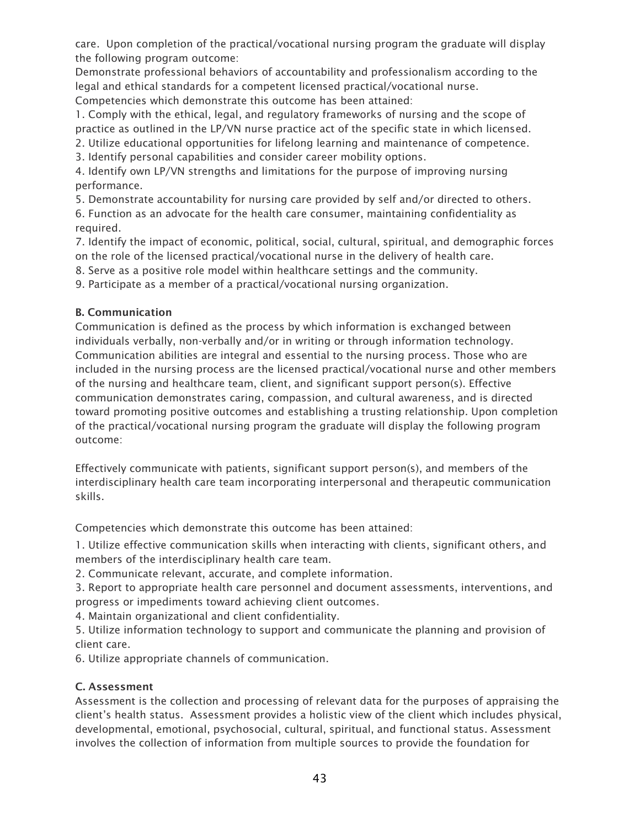care. Upon completion of the practical/vocational nursing program the graduate will display the following program outcome:

Demonstrate professional behaviors of accountability and professionalism according to the legal and ethical standards for a competent licensed practical/vocational nurse. Competencies which demonstrate this outcome has been attained:

1. Comply with the ethical, legal, and regulatory frameworks of nursing and the scope of practice as outlined in the LP/VN nurse practice act of the specific state in which licensed.

2. Utilize educational opportunities for lifelong learning and maintenance of competence.

3. Identify personal capabilities and consider career mobility options.

4. Identify own LP/VN strengths and limitations for the purpose of improving nursing performance.

5. Demonstrate accountability for nursing care provided by self and/or directed to others.

6. Function as an advocate for the health care consumer, maintaining confidentiality as required.

7. Identify the impact of economic, political, social, cultural, spiritual, and demographic forces on the role of the licensed practical/vocational nurse in the delivery of health care.

8. Serve as a positive role model within healthcare settings and the community.

9. Participate as a member of a practical/vocational nursing organization.

#### B. Communication

Communication is defined as the process by which information is exchanged between individuals verbally, non-verbally and/or in writing or through information technology. Communication abilities are integral and essential to the nursing process. Those who are included in the nursing process are the licensed practical/vocational nurse and other members of the nursing and healthcare team, client, and significant support person(s). Effective communication demonstrates caring, compassion, and cultural awareness, and is directed toward promoting positive outcomes and establishing a trusting relationship. Upon completion of the practical/vocational nursing program the graduate will display the following program outcome:

Effectively communicate with patients, significant support person(s), and members of the interdisciplinary health care team incorporating interpersonal and therapeutic communication skills.

Competencies which demonstrate this outcome has been attained:

1. Utilize effective communication skills when interacting with clients, significant others, and members of the interdisciplinary health care team.

2. Communicate relevant, accurate, and complete information.

3. Report to appropriate health care personnel and document assessments, interventions, and progress or impediments toward achieving client outcomes.

4. Maintain organizational and client confidentiality.

5. Utilize information technology to support and communicate the planning and provision of client care.

6. Utilize appropriate channels of communication.

## C. Assessment

Assessment is the collection and processing of relevant data for the purposes of appraising the client's health status. Assessment provides a holistic view of the client which includes physical, developmental, emotional, psychosocial, cultural, spiritual, and functional status. Assessment involves the collection of information from multiple sources to provide the foundation for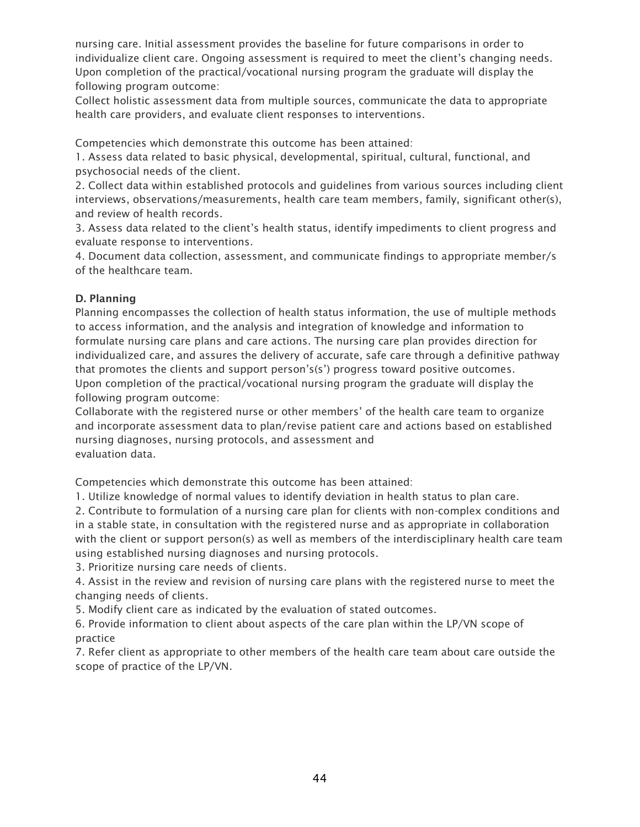nursing care. Initial assessment provides the baseline for future comparisons in order to individualize client care. Ongoing assessment is required to meet the client's changing needs. Upon completion of the practical/vocational nursing program the graduate will display the following program outcome:

Collect holistic assessment data from multiple sources, communicate the data to appropriate health care providers, and evaluate client responses to interventions.

Competencies which demonstrate this outcome has been attained:

1. Assess data related to basic physical, developmental, spiritual, cultural, functional, and psychosocial needs of the client.

2. Collect data within established protocols and guidelines from various sources including client interviews, observations/measurements, health care team members, family, significant other(s), and review of health records.

3. Assess data related to the client's health status, identify impediments to client progress and evaluate response to interventions.

4. Document data collection, assessment, and communicate findings to appropriate member/s of the healthcare team.

#### D. Planning

Planning encompasses the collection of health status information, the use of multiple methods to access information, and the analysis and integration of knowledge and information to formulate nursing care plans and care actions. The nursing care plan provides direction for individualized care, and assures the delivery of accurate, safe care through a definitive pathway that promotes the clients and support person's(s') progress toward positive outcomes. Upon completion of the practical/vocational nursing program the graduate will display the following program outcome:

Collaborate with the registered nurse or other members' of the health care team to organize and incorporate assessment data to plan/revise patient care and actions based on established nursing diagnoses, nursing protocols, and assessment and evaluation data.

Competencies which demonstrate this outcome has been attained:

1. Utilize knowledge of normal values to identify deviation in health status to plan care.

2. Contribute to formulation of a nursing care plan for clients with non-complex conditions and in a stable state, in consultation with the registered nurse and as appropriate in collaboration with the client or support person(s) as well as members of the interdisciplinary health care team using established nursing diagnoses and nursing protocols.

3. Prioritize nursing care needs of clients.

4. Assist in the review and revision of nursing care plans with the registered nurse to meet the changing needs of clients.

5. Modify client care as indicated by the evaluation of stated outcomes.

6. Provide information to client about aspects of the care plan within the LP/VN scope of practice

7. Refer client as appropriate to other members of the health care team about care outside the scope of practice of the LP/VN.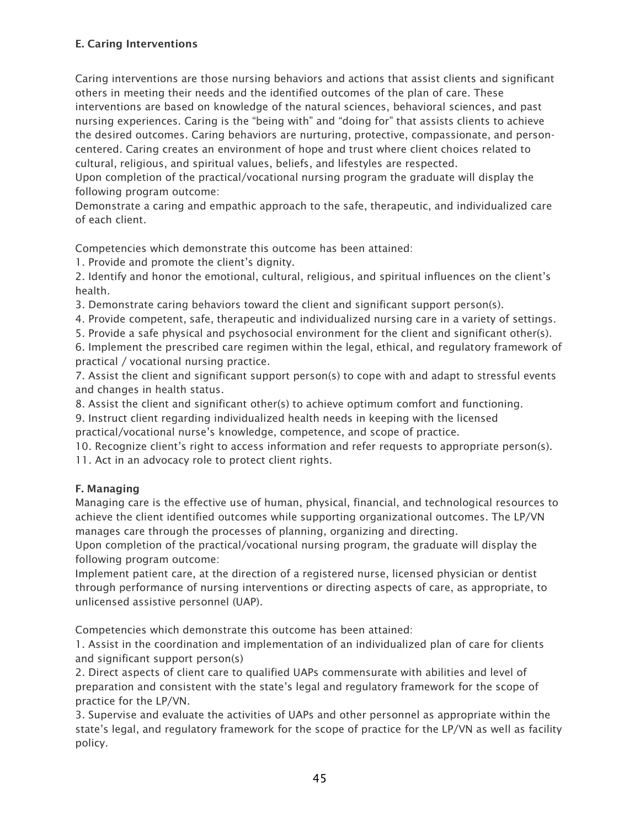#### E. Caring Interventions

Caring interventions are those nursing behaviors and actions that assist clients and significant others in meeting their needs and the identified outcomes of the plan of care. These interventions are based on knowledge of the natural sciences, behavioral sciences, and past nursing experiences. Caring is the "being with" and "doing for" that assists clients to achieve the desired outcomes. Caring behaviors are nurturing, protective, compassionate, and personcentered. Caring creates an environment of hope and trust where client choices related to cultural, religious, and spiritual values, beliefs, and lifestyles are respected.

Upon completion of the practical/vocational nursing program the graduate will display the following program outcome:

Demonstrate a caring and empathic approach to the safe, therapeutic, and individualized care of each client.

Competencies which demonstrate this outcome has been attained:

1. Provide and promote the client's dignity.

2. Identify and honor the emotional, cultural, religious, and spiritual influences on the client's health.

3. Demonstrate caring behaviors toward the client and significant support person(s).

4. Provide competent, safe, therapeutic and individualized nursing care in a variety of settings.

5. Provide a safe physical and psychosocial environment for the client and significant other(s).

6. Implement the prescribed care regimen within the legal, ethical, and regulatory framework of practical / vocational nursing practice.

7. Assist the client and significant support person(s) to cope with and adapt to stressful events and changes in health status.

8. Assist the client and significant other(s) to achieve optimum comfort and functioning.

9. Instruct client regarding individualized health needs in keeping with the licensed practical/vocational nurse's knowledge, competence, and scope of practice.

10. Recognize client's right to access information and refer requests to appropriate person(s).

11. Act in an advocacy role to protect client rights.

#### F. Managing

Managing care is the effective use of human, physical, financial, and technological resources to achieve the client identified outcomes while supporting organizational outcomes. The LP/VN manages care through the processes of planning, organizing and directing.

Upon completion of the practical/vocational nursing program, the graduate will display the following program outcome:

Implement patient care, at the direction of a registered nurse, licensed physician or dentist through performance of nursing interventions or directing aspects of care, as appropriate, to unlicensed assistive personnel (UAP).

Competencies which demonstrate this outcome has been attained:

1. Assist in the coordination and implementation of an individualized plan of care for clients and significant support person(s)

2. Direct aspects of client care to qualified UAPs commensurate with abilities and level of preparation and consistent with the state's legal and regulatory framework for the scope of practice for the LP/VN.

3. Supervise and evaluate the activities of UAPs and other personnel as appropriate within the state's legal, and regulatory framework for the scope of practice for the LP/VN as well as facility policy.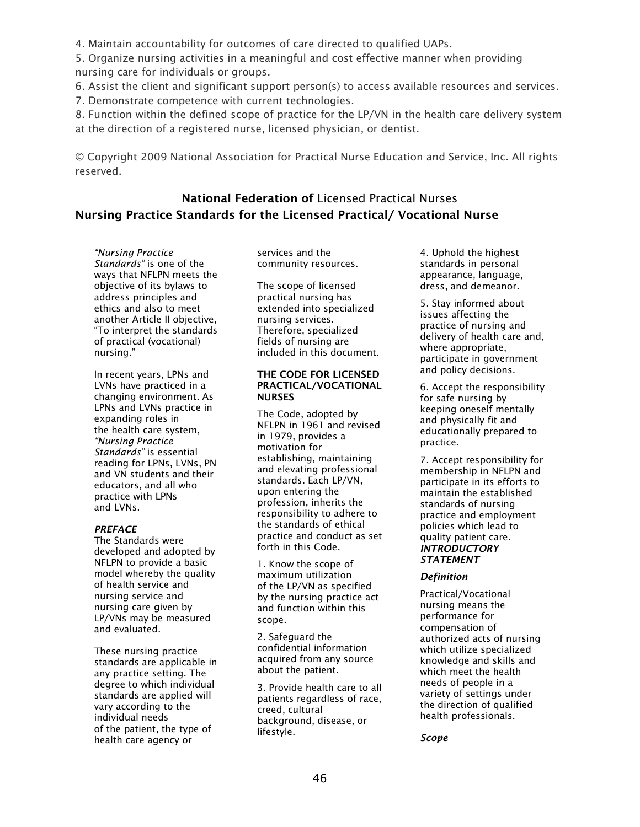4. Maintain accountability for outcomes of care directed to qualified UAPs.

5. Organize nursing activities in a meaningful and cost effective manner when providing nursing care for individuals or groups.

6. Assist the client and significant support person(s) to access available resources and services.

7. Demonstrate competence with current technologies.

8. Function within the defined scope of practice for the LP/VN in the health care delivery system at the direction of a registered nurse, licensed physician, or dentist.

© Copyright 2009 National Association for Practical Nurse Education and Service, Inc. All rights reserved.

## <span id="page-45-1"></span><span id="page-45-0"></span>National Federation of Licensed Practical Nurses Nursing Practice Standards for the Licensed Practical/ Vocational Nurse

*"Nursing Practice Standards"* is one of the ways that NFLPN meets the objective of its bylaws to address principles and ethics and also to meet another Article II objective, "To interpret the standards of practical (vocational) nursing."

In recent years, LPNs and LVNs have practiced in a changing environment. As LPNs and LVNs practice in expanding roles in the health care system, *"Nursing Practice Standards"* is essential reading for LPNs, LVNs, PN and VN students and their educators, and all who practice with LPNs and LVNs.

#### *PREFACE*

The Standards were developed and adopted by NFLPN to provide a basic model whereby the quality of health service and nursing service and nursing care given by LP/VNs may be measured and evaluated.

These nursing practice standards are applicable in any practice setting. The degree to which individual standards are applied will vary according to the individual needs of the patient, the type of health care agency or

services and the community resources.

The scope of licensed practical nursing has extended into specialized nursing services. Therefore, specialized fields of nursing are included in this document.

#### THE CODE FOR LICENSED PRACTICAL/VOCATIONAL NURSES

The Code, adopted by NFLPN in 1961 and revised in 1979, provides a motivation for establishing, maintaining and elevating professional standards. Each LP/VN, upon entering the profession, inherits the responsibility to adhere to the standards of ethical practice and conduct as set forth in this Code.

1. Know the scope of maximum utilization of the LP/VN as specified by the nursing practice act and function within this scope.

2. Safeguard the confidential information acquired from any source about the patient.

3. Provide health care to all patients regardless of race, creed, cultural background, disease, or lifestyle.

4. Uphold the highest standards in personal appearance, language, dress, and demeanor.

5. Stay informed about issues affecting the practice of nursing and delivery of health care and, where appropriate, participate in government and policy decisions.

6. Accept the responsibility for safe nursing by keeping oneself mentally and physically fit and educationally prepared to practice.

7. Accept responsibility for membership in NFLPN and participate in its efforts to maintain the established standards of nursing practice and employment policies which lead to quality patient care. *INTRODUCTORY STATEMENT*

#### *Definition*

Practical/Vocational nursing means the performance for compensation of authorized acts of nursing which utilize specialized knowledge and skills and which meet the health needs of people in a variety of settings under the direction of qualified health professionals.

*Scope*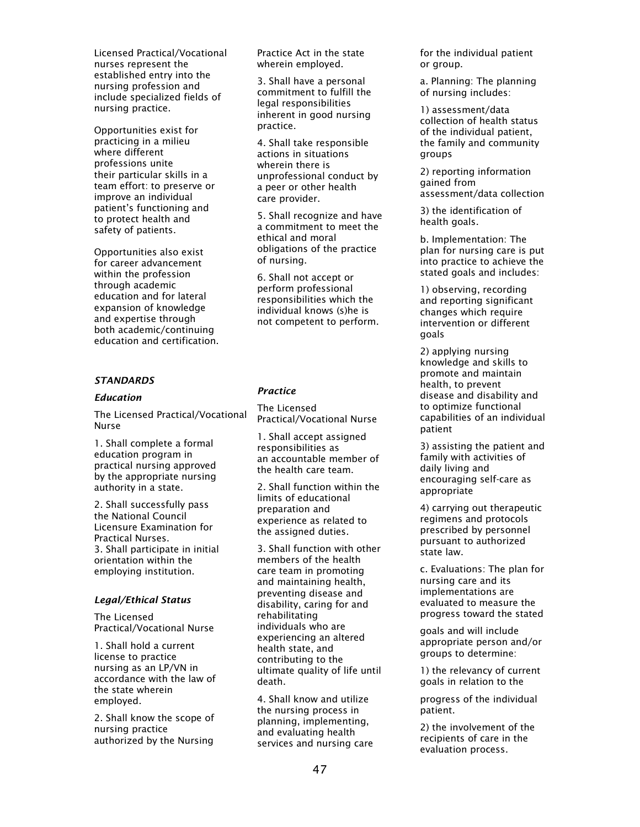Licensed Practical/Vocational nurses represent the established entry into the nursing profession and include specialized fields of nursing practice.

Opportunities exist for practicing in a milieu where different professions unite their particular skills in a team effort: to preserve or improve an individual patient's functioning and to protect health and safety of patients.

Opportunities also exist for career advancement within the profession through academic education and for lateral expansion of knowledge and expertise through both academic/continuing education and certification.

#### *STANDARDS*

#### *Education*

The Licensed Practical/Vocational Nurse

1. Shall complete a formal education program in practical nursing approved by the appropriate nursing authority in a state.

2. Shall successfully pass the National Council Licensure Examination for Practical Nurses. 3. Shall participate in initial orientation within the employing institution.

#### *Legal/Ethical Status*

The Licensed Practical/Vocational Nurse

1. Shall hold a current license to practice nursing as an LP/VN in accordance with the law of the state wherein employed.

2. Shall know the scope of nursing practice authorized by the Nursing

Practice Act in the state wherein employed.

3. Shall have a personal commitment to fulfill the legal responsibilities inherent in good nursing practice.

4. Shall take responsible actions in situations wherein there is unprofessional conduct by a peer or other health care provider.

5. Shall recognize and have a commitment to meet the ethical and moral obligations of the practice of nursing.

6. Shall not accept or perform professional responsibilities which the individual knows (s)he is not competent to perform.

#### *Practice*

The Licensed Practical/Vocational Nurse

1. Shall accept assigned responsibilities as an accountable member of the health care team.

2. Shall function within the limits of educational preparation and experience as related to the assigned duties.

3. Shall function with other members of the health care team in promoting and maintaining health, preventing disease and disability, caring for and rehabilitating individuals who are experiencing an altered health state, and contributing to the ultimate quality of life until death.

4. Shall know and utilize the nursing process in planning, implementing, and evaluating health services and nursing care for the individual patient or group.

a. Planning: The planning of nursing includes:

1) assessment/data collection of health status of the individual patient, the family and community groups

2) reporting information gained from assessment/data collection

3) the identification of health goals.

b. Implementation: The plan for nursing care is put into practice to achieve the stated goals and includes:

1) observing, recording and reporting significant changes which require intervention or different goals

2) applying nursing knowledge and skills to promote and maintain health, to prevent disease and disability and to optimize functional capabilities of an individual patient

3) assisting the patient and family with activities of daily living and encouraging self-care as appropriate

4) carrying out therapeutic regimens and protocols prescribed by personnel pursuant to authorized state law.

c. Evaluations: The plan for nursing care and its implementations are evaluated to measure the progress toward the stated

goals and will include appropriate person and/or groups to determine:

1) the relevancy of current goals in relation to the

progress of the individual patient.

2) the involvement of the recipients of care in the evaluation process.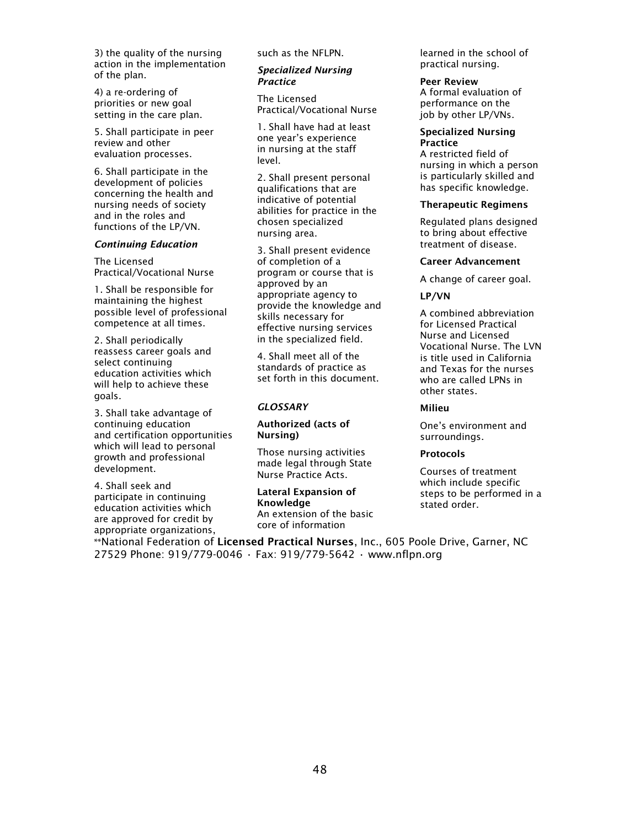3) the quality of the nursing action in the implementation of the plan.

4) a re-ordering of priorities or new goal setting in the care plan.

5. Shall participate in peer review and other evaluation processes.

6. Shall participate in the development of policies concerning the health and nursing needs of society and in the roles and functions of the LP/VN.

#### *Continuing Education*

The Licensed Practical/Vocational Nurse

1. Shall be responsible for maintaining the highest possible level of professional competence at all times.

2. Shall periodically reassess career goals and select continuing education activities which will help to achieve these goals.

3. Shall take advantage of continuing education and certification opportunities which will lead to personal growth and professional development.

4. Shall seek and participate in continuing education activities which are approved for credit by appropriate organizations, such as the NFLPN.

#### *Specialized Nursing Practice*

The Licensed Practical/Vocational Nurse

1. Shall have had at least one year's experience in nursing at the staff level.

2. Shall present personal qualifications that are indicative of potential abilities for practice in the chosen specialized nursing area.

3. Shall present evidence of completion of a program or course that is approved by an appropriate agency to provide the knowledge and skills necessary for effective nursing services in the specialized field.

4. Shall meet all of the standards of practice as set forth in this document.

#### *GLOSSARY*

#### Authorized (acts of Nursing)

Those nursing activities made legal through State Nurse Practice Acts.

Lateral Expansion of Knowledge An extension of the basic core of information

learned in the school of practical nursing.

Peer Review A formal evaluation of performance on the job by other LP/VNs.

#### Specialized Nursing **Practice**

A restricted field of nursing in which a person is particularly skilled and has specific knowledge.

#### Therapeutic Regimens

Regulated plans designed to bring about effective treatment of disease.

#### Career Advancement

A change of career goal.

#### LP/VN

A combined abbreviation for Licensed Practical Nurse and Licensed Vocational Nurse. The LVN is title used in California and Texas for the nurses who are called LPNs in other states.

#### Milieu

One's environment and surroundings.

#### **Protocols**

Courses of treatment which include specific steps to be performed in a stated order.

\*\*National Federation of Licensed Practical Nurses, Inc., 605 Poole Drive, Garner, NC 27529 Phone: 919/779-0046 • Fax: 919/779-5642 • www.nflpn.org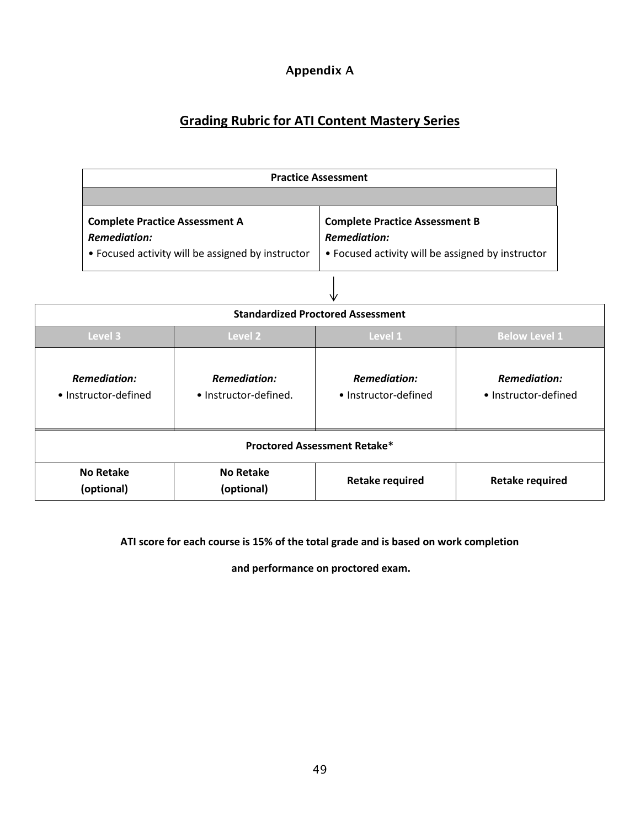## Appendix A

## **Grading Rubric for ATI Content Mastery Series**

| <b>Practice Assessment</b>                                                                                        |                                                                                                                   |  |  |
|-------------------------------------------------------------------------------------------------------------------|-------------------------------------------------------------------------------------------------------------------|--|--|
|                                                                                                                   |                                                                                                                   |  |  |
| <b>Complete Practice Assessment A</b><br><b>Remediation:</b><br>• Focused activity will be assigned by instructor | <b>Complete Practice Assessment B</b><br><b>Remediation:</b><br>• Focused activity will be assigned by instructor |  |  |

| <b>Standardized Proctored Assessment</b>                                                    |                                |                                             |                                             |  |
|---------------------------------------------------------------------------------------------|--------------------------------|---------------------------------------------|---------------------------------------------|--|
| Level 3<br>Level 1<br>Level 2                                                               |                                |                                             | <b>Below Level 1</b>                        |  |
| <b>Remediation:</b><br><b>Remediation:</b><br>• Instructor-defined.<br>• Instructor-defined |                                | <b>Remediation:</b><br>• Instructor-defined | <b>Remediation:</b><br>• Instructor-defined |  |
| <b>Proctored Assessment Retake*</b>                                                         |                                |                                             |                                             |  |
| <b>No Retake</b><br>(optional)                                                              | <b>No Retake</b><br>(optional) | <b>Retake required</b>                      | <b>Retake required</b>                      |  |

#### **ATI score for each course is 15% of the total grade and is based on work completion**

**and performance on proctored exam.**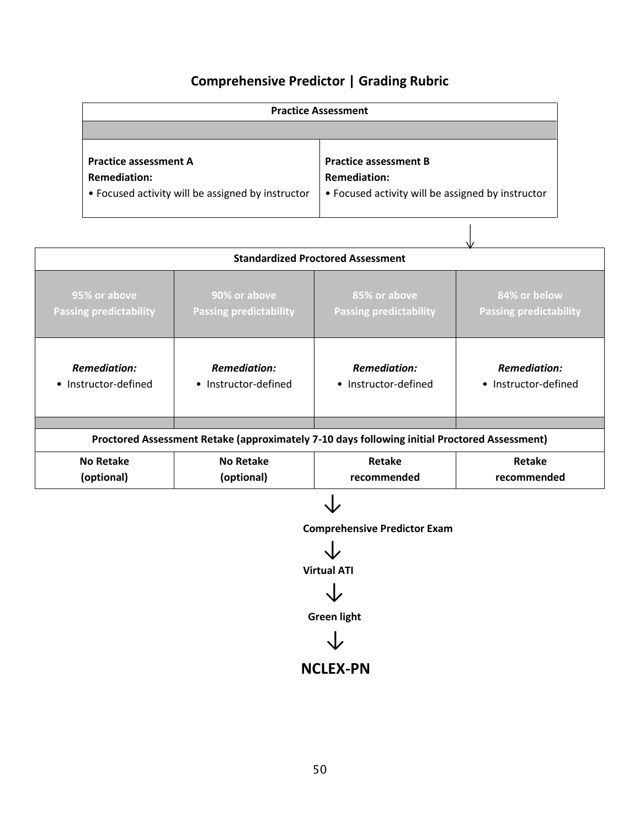## **Comprehensive Predictor | Grading Rubric**

| <b>Practice Assessment</b>                        |                                                   |  |  |
|---------------------------------------------------|---------------------------------------------------|--|--|
|                                                   |                                                   |  |  |
|                                                   |                                                   |  |  |
| <b>Practice assessment A</b>                      | <b>Practice assessment B</b>                      |  |  |
| <b>Remediation:</b>                               | <b>Remediation:</b>                               |  |  |
| • Focused activity will be assigned by instructor | • Focused activity will be assigned by instructor |  |  |
|                                                   |                                                   |  |  |

|                                                                                              | <b>Standardized Proctored Assessment</b>      |                                               |                                               |  |  |  |
|----------------------------------------------------------------------------------------------|-----------------------------------------------|-----------------------------------------------|-----------------------------------------------|--|--|--|
| 95% or above<br><b>Passing predictability</b>                                                | 90% or above<br><b>Passing predictability</b> | 85% or above<br><b>Passing predictability</b> | 84% or below<br><b>Passing predictability</b> |  |  |  |
| <b>Remediation:</b><br><b>Remediation:</b><br>• Instructor-defined<br>• Instructor-defined   |                                               | <b>Remediation:</b><br>• Instructor-defined   | <b>Remediation:</b><br>• Instructor-defined   |  |  |  |
|                                                                                              |                                               |                                               |                                               |  |  |  |
| Proctored Assessment Retake (approximately 7-10 days following initial Proctored Assessment) |                                               |                                               |                                               |  |  |  |
| <b>No Retake</b>                                                                             | <b>No Retake</b>                              | Retake                                        | Retake                                        |  |  |  |
| (optional)<br>(optional)                                                                     |                                               | recommended                                   | recommended                                   |  |  |  |

**↓** 

**Comprehensive Predictor Exam**

↓

 **Virtual ATI**

↓

**Green light**



## **NCLEX-PN**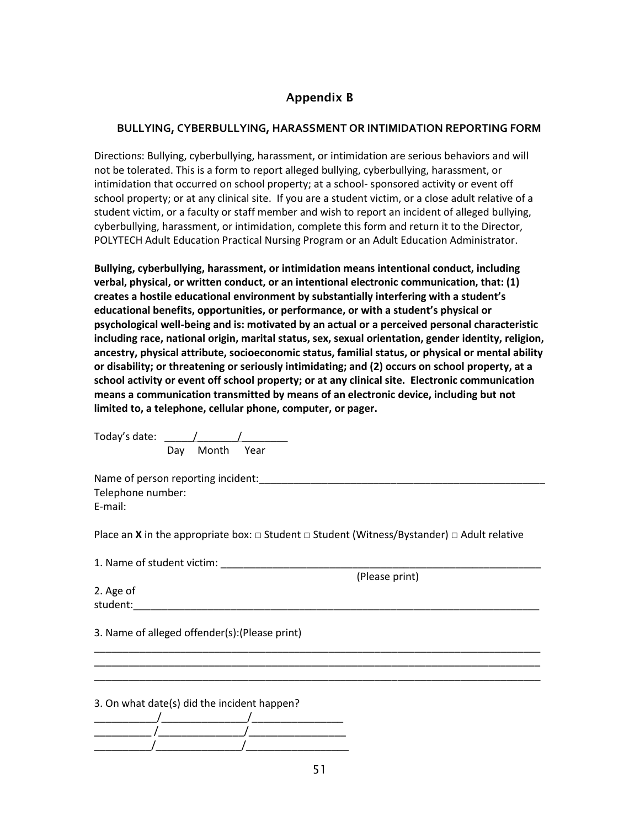#### Appendix B

#### **BULLYING, CYBERBULLYING, HARASSMENT OR INTIMIDATION REPORTING FORM**

Directions: Bullying, cyberbullying, harassment, or intimidation are serious behaviors and will not be tolerated. This is a form to report alleged bullying, cyberbullying, harassment, or intimidation that occurred on school property; at a school- sponsored activity or event off school property; or at any clinical site. If you are a student victim, or a close adult relative of a student victim, or a faculty or staff member and wish to report an incident of alleged bullying, cyberbullying, harassment, or intimidation, complete this form and return it to the Director, POLYTECH Adult Education Practical Nursing Program or an Adult Education Administrator.

**Bullying, cyberbullying, harassment, or intimidation means intentional conduct, including verbal, physical, or written conduct, or an intentional electronic communication, that: (1) creates a hostile educational environment by substantially interfering with a student's educational benefits, opportunities, or performance, or with a student's physical or psychological well-being and is: motivated by an actual or a perceived personal characteristic including race, national origin, marital status, sex, sexual orientation, gender identity, religion, ancestry, physical attribute, socioeconomic status, familial status, or physical or mental ability or disability; or threatening or seriously intimidating; and (2) occurs on school property, at a school activity or event off school property; or at any clinical site. Electronic communication means a communication transmitted by means of an electronic device, including but not limited to, a telephone, cellular phone, computer, or pager.** 

Today's date: \_\_\_\_\_\_\_\_\_\_\_\_\_\_\_\_\_\_\_\_\_\_\_\_\_\_\_\_\_\_\_\_\_\_\_ Day Month Year

Name of person reporting incident:\_\_\_\_\_\_\_\_\_\_\_\_\_\_\_\_\_\_\_\_\_\_\_\_\_\_\_\_\_\_\_\_\_\_\_\_\_\_\_\_\_\_\_\_\_\_\_\_\_\_ Telephone number: E-mail:

Place an **X** in the appropriate box: □ Student □ Student (Witness/Bystander) □ Adult relative

1. Name of student victim: \_\_\_\_\_\_\_\_\_\_\_\_\_\_\_\_\_\_\_\_\_\_\_\_\_\_\_\_\_\_\_\_\_\_\_\_\_\_\_\_\_\_\_\_\_\_\_\_\_\_\_\_\_\_\_\_

(Please print)

2. Age of student:

3. Name of alleged offender(s):(Please print)

3. On what date(s) did the incident happen?

\_\_\_\_\_\_\_\_\_\_\_/\_\_\_\_\_\_\_\_\_\_\_\_\_\_\_/\_\_\_\_\_\_\_\_\_\_\_\_\_\_\_\_  $\overline{a}$  /  $\overline{a}$  /  $\overline{a}$  /  $\overline{a}$  /  $\overline{a}$  /  $\overline{a}$  /  $\overline{a}$  /  $\overline{a}$  /  $\overline{a}$  /  $\overline{a}$  /  $\overline{a}$  /  $\overline{a}$  /  $\overline{a}$  /  $\overline{a}$  /  $\overline{a}$  /  $\overline{a}$  /  $\overline{a}$  /  $\overline{a}$  /  $\overline{a}$  /  $\overline{a}$  / \_\_\_\_\_\_\_\_\_\_/\_\_\_\_\_\_\_\_\_\_\_\_\_\_\_/\_\_\_\_\_\_\_\_\_\_\_\_\_\_\_\_\_\_

\_\_\_\_\_\_\_\_\_\_\_\_\_\_\_\_\_\_\_\_\_\_\_\_\_\_\_\_\_\_\_\_\_\_\_\_\_\_\_\_\_\_\_\_\_\_\_\_\_\_\_\_\_\_\_\_\_\_\_\_\_\_\_\_\_\_\_\_\_\_\_\_\_\_\_\_\_\_ \_\_\_\_\_\_\_\_\_\_\_\_\_\_\_\_\_\_\_\_\_\_\_\_\_\_\_\_\_\_\_\_\_\_\_\_\_\_\_\_\_\_\_\_\_\_\_\_\_\_\_\_\_\_\_\_\_\_\_\_\_\_\_\_\_\_\_\_\_\_\_\_\_\_\_\_\_\_ \_\_\_\_\_\_\_\_\_\_\_\_\_\_\_\_\_\_\_\_\_\_\_\_\_\_\_\_\_\_\_\_\_\_\_\_\_\_\_\_\_\_\_\_\_\_\_\_\_\_\_\_\_\_\_\_\_\_\_\_\_\_\_\_\_\_\_\_\_\_\_\_\_\_\_\_\_\_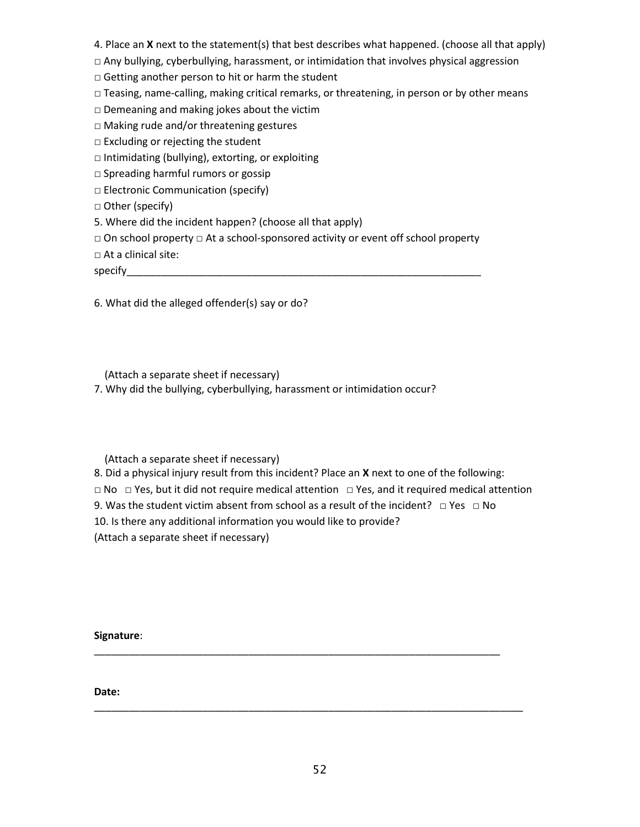- 4. Place an **X** next to the statement(s) that best describes what happened. (choose all that apply)
- □ Any bullying, cyberbullying, harassment, or intimidation that involves physical aggression
- □ Getting another person to hit or harm the student
- $\Box$  Teasing, name-calling, making critical remarks, or threatening, in person or by other means
- $\square$  Demeaning and making jokes about the victim
- □ Making rude and/or threatening gestures
- $\square$  Excluding or rejecting the student
- □ Intimidating (bullying), extorting, or exploiting
- □ Spreading harmful rumors or gossip
- □ Electronic Communication (specify)
- □ Other (specify)
- 5. Where did the incident happen? (choose all that apply)
- □ On school property □ At a school-sponsored activity or event off school property
- □ At a clinical site:

specify

6. What did the alleged offender(s) say or do?

(Attach a separate sheet if necessary)

7. Why did the bullying, cyberbullying, harassment or intimidation occur?

(Attach a separate sheet if necessary)

- 8. Did a physical injury result from this incident? Place an **X** next to one of the following:
- □ No □ Yes, but it did not require medical attention □ Yes, and it required medical attention
- 9. Was the student victim absent from school as a result of the incident? □ Yes □ No

\_\_\_\_\_\_\_\_\_\_\_\_\_\_\_\_\_\_\_\_\_\_\_\_\_\_\_\_\_\_\_\_\_\_\_\_\_\_\_\_\_\_\_\_\_\_\_\_\_\_\_\_\_\_\_\_\_\_\_\_\_\_\_\_\_\_\_\_\_\_\_

\_\_\_\_\_\_\_\_\_\_\_\_\_\_\_\_\_\_\_\_\_\_\_\_\_\_\_\_\_\_\_\_\_\_\_\_\_\_\_\_\_\_\_\_\_\_\_\_\_\_\_\_\_\_\_\_\_\_\_\_\_\_\_\_\_\_\_\_\_\_\_\_\_\_\_

- 10. Is there any additional information you would like to provide?
- (Attach a separate sheet if necessary)

**Signature**:

**Date:**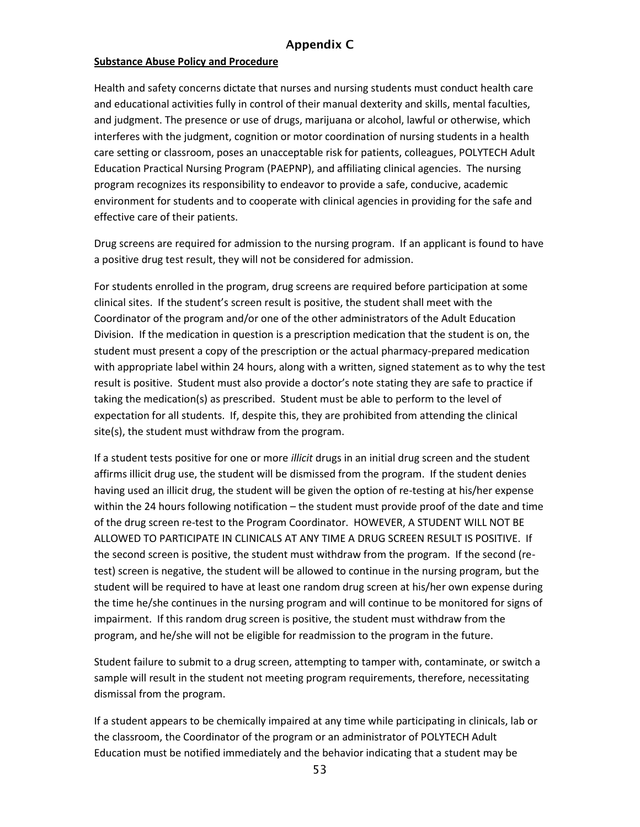#### Appendix C

#### <span id="page-52-0"></span>**Substance Abuse Policy and Procedure**

Health and safety concerns dictate that nurses and nursing students must conduct health care and educational activities fully in control of their manual dexterity and skills, mental faculties, and judgment. The presence or use of drugs, marijuana or alcohol, lawful or otherwise, which interferes with the judgment, cognition or motor coordination of nursing students in a health care setting or classroom, poses an unacceptable risk for patients, colleagues, POLYTECH Adult Education Practical Nursing Program (PAEPNP), and affiliating clinical agencies. The nursing program recognizes its responsibility to endeavor to provide a safe, conducive, academic environment for students and to cooperate with clinical agencies in providing for the safe and effective care of their patients.

Drug screens are required for admission to the nursing program. If an applicant is found to have a positive drug test result, they will not be considered for admission.

For students enrolled in the program, drug screens are required before participation at some clinical sites. If the student's screen result is positive, the student shall meet with the Coordinator of the program and/or one of the other administrators of the Adult Education Division. If the medication in question is a prescription medication that the student is on, the student must present a copy of the prescription or the actual pharmacy-prepared medication with appropriate label within 24 hours, along with a written, signed statement as to why the test result is positive. Student must also provide a doctor's note stating they are safe to practice if taking the medication(s) as prescribed. Student must be able to perform to the level of expectation for all students. If, despite this, they are prohibited from attending the clinical site(s), the student must withdraw from the program.

If a student tests positive for one or more *illicit* drugs in an initial drug screen and the student affirms illicit drug use, the student will be dismissed from the program. If the student denies having used an illicit drug, the student will be given the option of re-testing at his/her expense within the 24 hours following notification – the student must provide proof of the date and time of the drug screen re-test to the Program Coordinator. HOWEVER, A STUDENT WILL NOT BE ALLOWED TO PARTICIPATE IN CLINICALS AT ANY TIME A DRUG SCREEN RESULT IS POSITIVE. If the second screen is positive, the student must withdraw from the program. If the second (retest) screen is negative, the student will be allowed to continue in the nursing program, but the student will be required to have at least one random drug screen at his/her own expense during the time he/she continues in the nursing program and will continue to be monitored for signs of impairment. If this random drug screen is positive, the student must withdraw from the program, and he/she will not be eligible for readmission to the program in the future.

Student failure to submit to a drug screen, attempting to tamper with, contaminate, or switch a sample will result in the student not meeting program requirements, therefore, necessitating dismissal from the program.

If a student appears to be chemically impaired at any time while participating in clinicals, lab or the classroom, the Coordinator of the program or an administrator of POLYTECH Adult Education must be notified immediately and the behavior indicating that a student may be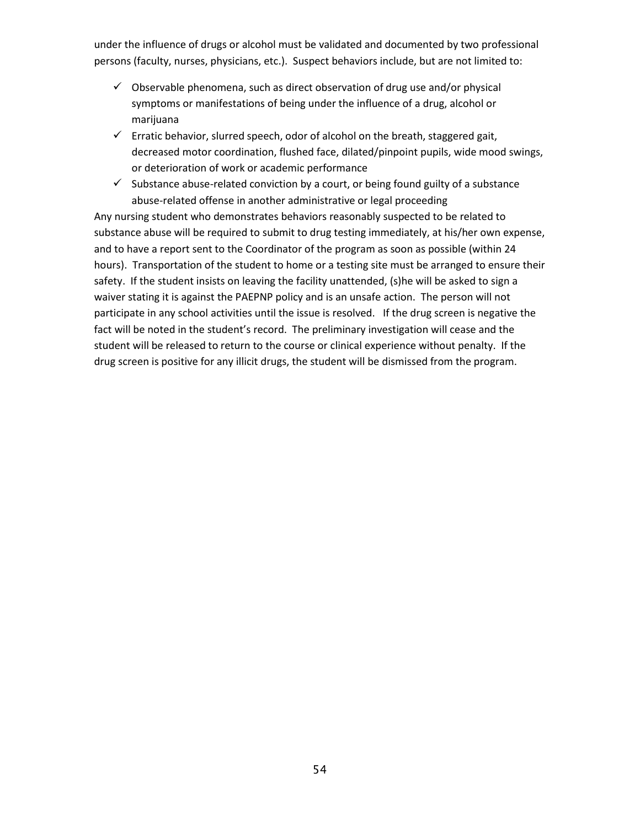under the influence of drugs or alcohol must be validated and documented by two professional persons (faculty, nurses, physicians, etc.). Suspect behaviors include, but are not limited to:

- $\checkmark$  Observable phenomena, such as direct observation of drug use and/or physical symptoms or manifestations of being under the influence of a drug, alcohol or marijuana
- $\checkmark$  Erratic behavior, slurred speech, odor of alcohol on the breath, staggered gait, decreased motor coordination, flushed face, dilated/pinpoint pupils, wide mood swings, or deterioration of work or academic performance
- $\checkmark$  Substance abuse-related conviction by a court, or being found guilty of a substance abuse-related offense in another administrative or legal proceeding

Any nursing student who demonstrates behaviors reasonably suspected to be related to substance abuse will be required to submit to drug testing immediately, at his/her own expense, and to have a report sent to the Coordinator of the program as soon as possible (within 24 hours). Transportation of the student to home or a testing site must be arranged to ensure their safety. If the student insists on leaving the facility unattended, (s)he will be asked to sign a waiver stating it is against the PAEPNP policy and is an unsafe action. The person will not participate in any school activities until the issue is resolved. If the drug screen is negative the fact will be noted in the student's record. The preliminary investigation will cease and the student will be released to return to the course or clinical experience without penalty. If the drug screen is positive for any illicit drugs, the student will be dismissed from the program.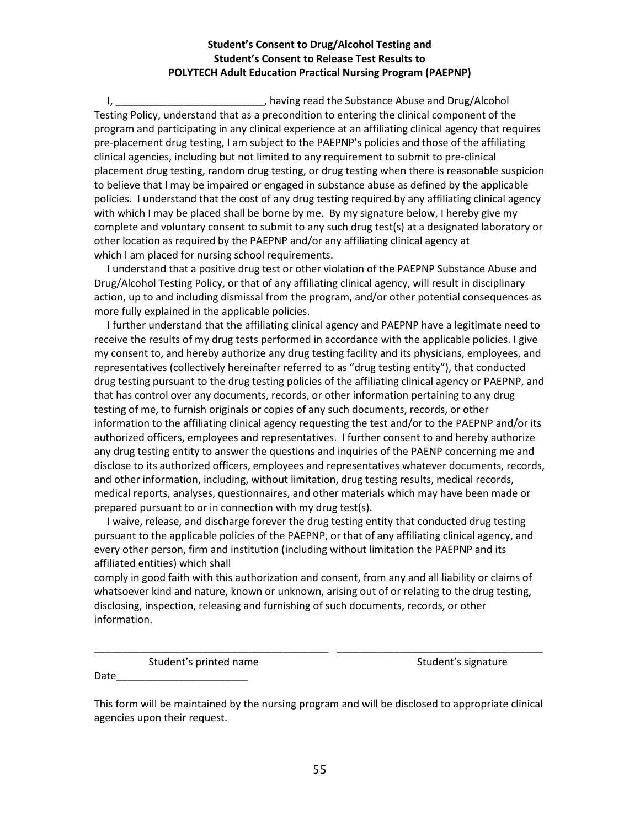#### **Student's Consent to Drug/Alcohol Testing and Student's Consent to Release Test Results to POLYTECH Adult Education Practical Nursing Program (PAEPNP)**

I, **I**, **I**, **E** *I*, having read the Substance Abuse and Drug/Alcohol Testing Policy, understand that as a precondition to entering the clinical component of the program and participating in any clinical experience at an affiliating clinical agency that requires pre-placement drug testing, I am subject to the PAEPNP's policies and those of the affiliating clinical agencies, including but not limited to any requirement to submit to pre-clinical placement drug testing, random drug testing, or drug testing when there is reasonable suspicion to believe that I may be impaired or engaged in substance abuse as defined by the applicable policies. I understand that the cost of any drug testing required by any affiliating clinical agency with which I may be placed shall be borne by me. By my signature below, I hereby give my complete and voluntary consent to submit to any such drug test(s) at a designated laboratory or other location as required by the PAEPNP and/or any affiliating clinical agency at which I am placed for nursing school requirements.

 I understand that a positive drug test or other violation of the PAEPNP Substance Abuse and Drug/Alcohol Testing Policy, or that of any affiliating clinical agency, will result in disciplinary action, up to and including dismissal from the program, and/or other potential consequences as more fully explained in the applicable policies.

 I further understand that the affiliating clinical agency and PAEPNP have a legitimate need to receive the results of my drug tests performed in accordance with the applicable policies. I give my consent to, and hereby authorize any drug testing facility and its physicians, employees, and representatives (collectively hereinafter referred to as "drug testing entity"), that conducted drug testing pursuant to the drug testing policies of the affiliating clinical agency or PAEPNP, and that has control over any documents, records, or other information pertaining to any drug testing of me, to furnish originals or copies of any such documents, records, or other information to the affiliating clinical agency requesting the test and/or to the PAEPNP and/or its authorized officers, employees and representatives. I further consent to and hereby authorize any drug testing entity to answer the questions and inquiries of the PAENP concerning me and disclose to its authorized officers, employees and representatives whatever documents, records, and other information, including, without limitation, drug testing results, medical records, medical reports, analyses, questionnaires, and other materials which may have been made or prepared pursuant to or in connection with my drug test(s).

 I waive, release, and discharge forever the drug testing entity that conducted drug testing pursuant to the applicable policies of the PAEPNP, or that of any affiliating clinical agency, and every other person, firm and institution (including without limitation the PAEPNP and its affiliated entities) which shall

comply in good faith with this authorization and consent, from any and all liability or claims of whatsoever kind and nature, known or unknown, arising out of or relating to the drug testing, disclosing, inspection, releasing and furnishing of such documents, records, or other information.

Student's printed name Student's signature

Date\_\_\_\_\_\_\_\_\_\_\_\_\_\_\_\_\_\_\_\_\_\_\_

This form will be maintained by the nursing program and will be disclosed to appropriate clinical agencies upon their request.

\_\_\_\_\_\_\_\_\_\_\_\_\_\_\_\_\_\_\_\_\_\_\_\_\_\_\_\_\_\_\_\_\_\_\_\_\_\_\_\_\_ \_\_\_\_\_\_\_\_\_\_\_\_\_\_\_\_\_\_\_\_\_\_\_\_\_\_\_\_\_\_\_\_\_\_\_\_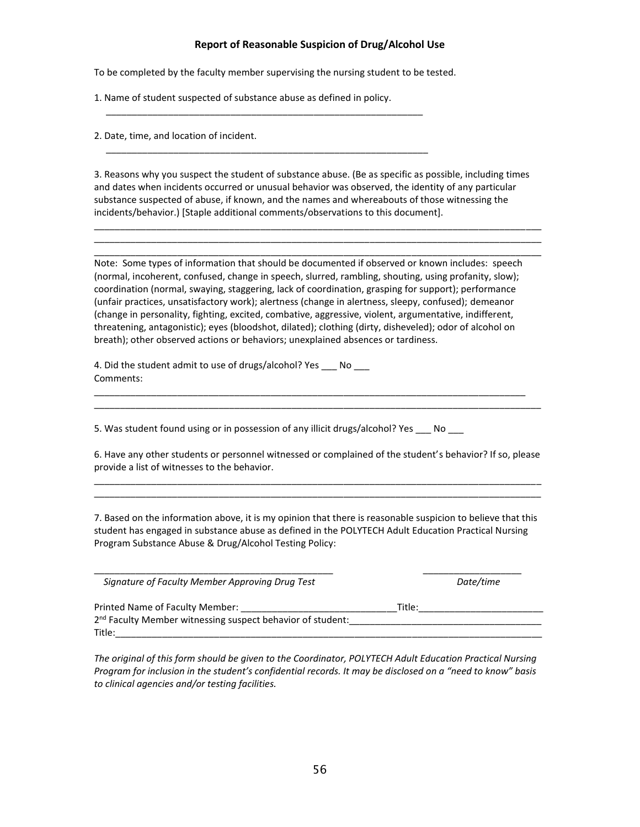#### **Report of Reasonable Suspicion of Drug/Alcohol Use**

To be completed by the faculty member supervising the nursing student to be tested.

1. Name of student suspected of substance abuse as defined in policy.

\_\_\_\_\_\_\_\_\_\_\_\_\_\_\_\_\_\_\_\_\_\_\_\_\_\_\_\_\_\_\_\_\_\_\_\_\_\_\_\_\_\_\_\_\_\_\_\_\_\_\_\_\_\_\_\_\_\_\_\_\_

\_\_\_\_\_\_\_\_\_\_\_\_\_\_\_\_\_\_\_\_\_\_\_\_\_\_\_\_\_\_\_\_\_\_\_\_\_\_\_\_\_\_\_\_\_\_\_\_\_\_\_\_\_\_\_\_\_\_\_\_\_\_

2. Date, time, and location of incident.

3. Reasons why you suspect the student of substance abuse. (Be as specific as possible, including times and dates when incidents occurred or unusual behavior was observed, the identity of any particular substance suspected of abuse, if known, and the names and whereabouts of those witnessing the incidents/behavior.) [Staple additional comments/observations to this document].

\_\_\_\_\_\_\_\_\_\_\_\_\_\_\_\_\_\_\_\_\_\_\_\_\_\_\_\_\_\_\_\_\_\_\_\_\_\_\_\_\_\_\_\_\_\_\_\_\_\_\_\_\_\_\_\_\_\_\_\_\_\_\_\_\_\_\_\_\_\_\_\_\_\_\_\_\_\_\_\_\_\_\_\_\_\_ \_\_\_\_\_\_\_\_\_\_\_\_\_\_\_\_\_\_\_\_\_\_\_\_\_\_\_\_\_\_\_\_\_\_\_\_\_\_\_\_\_\_\_\_\_\_\_\_\_\_\_\_\_\_\_\_\_\_\_\_\_\_\_\_\_\_\_\_\_\_\_\_\_\_\_\_\_\_\_\_\_\_\_\_\_\_ \_\_\_\_\_\_\_\_\_\_\_\_\_\_\_\_\_\_\_\_\_\_\_\_\_\_\_\_\_\_\_\_\_\_\_\_\_\_\_\_\_\_\_\_\_\_\_\_\_\_\_\_\_\_\_\_\_\_\_\_\_\_\_\_\_\_\_\_\_\_\_\_\_\_\_\_\_\_\_\_\_\_\_\_\_\_

Note: Some types of information that should be documented if observed or known includes: speech (normal, incoherent, confused, change in speech, slurred, rambling, shouting, using profanity, slow); coordination (normal, swaying, staggering, lack of coordination, grasping for support); performance (unfair practices, unsatisfactory work); alertness (change in alertness, sleepy, confused); demeanor (change in personality, fighting, excited, combative, aggressive, violent, argumentative, indifferent, threatening, antagonistic); eyes (bloodshot, dilated); clothing (dirty, disheveled); odor of alcohol on breath); other observed actions or behaviors; unexplained absences or tardiness.

\_\_\_\_\_\_\_\_\_\_\_\_\_\_\_\_\_\_\_\_\_\_\_\_\_\_\_\_\_\_\_\_\_\_\_\_\_\_\_\_\_\_\_\_\_\_\_\_\_\_\_\_\_\_\_\_\_\_\_\_\_\_\_\_\_\_\_\_\_\_\_\_\_\_\_\_\_\_\_\_\_\_\_ \_\_\_\_\_\_\_\_\_\_\_\_\_\_\_\_\_\_\_\_\_\_\_\_\_\_\_\_\_\_\_\_\_\_\_\_\_\_\_\_\_\_\_\_\_\_\_\_\_\_\_\_\_\_\_\_\_\_\_\_\_\_\_\_\_\_\_\_\_\_\_\_\_\_\_\_\_\_\_\_\_\_\_\_\_\_

4. Did the student admit to use of drugs/alcohol? Yes \_\_\_ No \_\_\_ Comments:

5. Was student found using or in possession of any illicit drugs/alcohol? Yes \_\_\_ No \_\_\_

6. Have any other students or personnel witnessed or complained of the student's behavior? If so, please provide a list of witnesses to the behavior. \_\_\_\_\_\_\_\_\_\_\_\_\_\_\_\_\_\_\_\_\_\_\_\_\_\_\_\_\_\_\_\_\_\_\_\_\_\_\_\_\_\_\_\_\_\_\_\_\_\_\_\_\_\_\_\_\_\_\_\_\_\_\_\_\_\_\_\_\_\_\_\_\_\_\_\_\_\_\_\_\_\_\_\_\_\_

\_\_\_\_\_\_\_\_\_\_\_\_\_\_\_\_\_\_\_\_\_\_\_\_\_\_\_\_\_\_\_\_\_\_\_\_\_\_\_\_\_\_\_\_\_\_\_\_\_\_\_\_\_\_\_\_\_\_\_\_\_\_\_\_\_\_\_\_\_\_\_\_\_\_\_\_\_\_\_\_\_\_\_\_\_\_

7. Based on the information above, it is my opinion that there is reasonable suspicion to believe that this student has engaged in substance abuse as defined in the POLYTECH Adult Education Practical Nursing Program Substance Abuse & Drug/Alcohol Testing Policy:

 *Signature of Faculty Member Approving Drug Test Date/time* Printed Name of Faculty Member: \_\_\_\_\_\_\_\_\_\_\_\_\_\_\_\_\_\_\_\_\_\_\_\_\_\_\_\_\_\_Title:\_\_\_\_\_\_\_\_\_\_\_\_\_\_\_\_\_\_\_\_\_\_\_\_ 2 nd Faculty Member witnessing suspect behavior of student:\_\_\_\_\_\_\_\_\_\_\_\_\_\_\_\_\_\_\_\_\_\_\_\_\_\_\_\_\_\_\_\_\_\_\_\_\_ Title:  $\Box$ 

*The original of this form should be given to the Coordinator, POLYTECH Adult Education Practical Nursing Program for inclusion in the student's confidential records. It may be disclosed on a "need to know" basis to clinical agencies and/or testing facilities.*

\_\_\_\_\_\_\_\_\_\_\_\_\_\_\_\_\_\_\_\_\_\_\_\_\_\_\_\_\_\_\_\_\_\_\_\_\_\_\_\_\_\_\_\_\_\_ \_\_\_\_\_\_\_\_\_\_\_\_\_\_\_\_\_\_\_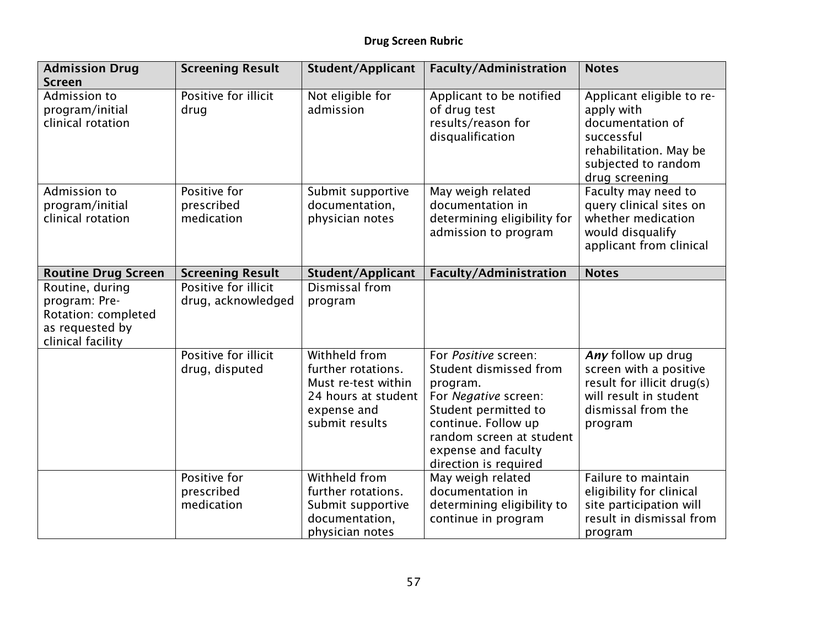| <b>Admission Drug</b><br><b>Screen</b>                                                          | <b>Screening Result</b>                    | Student/Applicant                                                                                                  | <b>Faculty/Administration</b>                                                                                                                                                                                 | <b>Notes</b>                                                                                                                                 |
|-------------------------------------------------------------------------------------------------|--------------------------------------------|--------------------------------------------------------------------------------------------------------------------|---------------------------------------------------------------------------------------------------------------------------------------------------------------------------------------------------------------|----------------------------------------------------------------------------------------------------------------------------------------------|
| Admission to<br>program/initial<br>clinical rotation                                            | Positive for illicit<br>drug               | Not eligible for<br>admission                                                                                      | Applicant to be notified<br>of drug test<br>results/reason for<br>disqualification                                                                                                                            | Applicant eligible to re-<br>apply with<br>documentation of<br>successful<br>rehabilitation. May be<br>subjected to random<br>drug screening |
| Admission to<br>program/initial<br>clinical rotation                                            | Positive for<br>prescribed<br>medication   | Submit supportive<br>documentation,<br>physician notes                                                             | May weigh related<br>documentation in<br>determining eligibility for<br>admission to program                                                                                                                  | Faculty may need to<br>query clinical sites on<br>whether medication<br>would disqualify<br>applicant from clinical                          |
| <b>Routine Drug Screen</b>                                                                      | <b>Screening Result</b>                    | <b>Student/Applicant</b>                                                                                           | <b>Faculty/Administration</b>                                                                                                                                                                                 | <b>Notes</b>                                                                                                                                 |
| Routine, during<br>program: Pre-<br>Rotation: completed<br>as requested by<br>clinical facility | Positive for illicit<br>drug, acknowledged | Dismissal from<br>program                                                                                          |                                                                                                                                                                                                               |                                                                                                                                              |
|                                                                                                 | Positive for illicit<br>drug, disputed     | Withheld from<br>further rotations.<br>Must re-test within<br>24 hours at student<br>expense and<br>submit results | For Positive screen:<br>Student dismissed from<br>program.<br>For Negative screen:<br>Student permitted to<br>continue. Follow up<br>random screen at student<br>expense and faculty<br>direction is required | Any follow up drug<br>screen with a positive<br>result for illicit drug(s)<br>will result in student<br>dismissal from the<br>program        |
|                                                                                                 | Positive for<br>prescribed<br>medication   | Withheld from<br>further rotations.<br>Submit supportive<br>documentation,<br>physician notes                      | May weigh related<br>documentation in<br>determining eligibility to<br>continue in program                                                                                                                    | Failure to maintain<br>eligibility for clinical<br>site participation will<br>result in dismissal from<br>program                            |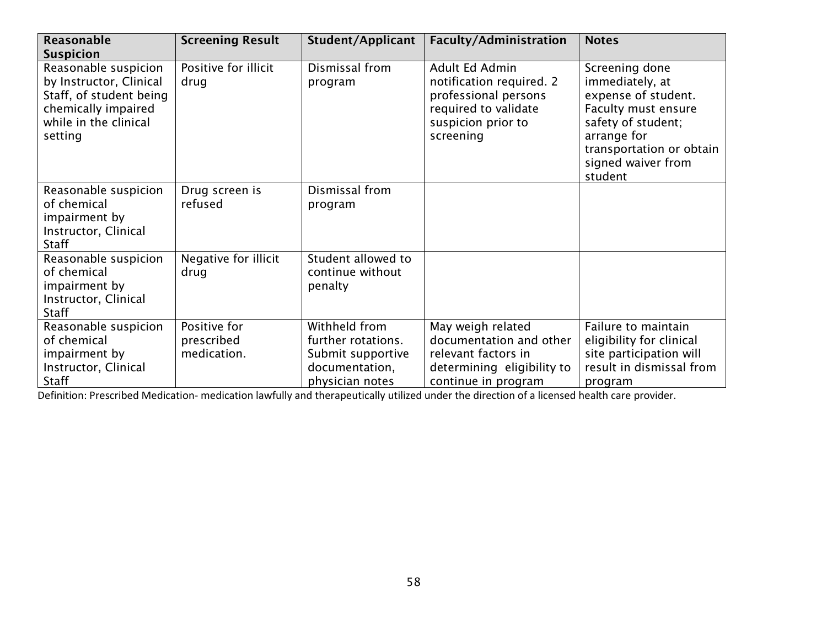| <b>Reasonable</b>                                                                                                                     | <b>Screening Result</b>                   | <b>Student/Applicant</b>                                                                      | <b>Faculty/Administration</b>                                                                                                 | <b>Notes</b>                                                                                                                                                                      |
|---------------------------------------------------------------------------------------------------------------------------------------|-------------------------------------------|-----------------------------------------------------------------------------------------------|-------------------------------------------------------------------------------------------------------------------------------|-----------------------------------------------------------------------------------------------------------------------------------------------------------------------------------|
| <b>Suspicion</b>                                                                                                                      |                                           |                                                                                               |                                                                                                                               |                                                                                                                                                                                   |
| Reasonable suspicion<br>by Instructor, Clinical<br>Staff, of student being<br>chemically impaired<br>while in the clinical<br>setting | Positive for illicit<br>drug              | Dismissal from<br>program                                                                     | Adult Ed Admin<br>notification required. 2<br>professional persons<br>required to validate<br>suspicion prior to<br>screening | Screening done<br>immediately, at<br>expense of student.<br>Faculty must ensure<br>safety of student;<br>arrange for<br>transportation or obtain<br>signed waiver from<br>student |
| Reasonable suspicion<br>of chemical<br>impairment by<br>Instructor, Clinical<br><b>Staff</b>                                          | Drug screen is<br>refused                 | Dismissal from<br>program                                                                     |                                                                                                                               |                                                                                                                                                                                   |
| Reasonable suspicion<br>of chemical<br>impairment by<br>Instructor, Clinical<br><b>Staff</b>                                          | Negative for illicit<br>drug              | Student allowed to<br>continue without<br>penalty                                             |                                                                                                                               |                                                                                                                                                                                   |
| Reasonable suspicion<br>of chemical<br>impairment by<br>Instructor, Clinical<br>Staff                                                 | Positive for<br>prescribed<br>medication. | Withheld from<br>further rotations.<br>Submit supportive<br>documentation,<br>physician notes | May weigh related<br>documentation and other<br>relevant factors in<br>determining eligibility to<br>continue in program      | Failure to maintain<br>eligibility for clinical<br>site participation will<br>result in dismissal from<br>program                                                                 |

Definition: Prescribed Medication- medication lawfully and therapeutically utilized under the direction of a licensed health care provider.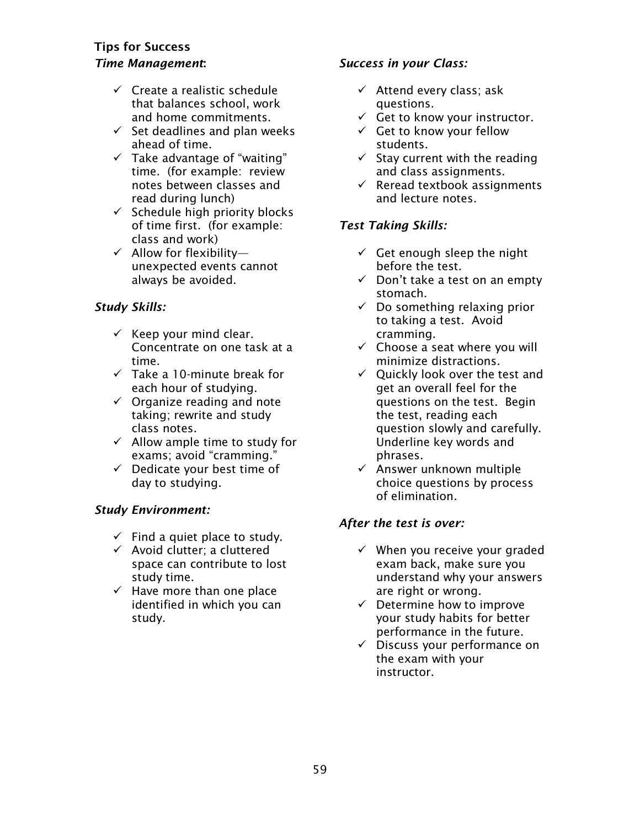## <span id="page-58-0"></span>Tips for Success *Time Management*:

- $\checkmark$  Create a realistic schedule that balances school, work and home commitments.
- $\checkmark$  Set deadlines and plan weeks ahead of time.
- $\checkmark$  Take advantage of "waiting" time. (for example: review notes between classes and read during lunch)
- $\checkmark$  Schedule high priority blocks of time first. (for example: class and work)
- $\checkmark$  Allow for flexibilityunexpected events cannot always be avoided.

## *Study Skills:*

- $\checkmark$  Keep your mind clear. Concentrate on one task at a time.
- $\checkmark$  Take a 10-minute break for each hour of studying.
- $\checkmark$  Organize reading and note taking; rewrite and study class notes.
- $\checkmark$  Allow ample time to study for exams; avoid "cramming."
- ✓ Dedicate your best time of day to studying.

## *Study Environment:*

- $\checkmark$  Find a quiet place to study.
- $\checkmark$  Avoid clutter; a cluttered space can contribute to lost study time.
- $\checkmark$  Have more than one place identified in which you can study.

## *Success in your Class:*

- $\checkmark$  Attend every class; ask questions.
- $\checkmark$  Get to know your instructor.
- $\checkmark$  Get to know your fellow students.
- $\checkmark$  Stay current with the reading and class assignments.
- $\checkmark$  Reread textbook assignments and lecture notes.

## *Test Taking Skills:*

- $\checkmark$  Get enough sleep the night before the test.
- $\checkmark$  Don't take a test on an empty stomach.
- $\checkmark$  Do something relaxing prior to taking a test. Avoid cramming.
- $\checkmark$  Choose a seat where you will minimize distractions.
- $\checkmark$  Quickly look over the test and get an overall feel for the questions on the test. Begin the test, reading each question slowly and carefully. Underline key words and phrases.
- $\checkmark$  Answer unknown multiple choice questions by process of elimination.

## *After the test is over:*

- $\checkmark$  When you receive your graded exam back, make sure you understand why your answers are right or wrong.
- ✓ Determine how to improve your study habits for better performance in the future.
- ✓ Discuss your performance on the exam with your instructor.